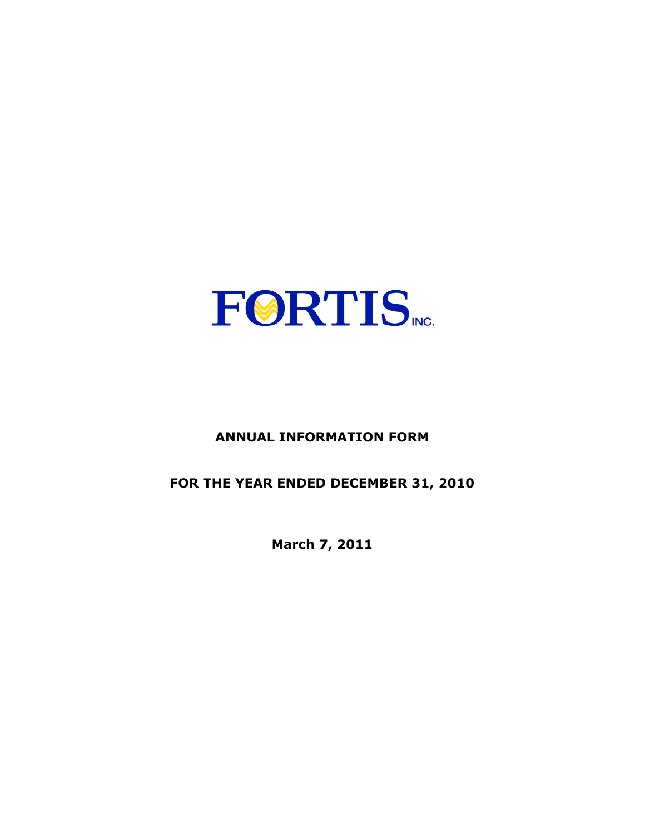

# **ANNUAL INFORMATION FORM**

# **FOR THE YEAR ENDED DECEMBER 31, 2010**

**March 7, 2011**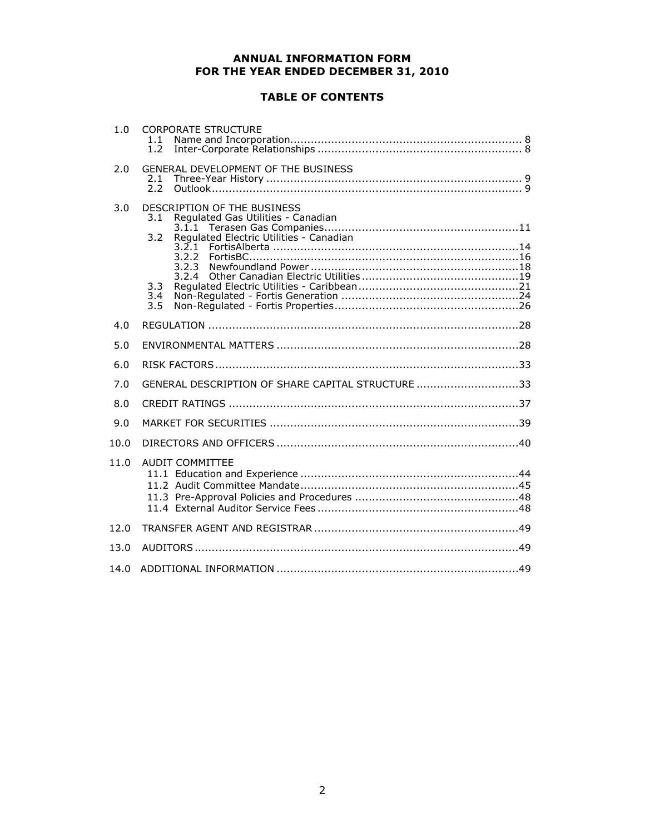# **ANNUAL INFORMATION FORM FOR THE YEAR ENDED DECEMBER 31, 2010**

# **TABLE OF CONTENTS**

| 1.0  | <b>CORPORATE STRUCTURE</b><br>1.1<br>1.2                                                                                                                                   |
|------|----------------------------------------------------------------------------------------------------------------------------------------------------------------------------|
| 2.0  | GENERAL DEVELOPMENT OF THE BUSINESS<br>2.1<br>2.2                                                                                                                          |
| 3.0  | DESCRIPTION OF THE BUSINESS<br>Regulated Gas Utilities - Canadian<br>3.1<br>Regulated Electric Utilities - Canadian<br>3.2<br>3.2.1<br>3.2.2<br>3.2.4<br>3.3<br>3.4<br>3.5 |
| 4.0  |                                                                                                                                                                            |
| 5.0  |                                                                                                                                                                            |
| 6.0  |                                                                                                                                                                            |
| 7.0  | GENERAL DESCRIPTION OF SHARE CAPITAL STRUCTURE 33                                                                                                                          |
| 8.0  |                                                                                                                                                                            |
| 9.0  |                                                                                                                                                                            |
| 10.0 |                                                                                                                                                                            |
| 11.0 | <b>AUDIT COMMITTEE</b>                                                                                                                                                     |
| 12.0 |                                                                                                                                                                            |
| 13.0 |                                                                                                                                                                            |
| 14.0 |                                                                                                                                                                            |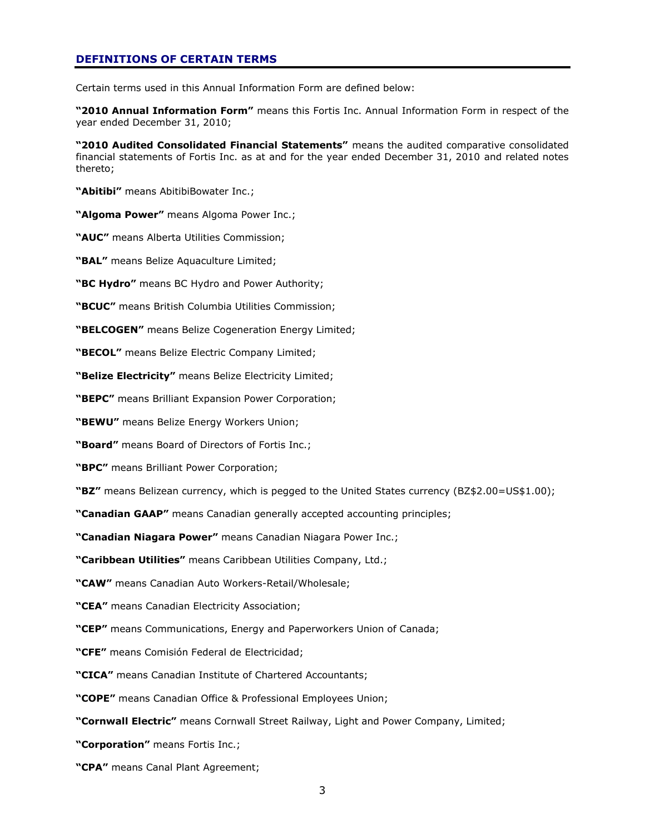# **DEFINITIONS OF CERTAIN TERMS**

Certain terms used in this Annual Information Form are defined below:

**"2010 Annual Information Form"** means this Fortis Inc. Annual Information Form in respect of the year ended December 31, 2010;

**"2010 Audited Consolidated Financial Statements"** means the audited comparative consolidated financial statements of Fortis Inc. as at and for the year ended December 31, 2010 and related notes thereto;

**"Abitibi"** means AbitibiBowater Inc.;

**"Algoma Power"** means Algoma Power Inc.;

**"AUC"** means Alberta Utilities Commission;

**"BAL"** means Belize Aquaculture Limited;

**"BC Hydro"** means BC Hydro and Power Authority;

**"BCUC"** means British Columbia Utilities Commission;

**"BELCOGEN"** means Belize Cogeneration Energy Limited;

**"BECOL"** means Belize Electric Company Limited;

**"Belize Electricity"** means Belize Electricity Limited;

**"BEPC"** means Brilliant Expansion Power Corporation;

**"BEWU"** means Belize Energy Workers Union;

**"Board"** means Board of Directors of Fortis Inc.;

**"BPC"** means Brilliant Power Corporation;

**"BZ"** means Belizean currency, which is pegged to the United States currency (BZ\$2.00=US\$1.00);

**"Canadian GAAP"** means Canadian generally accepted accounting principles;

**"Canadian Niagara Power"** means Canadian Niagara Power Inc.;

**"Caribbean Utilities"** means Caribbean Utilities Company, Ltd.;

**"CAW"** means Canadian Auto Workers-Retail/Wholesale;

**"CEA"** means Canadian Electricity Association;

**"CEP"** means Communications, Energy and Paperworkers Union of Canada;

**"CFE"** means Comisión Federal de Electricidad;

**"CICA"** means Canadian Institute of Chartered Accountants;

**"COPE"** means Canadian Office & Professional Employees Union;

**"Cornwall Electric"** means Cornwall Street Railway, Light and Power Company, Limited;

**"Corporation"** means Fortis Inc.;

**"CPA"** means Canal Plant Agreement;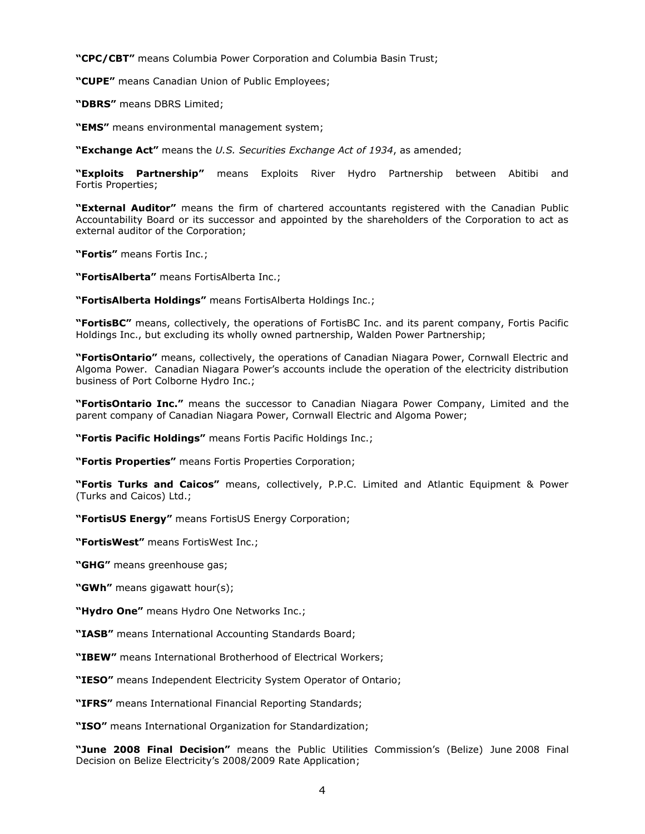**"CPC/CBT"** means Columbia Power Corporation and Columbia Basin Trust;

**"CUPE"** means Canadian Union of Public Employees;

**"DBRS"** means DBRS Limited;

**"EMS"** means environmental management system;

**"Exchange Act"** means the *U.S. Securities Exchange Act of 1934*, as amended;

**"Exploits Partnership"** means Exploits River Hydro Partnership between Abitibi and Fortis Properties;

**"External Auditor"** means the firm of chartered accountants registered with the Canadian Public Accountability Board or its successor and appointed by the shareholders of the Corporation to act as external auditor of the Corporation;

**"Fortis"** means Fortis Inc.;

**"FortisAlberta"** means FortisAlberta Inc.;

**"FortisAlberta Holdings"** means FortisAlberta Holdings Inc.;

**"FortisBC"** means, collectively, the operations of FortisBC Inc. and its parent company, Fortis Pacific Holdings Inc., but excluding its wholly owned partnership, Walden Power Partnership;

**"FortisOntario"** means, collectively, the operations of Canadian Niagara Power, Cornwall Electric and Algoma Power. Canadian Niagara Power"s accounts include the operation of the electricity distribution business of Port Colborne Hydro Inc.;

**"FortisOntario Inc."** means the successor to Canadian Niagara Power Company, Limited and the parent company of Canadian Niagara Power, Cornwall Electric and Algoma Power;

**"Fortis Pacific Holdings"** means Fortis Pacific Holdings Inc.;

**"Fortis Properties"** means Fortis Properties Corporation;

**"Fortis Turks and Caicos"** means, collectively, P.P.C. Limited and Atlantic Equipment & Power (Turks and Caicos) Ltd.;

**"FortisUS Energy"** means FortisUS Energy Corporation;

**"FortisWest"** means FortisWest Inc.;

**"GHG"** means greenhouse gas;

**"GWh"** means gigawatt hour(s);

**"Hydro One"** means Hydro One Networks Inc.;

**"IASB"** means International Accounting Standards Board;

**"IBEW"** means International Brotherhood of Electrical Workers;

**"IESO"** means Independent Electricity System Operator of Ontario;

**"IFRS"** means International Financial Reporting Standards;

**"ISO"** means International Organization for Standardization;

**"June 2008 Final Decision"** means the Public Utilities Commission"s (Belize) June 2008 Final Decision on Belize Electricity's 2008/2009 Rate Application;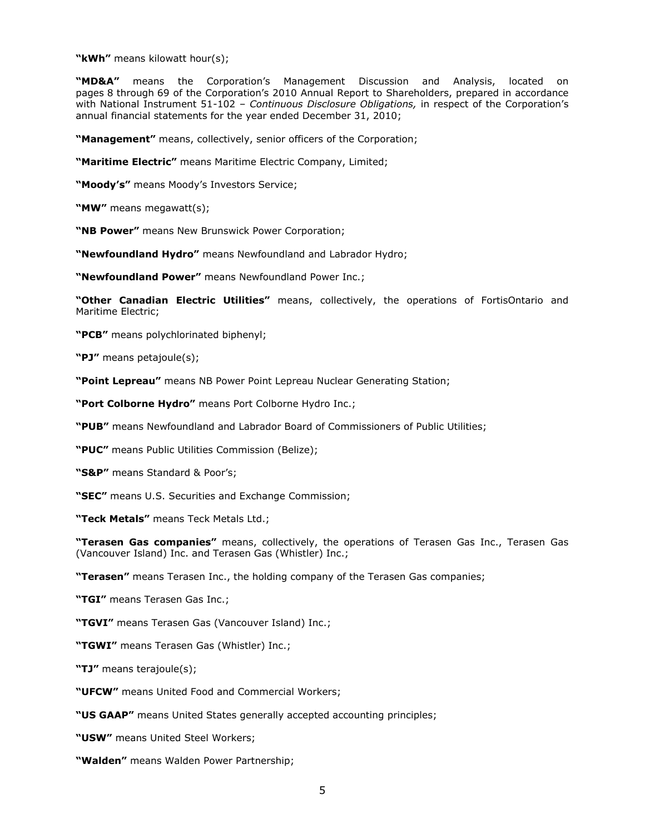**"kWh"** means kilowatt hour(s);

**"MD&A"** means the Corporation"s Management Discussion and Analysis, located on pages 8 through 69 of the Corporation's 2010 Annual Report to Shareholders, prepared in accordance with National Instrument 51-102 – *Continuous Disclosure Obligations,* in respect of the Corporation"s annual financial statements for the year ended December 31, 2010;

**"Management"** means, collectively, senior officers of the Corporation;

**"Maritime Electric"** means Maritime Electric Company, Limited;

**"Moody's"** means Moody"s Investors Service;

**"MW"** means megawatt(s);

**"NB Power"** means New Brunswick Power Corporation;

**"Newfoundland Hydro"** means Newfoundland and Labrador Hydro;

**"Newfoundland Power"** means Newfoundland Power Inc.;

**"Other Canadian Electric Utilities"** means, collectively, the operations of FortisOntario and Maritime Electric;

**"PCB"** means polychlorinated biphenyl;

**"PJ"** means petajoule(s);

**"Point Lepreau"** means NB Power Point Lepreau Nuclear Generating Station;

**"Port Colborne Hydro"** means Port Colborne Hydro Inc.;

**"PUB"** means Newfoundland and Labrador Board of Commissioners of Public Utilities;

**"PUC"** means Public Utilities Commission (Belize);

**"S&P"** means Standard & Poor"s;

**"SEC"** means U.S. Securities and Exchange Commission;

**"Teck Metals"** means Teck Metals Ltd.;

**"Terasen Gas companies"** means, collectively, the operations of Terasen Gas Inc., Terasen Gas (Vancouver Island) Inc. and Terasen Gas (Whistler) Inc.;

**"Terasen"** means Terasen Inc., the holding company of the Terasen Gas companies;

**"TGI"** means Terasen Gas Inc.;

**"TGVI"** means Terasen Gas (Vancouver Island) Inc.;

**"TGWI"** means Terasen Gas (Whistler) Inc.;

**"TJ"** means terajoule(s);

**"UFCW"** means United Food and Commercial Workers;

**"US GAAP"** means United States generally accepted accounting principles;

**"USW"** means United Steel Workers;

**"Walden"** means Walden Power Partnership;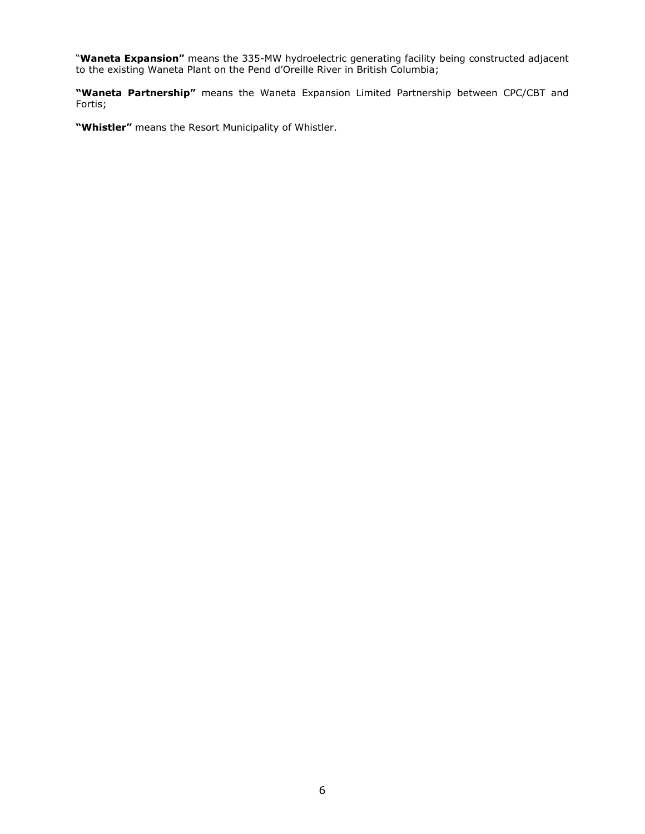"**Waneta Expansion"** means the 335-MW hydroelectric generating facility being constructed adjacent to the existing Waneta Plant on the Pend d"Oreille River in British Columbia;

**"Waneta Partnership"** means the Waneta Expansion Limited Partnership between CPC/CBT and Fortis;

**"Whistler"** means the Resort Municipality of Whistler.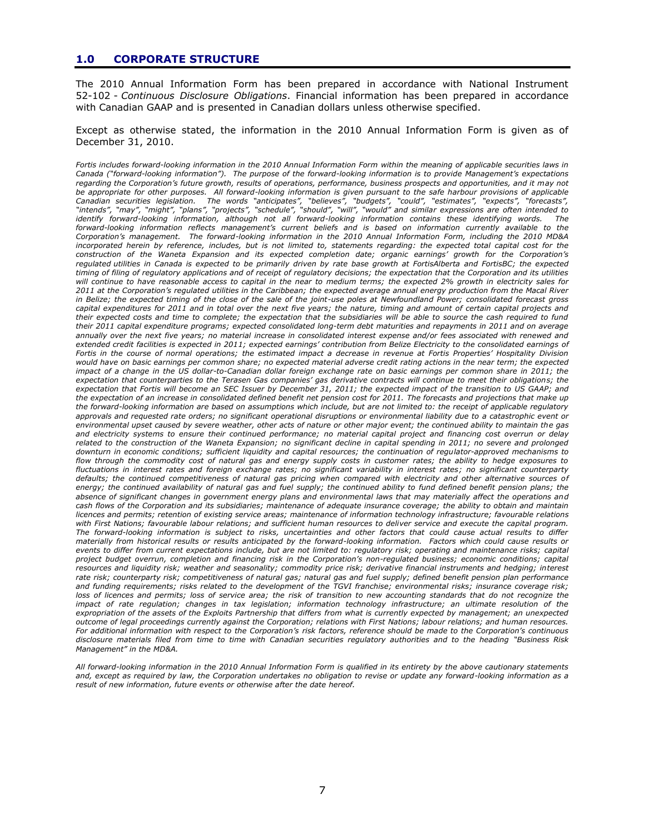# **1.0 CORPORATE STRUCTURE**

The 2010 Annual Information Form has been prepared in accordance with National Instrument 52-102 - *Continuous Disclosure Obligations*. Financial information has been prepared in accordance with Canadian GAAP and is presented in Canadian dollars unless otherwise specified.

Except as otherwise stated, the information in the 2010 Annual Information Form is given as of December 31, 2010.

*Fortis includes forward-looking information in the 2010 Annual Information Form within the meaning of applicable securities laws in Canada ("forward-looking information"). The purpose of the forward-looking information is to provide Management's expectations regarding the Corporation's future growth, results of operations, performance, business prospects and opportunities, and it may not be appropriate for other purposes. All forward-looking information is given pursuant to the safe harbour provisions of applicable Canadian securities legislation. The words "anticipates", "believes", "budgets", "could", "estimates", "expects", "forecasts", "intends", "may", "might", "plans", "projects", "schedule", "should", "will", "would" and similar expressions are often intended to identify forward-looking information, although not all forward-looking information contains these identifying words. The forward-looking information reflects management's current beliefs and is based on information currently available to the Corporation's management. The forward-looking information in the 2010 Annual Information Form, including the 2010 MD&A incorporated herein by reference, includes, but is not limited to, statements regarding: the expected total capital cost for the construction of the Waneta Expansion and its expected completion date; organic earnings' growth for the Corporation's regulated utilities in Canada is expected to be primarily driven by rate base growth at FortisAlberta and FortisBC; the expected timing of filing of regulatory applications and of receipt of regulatory decisions; the expectation that the Corporation and its utilities will continue to have reasonable access to capital in the near to medium terms; the expected 2% growth in electricity sales for 2011 at the Corporation's regulated utilities in the Caribbean; the expected average annual energy production from the Macal River in Belize; the expected timing of the close of the sale of the joint-use poles at Newfoundland Power; consolidated forecast gross capital expenditures for 2011 and in total over the next five years; the nature, timing and amount of certain capital projects and their expected costs and time to complete; the expectation that the subsidiaries will be able to source the cash required to fund their 2011 capital expenditure programs; expected consolidated long-term debt maturities and repayments in 2011 and on average annually over the next five years; no material increase in consolidated interest expense and/or fees associated with renewed and extended credit facilities is expected in 2011; expected earnings' contribution from Belize Electricity to the consolidated earnings of Fortis in the course of normal operations; the estimated impact a decrease in revenue at Fortis Properties' Hospitality Division would have on basic earnings per common share; no expected material adverse credit rating actions in the near term; the expected impact of a change in the US dollar-to-Canadian dollar foreign exchange rate on basic earnings per common share in 2011; the expectation that counterparties to the Terasen Gas companies' gas derivative contracts will continue to meet their obligations; the expectation that Fortis will become an SEC Issuer by December 31, 2011; the expected impact of the transition to US GAAP; and the expectation of an increase in consolidated defined benefit net pension cost for 2011. The forecasts and projections that make up the forward-looking information are based on assumptions which include, but are not limited to: the receipt of applicable regulatory approvals and requested rate orders; no significant operational disruptions or environmental liability due to a catastrophic event or environmental upset caused by severe weather, other acts of nature or other major event; the continued ability to maintain the gas and electricity systems to ensure their continued performance; no material capital project and financing cost overrun or delay related to the construction of the Waneta Expansion; no significant decline in capital spending in 2011; no severe and prolonged downturn in economic conditions; sufficient liquidity and capital resources; the continuation of regulator-approved mechanisms to flow through the commodity cost of natural gas and energy supply costs in customer rates; the ability to hedge exposures to fluctuations in interest rates and foreign exchange rates; no significant variability in interest rates; no significant counterparty defaults; the continued competitiveness of natural gas pricing when compared with electricity and other alternative sources of energy; the continued availability of natural gas and fuel supply; the continued ability to fund defined benefit pension plans; the absence of significant changes in government energy plans and environmental laws that may materially affect the operations and cash flows of the Corporation and its subsidiaries; maintenance of adequate insurance coverage; the ability to obtain and maintain licences and permits; retention of existing service areas; maintenance of information technology infrastructure; favourable relations with First Nations; favourable labour relations; and sufficient human resources to deliver service and execute the capital program. The forward-looking information is subject to risks, uncertainties and other factors that could cause actual results to differ materially from historical results or results anticipated by the forward-looking information. Factors which could cause results or events to differ from current expectations include, but are not limited to: regulatory risk; operating and maintenance risks; capital project budget overrun, completion and financing risk in the Corporation's non-regulated business; economic conditions; capital resources and liquidity risk; weather and seasonality; commodity price risk; derivative financial instruments and hedging; interest rate risk; counterparty risk; competitiveness of natural gas; natural gas and fuel supply; defined benefit pension plan performance and funding requirements; risks related to the development of the TGVI franchise; environmental risks; insurance coverage risk; loss of licences and permits; loss of service area; the risk of transition to new accounting standards that do not recognize the impact of rate regulation; changes in tax legislation; information technology infrastructure; an ultimate resolution of the expropriation of the assets of the Exploits Partnership that differs from what is currently expected by management; an unexpected outcome of legal proceedings currently against the Corporation; relations with First Nations; labour relations; and human resources. For additional information with respect to the Corporation's risk factors, reference should be made to the Corporation's continuous disclosure materials filed from time to time with Canadian securities regulatory authorities and to the heading "Business Risk Management" in the MD&A.* 

*All forward-looking information in the 2010 Annual Information Form is qualified in its entirety by the above cautionary statements and, except as required by law, the Corporation undertakes no obligation to revise or update any forward-looking information as a result of new information, future events or otherwise after the date hereof.*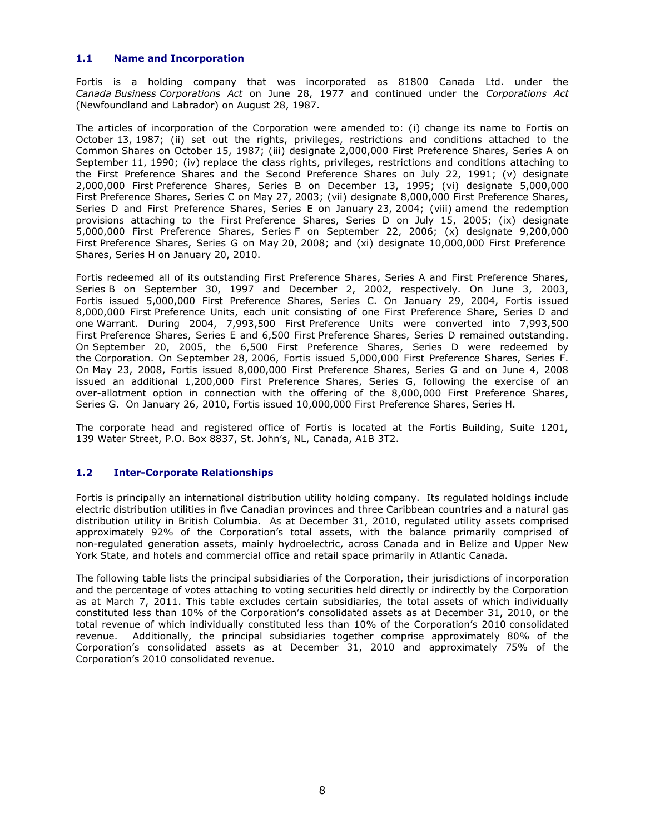# **1.1 Name and Incorporation**

Fortis is a holding company that was incorporated as 81800 Canada Ltd. under the *Canada Business Corporations Act* on June 28, 1977 and continued under the *Corporations Act* (Newfoundland and Labrador) on August 28, 1987.

The articles of incorporation of the Corporation were amended to: (i) change its name to Fortis on October 13, 1987; (ii) set out the rights, privileges, restrictions and conditions attached to the Common Shares on October 15, 1987; (iii) designate 2,000,000 First Preference Shares, Series A on September 11, 1990; (iv) replace the class rights, privileges, restrictions and conditions attaching to the First Preference Shares and the Second Preference Shares on July 22, 1991; (v) designate 2,000,000 First Preference Shares, Series B on December 13, 1995; (vi) designate 5,000,000 First Preference Shares, Series C on May 27, 2003; (vii) designate 8,000,000 First Preference Shares, Series D and First Preference Shares, Series E on January 23, 2004; (viii) amend the redemption provisions attaching to the First Preference Shares, Series D on July 15, 2005; (ix) designate 5,000,000 First Preference Shares, Series F on September 22, 2006; (x) designate 9,200,000 First Preference Shares, Series G on May 20, 2008; and (xi) designate 10,000,000 First Preference Shares, Series H on January 20, 2010.

Fortis redeemed all of its outstanding First Preference Shares, Series A and First Preference Shares, Series B on September 30, 1997 and December 2, 2002, respectively. On June 3, 2003, Fortis issued 5,000,000 First Preference Shares, Series C. On January 29, 2004, Fortis issued 8,000,000 First Preference Units, each unit consisting of one First Preference Share, Series D and one Warrant. During 2004, 7,993,500 First Preference Units were converted into 7,993,500 First Preference Shares, Series E and 6,500 First Preference Shares, Series D remained outstanding. On September 20, 2005, the 6,500 First Preference Shares, Series D were redeemed by the Corporation. On September 28, 2006, Fortis issued 5,000,000 First Preference Shares, Series F. On May 23, 2008, Fortis issued 8,000,000 First Preference Shares, Series G and on June 4, 2008 issued an additional 1,200,000 First Preference Shares, Series G, following the exercise of an over-allotment option in connection with the offering of the 8,000,000 First Preference Shares, Series G. On January 26, 2010, Fortis issued 10,000,000 First Preference Shares, Series H.

The corporate head and registered office of Fortis is located at the Fortis Building, Suite 1201, 139 Water Street, P.O. Box 8837, St. John"s, NL, Canada, A1B 3T2.

# **1.2 Inter-Corporate Relationships**

Fortis is principally an international distribution utility holding company. Its regulated holdings include electric distribution utilities in five Canadian provinces and three Caribbean countries and a natural gas distribution utility in British Columbia. As at December 31, 2010, regulated utility assets comprised approximately 92% of the Corporation's total assets, with the balance primarily comprised of non-regulated generation assets, mainly hydroelectric, across Canada and in Belize and Upper New York State, and hotels and commercial office and retail space primarily in Atlantic Canada.

The following table lists the principal subsidiaries of the Corporation, their jurisdictions of incorporation and the percentage of votes attaching to voting securities held directly or indirectly by the Corporation as at March 7, 2011. This table excludes certain subsidiaries, the total assets of which individually constituted less than 10% of the Corporation"s consolidated assets as at December 31, 2010, or the total revenue of which individually constituted less than 10% of the Corporation"s 2010 consolidated revenue. Additionally, the principal subsidiaries together comprise approximately 80% of the Corporation"s consolidated assets as at December 31, 2010 and approximately 75% of the Corporation"s 2010 consolidated revenue.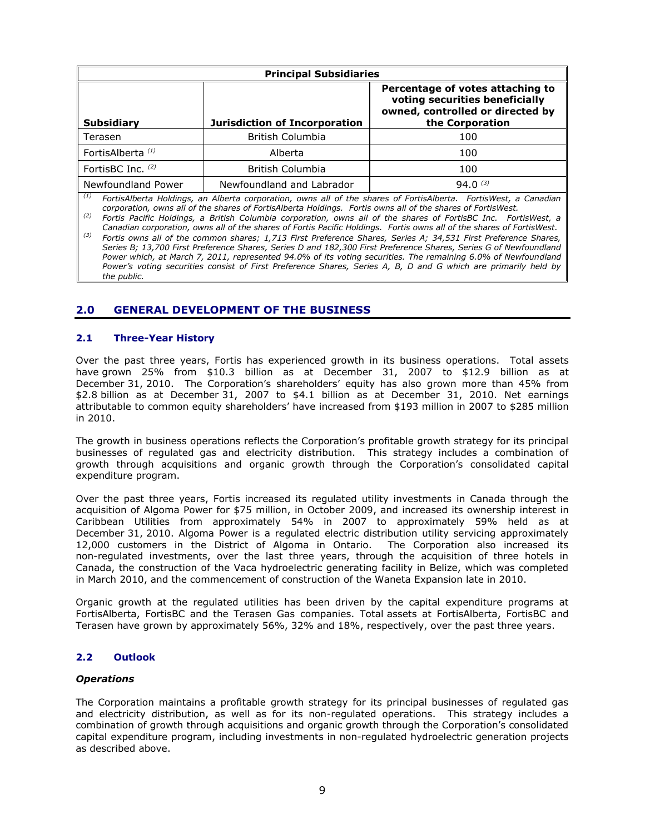| <b>Principal Subsidiaries</b>              |                               |                                                                                                                           |  |  |
|--------------------------------------------|-------------------------------|---------------------------------------------------------------------------------------------------------------------------|--|--|
| <b>Subsidiary</b>                          | Jurisdiction of Incorporation | Percentage of votes attaching to<br>voting securities beneficially<br>owned, controlled or directed by<br>the Corporation |  |  |
| Terasen                                    | <b>British Columbia</b>       | 100                                                                                                                       |  |  |
| FortisAlberta <sup>(1)</sup>               | Alberta                       | 100                                                                                                                       |  |  |
| FortisBC Inc. (2)                          | <b>British Columbia</b>       | 100                                                                                                                       |  |  |
| Newfoundland Power<br>$\sim$ $\sim$ $\sim$ | Newfoundland and Labrador     | $94.0^{(3)}$                                                                                                              |  |  |

*(1) FortisAlberta Holdings, an Alberta corporation, owns all of the shares of FortisAlberta. FortisWest, a Canadian corporation, owns all of the shares of FortisAlberta Holdings. Fortis owns all of the shares of FortisWest.*

*(2) Fortis Pacific Holdings, a British Columbia corporation, owns all of the shares of FortisBC Inc. FortisWest, a* 

*Canadian corporation, owns all of the shares of Fortis Pacific Holdings. Fortis owns all of the shares of FortisWest. (3) Fortis owns all of the common shares; 1,713 First Preference Shares, Series A; 34,531 First Preference Shares, Series B; 13,700 First Preference Shares, Series D and 182,300 First Preference Shares, Series G of Newfoundland Power which, at March 7, 2011, represented 94.0% of its voting securities. The remaining 6.0% of Newfoundland Power's voting securities consist of First Preference Shares, Series A, B, D and G which are primarily held by the public.*

# **2.0 GENERAL DEVELOPMENT OF THE BUSINESS**

# **2.1 Three-Year History**

Over the past three years, Fortis has experienced growth in its business operations. Total assets have grown 25% from \$10.3 billion as at December 31, 2007 to \$12.9 billion as at December 31, 2010. The Corporation's shareholders' equity has also grown more than 45% from \$2.8 billion as at December 31, 2007 to \$4.1 billion as at December 31, 2010. Net earnings attributable to common equity shareholders" have increased from \$193 million in 2007 to \$285 million in 2010.

The growth in business operations reflects the Corporation"s profitable growth strategy for its principal businesses of regulated gas and electricity distribution. This strategy includes a combination of growth through acquisitions and organic growth through the Corporation"s consolidated capital expenditure program.

Over the past three years, Fortis increased its regulated utility investments in Canada through the acquisition of Algoma Power for \$75 million, in October 2009, and increased its ownership interest in Caribbean Utilities from approximately 54% in 2007 to approximately 59% held as at December 31, 2010. Algoma Power is a regulated electric distribution utility servicing approximately 12,000 customers in the District of Algoma in Ontario. The Corporation also increased its non-regulated investments, over the last three years, through the acquisition of three hotels in Canada, the construction of the Vaca hydroelectric generating facility in Belize, which was completed in March 2010, and the commencement of construction of the Waneta Expansion late in 2010.

Organic growth at the regulated utilities has been driven by the capital expenditure programs at FortisAlberta, FortisBC and the Terasen Gas companies. Total assets at FortisAlberta, FortisBC and Terasen have grown by approximately 56%, 32% and 18%, respectively, over the past three years.

# **2.2 Outlook**

#### *Operations*

The Corporation maintains a profitable growth strategy for its principal businesses of regulated gas and electricity distribution, as well as for its non-regulated operations. This strategy includes a combination of growth through acquisitions and organic growth through the Corporation's consolidated capital expenditure program, including investments in non-regulated hydroelectric generation projects as described above.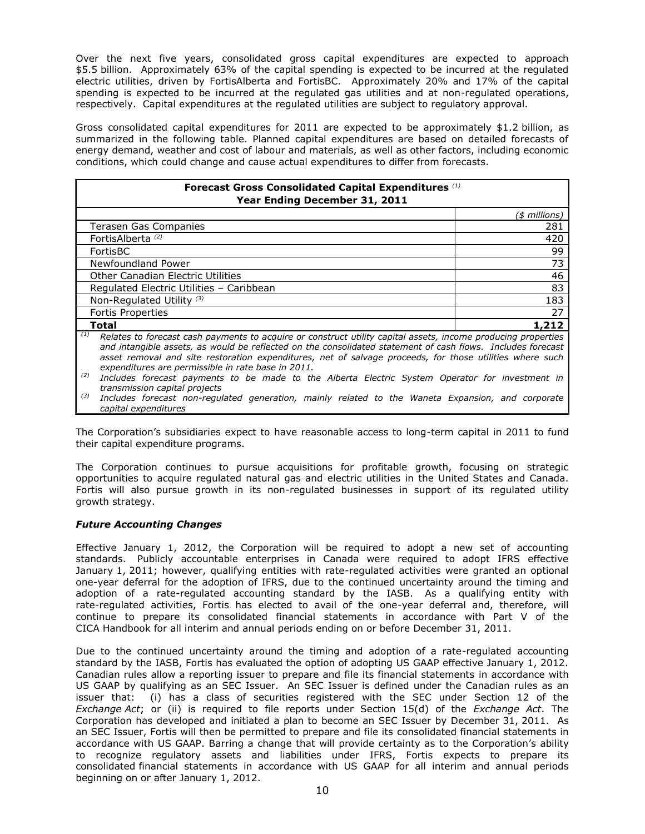Over the next five years, consolidated gross capital expenditures are expected to approach \$5.5 billion. Approximately 63% of the capital spending is expected to be incurred at the regulated electric utilities, driven by FortisAlberta and FortisBC. Approximately 20% and 17% of the capital spending is expected to be incurred at the regulated gas utilities and at non-regulated operations, respectively. Capital expenditures at the regulated utilities are subject to regulatory approval.

Gross consolidated capital expenditures for 2011 are expected to be approximately \$1.2 billion, as summarized in the following table. Planned capital expenditures are based on detailed forecasts of energy demand, weather and cost of labour and materials, as well as other factors, including economic conditions, which could change and cause actual expenditures to differ from forecasts.

| Forecast Gross Consolidated Capital Expenditures (1)<br>Year Ending December 31, 2011                                                                                                                                                                                                                                                           |               |  |  |  |
|-------------------------------------------------------------------------------------------------------------------------------------------------------------------------------------------------------------------------------------------------------------------------------------------------------------------------------------------------|---------------|--|--|--|
|                                                                                                                                                                                                                                                                                                                                                 | (\$ millions) |  |  |  |
| Terasen Gas Companies                                                                                                                                                                                                                                                                                                                           | 281           |  |  |  |
| FortisAlberta <sup>(2)</sup>                                                                                                                                                                                                                                                                                                                    | 420           |  |  |  |
| FortisBC                                                                                                                                                                                                                                                                                                                                        | 99            |  |  |  |
| Newfoundland Power                                                                                                                                                                                                                                                                                                                              | 73            |  |  |  |
| <b>Other Canadian Electric Utilities</b>                                                                                                                                                                                                                                                                                                        | 46            |  |  |  |
| Regulated Electric Utilities - Caribbean                                                                                                                                                                                                                                                                                                        | 83            |  |  |  |
| Non-Regulated Utility <sup>(3)</sup>                                                                                                                                                                                                                                                                                                            | 183           |  |  |  |
| <b>Fortis Properties</b>                                                                                                                                                                                                                                                                                                                        | 27            |  |  |  |
| Total                                                                                                                                                                                                                                                                                                                                           | 1,212         |  |  |  |
| (1)<br>Relates to forecast cash payments to acquire or construct utility capital assets, income producing properties<br>and intangible assets, as would be reflected on the consolidated statement of cash flows. Includes forecast<br>asset removal and site restoration expenditures, net of salvage proceeds, for those utilities where such |               |  |  |  |

*expenditures are permissible in rate base in 2011. (2) Includes forecast payments to be made to the Alberta Electric System Operator for investment in* 

*transmission capital projects (3) Includes forecast non-regulated generation, mainly related to the Waneta Expansion, and corporate capital expenditures*

The Corporation"s subsidiaries expect to have reasonable access to long-term capital in 2011 to fund their capital expenditure programs.

The Corporation continues to pursue acquisitions for profitable growth, focusing on strategic opportunities to acquire regulated natural gas and electric utilities in the United States and Canada. Fortis will also pursue growth in its non-regulated businesses in support of its regulated utility growth strategy.

# *Future Accounting Changes*

Effective January 1, 2012, the Corporation will be required to adopt a new set of accounting standards. Publicly accountable enterprises in Canada were required to adopt IFRS effective January 1, 2011; however, qualifying entities with rate-regulated activities were granted an optional one-year deferral for the adoption of IFRS, due to the continued uncertainty around the timing and adoption of a rate-regulated accounting standard by the IASB. As a qualifying entity with rate-regulated activities, Fortis has elected to avail of the one-year deferral and, therefore, will continue to prepare its consolidated financial statements in accordance with Part V of the CICA Handbook for all interim and annual periods ending on or before December 31, 2011.

Due to the continued uncertainty around the timing and adoption of a rate-regulated accounting standard by the IASB, Fortis has evaluated the option of adopting US GAAP effective January 1, 2012. Canadian rules allow a reporting issuer to prepare and file its financial statements in accordance with US GAAP by qualifying as an SEC Issuer. An SEC Issuer is defined under the Canadian rules as an issuer that: (i) has a class of securities registered with the SEC under Section 12 of the *Exchange Act*; or (ii) is required to file reports under Section 15(d) of the *Exchange Act*. The Corporation has developed and initiated a plan to become an SEC Issuer by December 31, 2011. As an SEC Issuer, Fortis will then be permitted to prepare and file its consolidated financial statements in accordance with US GAAP. Barring a change that will provide certainty as to the Corporation's ability to recognize regulatory assets and liabilities under IFRS, Fortis expects to prepare its consolidated financial statements in accordance with US GAAP for all interim and annual periods beginning on or after January 1, 2012.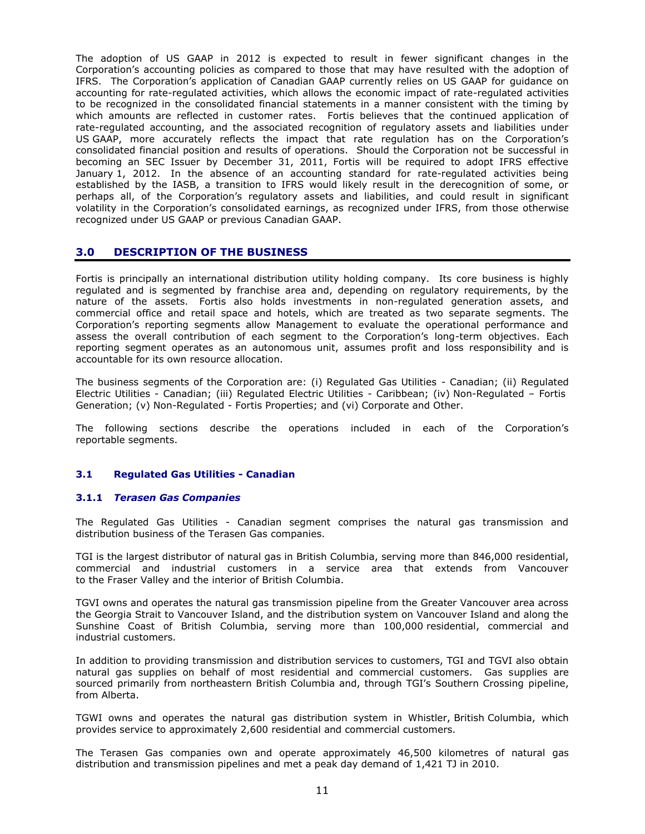The adoption of US GAAP in 2012 is expected to result in fewer significant changes in the Corporation"s accounting policies as compared to those that may have resulted with the adoption of IFRS. The Corporation"s application of Canadian GAAP currently relies on US GAAP for guidance on accounting for rate-regulated activities, which allows the economic impact of rate-regulated activities to be recognized in the consolidated financial statements in a manner consistent with the timing by which amounts are reflected in customer rates. Fortis believes that the continued application of rate-regulated accounting, and the associated recognition of regulatory assets and liabilities under US GAAP, more accurately reflects the impact that rate regulation has on the Corporation"s consolidated financial position and results of operations. Should the Corporation not be successful in becoming an SEC Issuer by December 31, 2011, Fortis will be required to adopt IFRS effective January 1, 2012. In the absence of an accounting standard for rate-regulated activities being established by the IASB, a transition to IFRS would likely result in the derecognition of some, or perhaps all, of the Corporation's regulatory assets and liabilities, and could result in significant volatility in the Corporation"s consolidated earnings, as recognized under IFRS, from those otherwise recognized under US GAAP or previous Canadian GAAP.

# **3.0 DESCRIPTION OF THE BUSINESS**

Fortis is principally an international distribution utility holding company. Its core business is highly regulated and is segmented by franchise area and, depending on regulatory requirements, by the nature of the assets. Fortis also holds investments in non-regulated generation assets, and commercial office and retail space and hotels, which are treated as two separate segments. The Corporation"s reporting segments allow Management to evaluate the operational performance and assess the overall contribution of each segment to the Corporation's long-term objectives. Each reporting segment operates as an autonomous unit, assumes profit and loss responsibility and is accountable for its own resource allocation.

The business segments of the Corporation are: (i) Regulated Gas Utilities - Canadian; (ii) Regulated Electric Utilities - Canadian; (iii) Regulated Electric Utilities - Caribbean; (iv) Non-Regulated – Fortis Generation; (v) Non-Regulated - Fortis Properties; and (vi) Corporate and Other.

The following sections describe the operations included in each of the Corporation"s reportable segments.

# **3.1 Regulated Gas Utilities - Canadian**

#### **3.1.1** *Terasen Gas Companies*

The Regulated Gas Utilities - Canadian segment comprises the natural gas transmission and distribution business of the Terasen Gas companies.

TGI is the largest distributor of natural gas in British Columbia, serving more than 846,000 residential, commercial and industrial customers in a service area that extends from Vancouver to the Fraser Valley and the interior of British Columbia.

TGVI owns and operates the natural gas transmission pipeline from the Greater Vancouver area across the Georgia Strait to Vancouver Island, and the distribution system on Vancouver Island and along the Sunshine Coast of British Columbia, serving more than 100,000 residential, commercial and industrial customers.

In addition to providing transmission and distribution services to customers, TGI and TGVI also obtain natural gas supplies on behalf of most residential and commercial customers. Gas supplies are sourced primarily from northeastern British Columbia and, through TGI's Southern Crossing pipeline, from Alberta.

TGWI owns and operates the natural gas distribution system in Whistler, British Columbia, which provides service to approximately 2,600 residential and commercial customers.

The Terasen Gas companies own and operate approximately 46,500 kilometres of natural gas distribution and transmission pipelines and met a peak day demand of 1,421 TJ in 2010.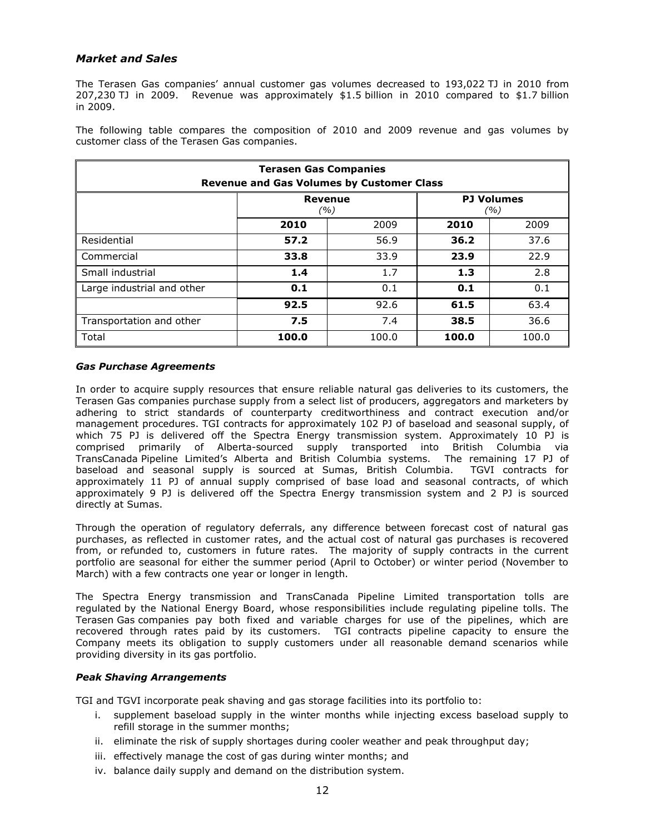# *Market and Sales*

The Terasen Gas companies" annual customer gas volumes decreased to 193,022 TJ in 2010 from 207,230 TJ in 2009. Revenue was approximately \$1.5 billion in 2010 compared to \$1.7 billion in 2009.

The following table compares the composition of 2010 and 2009 revenue and gas volumes by customer class of the Terasen Gas companies.

| <b>Terasen Gas Companies</b><br><b>Revenue and Gas Volumes by Customer Class</b> |                |       |       |                          |  |
|----------------------------------------------------------------------------------|----------------|-------|-------|--------------------------|--|
|                                                                                  | <b>Revenue</b> | (%)   |       | <b>PJ Volumes</b><br>(%) |  |
|                                                                                  | 2010           | 2009  | 2010  | 2009                     |  |
| Residential                                                                      | 57.2           | 56.9  | 36.2  | 37.6                     |  |
| Commercial                                                                       | 33.8           | 33.9  | 23.9  | 22.9                     |  |
| Small industrial                                                                 | 1.4            | 1.7   | 1.3   | 2.8                      |  |
| Large industrial and other                                                       | 0.1            | 0.1   | 0.1   | 0.1                      |  |
| 92.5<br>92.6<br>61.5<br>63.4                                                     |                |       |       |                          |  |
| Transportation and other                                                         | 7.5            | 7.4   | 38.5  | 36.6                     |  |
| Total                                                                            | 100.0          | 100.0 | 100.0 | 100.0                    |  |

### *Gas Purchase Agreements*

In order to acquire supply resources that ensure reliable natural gas deliveries to its customers, the Terasen Gas companies purchase supply from a select list of producers, aggregators and marketers by adhering to strict standards of counterparty creditworthiness and contract execution and/or management procedures. TGI contracts for approximately 102 PJ of baseload and seasonal supply, of which 75 PJ is delivered off the Spectra Energy transmission system. Approximately 10 PJ is comprised primarily of Alberta-sourced supply transported into British Columbia via TransCanada Pipeline Limited"s Alberta and British Columbia systems. The remaining 17 PJ of baseload and seasonal supply is sourced at Sumas, British Columbia. TGVI contracts for approximately 11 PJ of annual supply comprised of base load and seasonal contracts, of which approximately 9 PJ is delivered off the Spectra Energy transmission system and 2 PJ is sourced directly at Sumas.

Through the operation of regulatory deferrals, any difference between forecast cost of natural gas purchases, as reflected in customer rates, and the actual cost of natural gas purchases is recovered from, or refunded to, customers in future rates. The majority of supply contracts in the current portfolio are seasonal for either the summer period (April to October) or winter period (November to March) with a few contracts one year or longer in length.

The Spectra Energy transmission and TransCanada Pipeline Limited transportation tolls are regulated by the National Energy Board, whose responsibilities include regulating pipeline tolls. The Terasen Gas companies pay both fixed and variable charges for use of the pipelines, which are recovered through rates paid by its customers. TGI contracts pipeline capacity to ensure the Company meets its obligation to supply customers under all reasonable demand scenarios while providing diversity in its gas portfolio.

# *Peak Shaving Arrangements*

TGI and TGVI incorporate peak shaving and gas storage facilities into its portfolio to:

- i. supplement baseload supply in the winter months while injecting excess baseload supply to refill storage in the summer months;
- ii. eliminate the risk of supply shortages during cooler weather and peak throughput day;
- iii. effectively manage the cost of gas during winter months; and
- iv. balance daily supply and demand on the distribution system.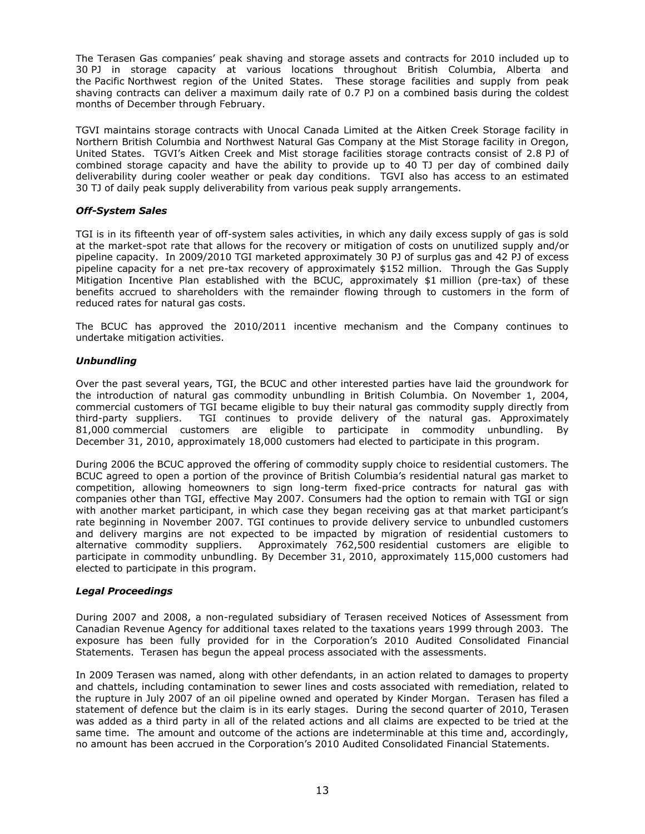The Terasen Gas companies" peak shaving and storage assets and contracts for 2010 included up to 30 PJ in storage capacity at various locations throughout British Columbia, Alberta and the Pacific Northwest region of the United States. These storage facilities and supply from peak shaving contracts can deliver a maximum daily rate of 0.7 PJ on a combined basis during the coldest months of December through February.

TGVI maintains storage contracts with Unocal Canada Limited at the Aitken Creek Storage facility in Northern British Columbia and Northwest Natural Gas Company at the Mist Storage facility in Oregon, United States. TGVI"s Aitken Creek and Mist storage facilities storage contracts consist of 2.8 PJ of combined storage capacity and have the ability to provide up to 40 TJ per day of combined daily deliverability during cooler weather or peak day conditions. TGVI also has access to an estimated 30 TJ of daily peak supply deliverability from various peak supply arrangements.

# *Off-System Sales*

TGI is in its fifteenth year of off-system sales activities, in which any daily excess supply of gas is sold at the market-spot rate that allows for the recovery or mitigation of costs on unutilized supply and/or pipeline capacity. In 2009/2010 TGI marketed approximately 30 PJ of surplus gas and 42 PJ of excess pipeline capacity for a net pre-tax recovery of approximately \$152 million. Through the Gas Supply Mitigation Incentive Plan established with the BCUC, approximately \$1 million (pre-tax) of these benefits accrued to shareholders with the remainder flowing through to customers in the form of reduced rates for natural gas costs.

The BCUC has approved the 2010/2011 incentive mechanism and the Company continues to undertake mitigation activities.

# *Unbundling*

Over the past several years, TGI, the BCUC and other interested parties have laid the groundwork for the introduction of natural gas commodity unbundling in British Columbia. On November 1, 2004, commercial customers of TGI became eligible to buy their natural gas commodity supply directly from third-party suppliers. TGI continues to provide delivery of the natural gas. Approximately 81,000 commercial customers are eligible to participate in commodity unbundling. By December 31, 2010, approximately 18,000 customers had elected to participate in this program.

During 2006 the BCUC approved the offering of commodity supply choice to residential customers. The BCUC agreed to open a portion of the province of British Columbia"s residential natural gas market to competition, allowing homeowners to sign long-term fixed-price contracts for natural gas with companies other than TGI, effective May 2007. Consumers had the option to remain with TGI or sign with another market participant, in which case they began receiving gas at that market participant's rate beginning in November 2007. TGI continues to provide delivery service to unbundled customers and delivery margins are not expected to be impacted by migration of residential customers to alternative commodity suppliers. Approximately 762,500 residential customers are eligible to participate in commodity unbundling. By December 31, 2010, approximately 115,000 customers had elected to participate in this program.

# *Legal Proceedings*

During 2007 and 2008, a non-regulated subsidiary of Terasen received Notices of Assessment from Canadian Revenue Agency for additional taxes related to the taxations years 1999 through 2003. The exposure has been fully provided for in the Corporation's 2010 Audited Consolidated Financial Statements. Terasen has begun the appeal process associated with the assessments.

In 2009 Terasen was named, along with other defendants, in an action related to damages to property and chattels, including contamination to sewer lines and costs associated with remediation, related to the rupture in July 2007 of an oil pipeline owned and operated by Kinder Morgan. Terasen has filed a statement of defence but the claim is in its early stages. During the second quarter of 2010, Terasen was added as a third party in all of the related actions and all claims are expected to be tried at the same time. The amount and outcome of the actions are indeterminable at this time and, accordingly, no amount has been accrued in the Corporation"s 2010 Audited Consolidated Financial Statements.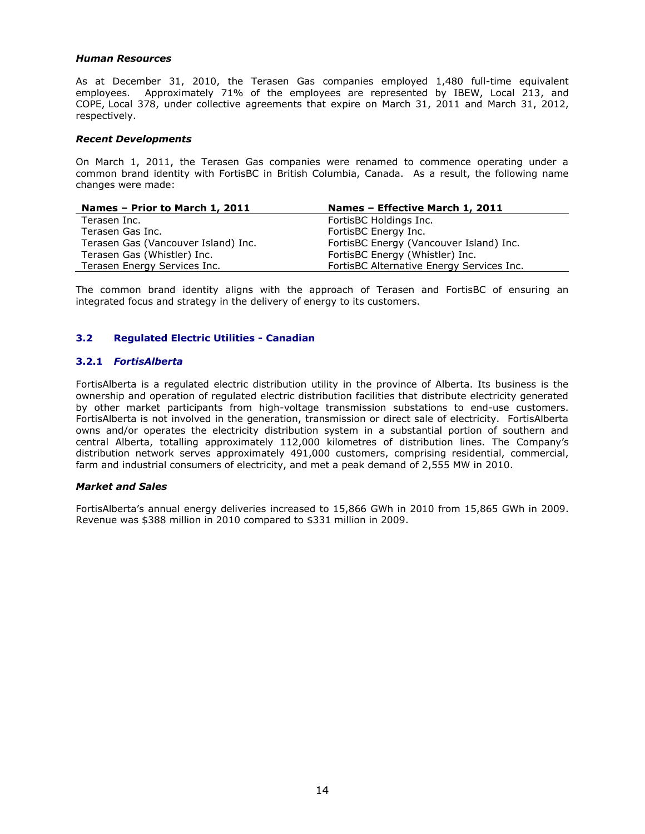#### *Human Resources*

As at December 31, 2010, the Terasen Gas companies employed 1,480 full-time equivalent employees. Approximately 71% of the employees are represented by IBEW, Local 213, and COPE, Local 378, under collective agreements that expire on March 31, 2011 and March 31, 2012, respectively.

#### *Recent Developments*

On March 1, 2011, the Terasen Gas companies were renamed to commence operating under a common brand identity with FortisBC in British Columbia, Canada. As a result, the following name changes were made:

| Names - Prior to March 1, 2011      | Names - Effective March 1, 2011           |
|-------------------------------------|-------------------------------------------|
| Terasen Inc.                        | FortisBC Holdings Inc.                    |
| Terasen Gas Inc.                    | FortisBC Energy Inc.                      |
| Terasen Gas (Vancouver Island) Inc. | FortisBC Energy (Vancouver Island) Inc.   |
| Terasen Gas (Whistler) Inc.         | FortisBC Energy (Whistler) Inc.           |
| Terasen Energy Services Inc.        | FortisBC Alternative Energy Services Inc. |

The common brand identity aligns with the approach of Terasen and FortisBC of ensuring an integrated focus and strategy in the delivery of energy to its customers.

# **3.2 Regulated Electric Utilities - Canadian**

# **3.2.1** *FortisAlberta*

FortisAlberta is a regulated electric distribution utility in the province of Alberta. Its business is the ownership and operation of regulated electric distribution facilities that distribute electricity generated by other market participants from high-voltage transmission substations to end-use customers. FortisAlberta is not involved in the generation, transmission or direct sale of electricity. FortisAlberta owns and/or operates the electricity distribution system in a substantial portion of southern and central Alberta, totalling approximately 112,000 kilometres of distribution lines. The Company"s distribution network serves approximately 491,000 customers, comprising residential, commercial, farm and industrial consumers of electricity, and met a peak demand of 2,555 MW in 2010.

#### *Market and Sales*

FortisAlberta"s annual energy deliveries increased to 15,866 GWh in 2010 from 15,865 GWh in 2009. Revenue was \$388 million in 2010 compared to \$331 million in 2009.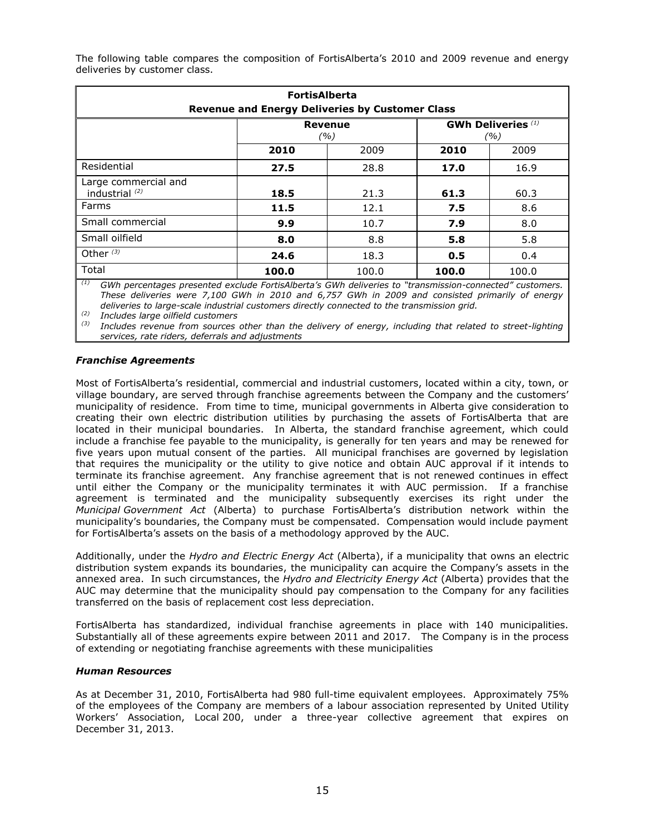The following table compares the composition of FortisAlberta's 2010 and 2009 revenue and energy deliveries by customer class.

| <b>FortisAlberta</b><br><b>Revenue and Energy Deliveries by Customer Class</b> |                                                           |       |       |       |  |
|--------------------------------------------------------------------------------|-----------------------------------------------------------|-------|-------|-------|--|
|                                                                                | <b>GWh Deliveries</b> (1)<br><b>Revenue</b><br>(%)<br>(%) |       |       |       |  |
|                                                                                | 2010                                                      | 2009  | 2010  | 2009  |  |
| Residential                                                                    | 27.5                                                      | 28.8  | 17.0  | 16.9  |  |
| Large commercial and<br>industrial $(2)$                                       | 18.5                                                      | 21.3  | 61.3  | 60.3  |  |
| Farms                                                                          | 11.5                                                      | 12.1  | 7.5   | 8.6   |  |
| Small commercial                                                               | 9.9                                                       | 10.7  | 7.9   | 8.0   |  |
| Small oilfield                                                                 | 8.0                                                       | 8.8   | 5.8   | 5.8   |  |
| Other $(3)$                                                                    | 24.6                                                      | 18.3  | 0.5   | 0.4   |  |
| Total                                                                          | 100.0                                                     | 100.0 | 100.0 | 100.0 |  |

*(1) GWh percentages presented exclude FortisAlberta's GWh deliveries to "transmission-connected" customers. These deliveries were 7,100 GWh in 2010 and 6,757 GWh in 2009 and consisted primarily of energy deliveries to large-scale industrial customers directly connected to the transmission grid.* 

*(2) Includes large oilfield customers*

*(3) Includes revenue from sources other than the delivery of energy, including that related to street-lighting services, rate riders, deferrals and adjustments*

### *Franchise Agreements*

Most of FortisAlberta"s residential, commercial and industrial customers, located within a city, town, or village boundary, are served through franchise agreements between the Company and the customers" municipality of residence. From time to time, municipal governments in Alberta give consideration to creating their own electric distribution utilities by purchasing the assets of FortisAlberta that are located in their municipal boundaries. In Alberta, the standard franchise agreement, which could include a franchise fee payable to the municipality, is generally for ten years and may be renewed for five years upon mutual consent of the parties. All municipal franchises are governed by legislation that requires the municipality or the utility to give notice and obtain AUC approval if it intends to terminate its franchise agreement. Any franchise agreement that is not renewed continues in effect until either the Company or the municipality terminates it with AUC permission. If a franchise agreement is terminated and the municipality subsequently exercises its right under the *Municipal Government Act* (Alberta) to purchase FortisAlberta"s distribution network within the municipality"s boundaries, the Company must be compensated. Compensation would include payment for FortisAlberta's assets on the basis of a methodology approved by the AUC.

Additionally, under the *Hydro and Electric Energy Act* (Alberta), if a municipality that owns an electric distribution system expands its boundaries, the municipality can acquire the Company"s assets in the annexed area. In such circumstances, the *Hydro and Electricity Energy Act* (Alberta) provides that the AUC may determine that the municipality should pay compensation to the Company for any facilities transferred on the basis of replacement cost less depreciation.

FortisAlberta has standardized, individual franchise agreements in place with 140 municipalities. Substantially all of these agreements expire between 2011 and 2017. The Company is in the process of extending or negotiating franchise agreements with these municipalities

# *Human Resources*

As at December 31, 2010, FortisAlberta had 980 full-time equivalent employees. Approximately 75% of the employees of the Company are members of a labour association represented by United Utility Workers" Association, Local 200, under a three-year collective agreement that expires on December 31, 2013.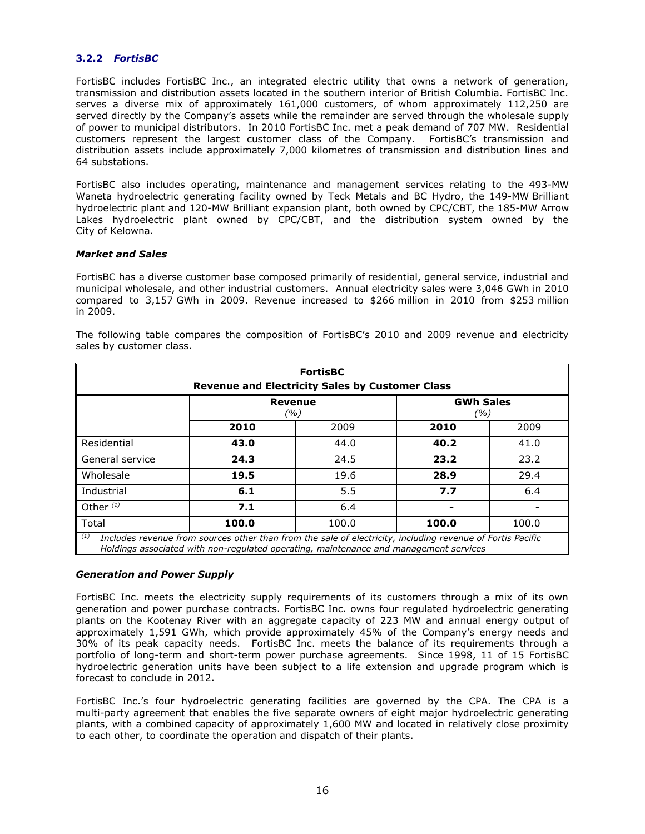# **3.2.2** *FortisBC*

FortisBC includes FortisBC Inc., an integrated electric utility that owns a network of generation, transmission and distribution assets located in the southern interior of British Columbia. FortisBC Inc. serves a diverse mix of approximately 161,000 customers, of whom approximately 112,250 are served directly by the Company's assets while the remainder are served through the wholesale supply of power to municipal distributors. In 2010 FortisBC Inc. met a peak demand of 707 MW. Residential customers represent the largest customer class of the Company. FortisBC"s transmission and distribution assets include approximately 7,000 kilometres of transmission and distribution lines and 64 substations.

FortisBC also includes operating, maintenance and management services relating to the 493-MW Waneta hydroelectric generating facility owned by Teck Metals and BC Hydro, the 149-MW Brilliant hydroelectric plant and 120-MW Brilliant expansion plant, both owned by CPC/CBT, the 185-MW Arrow Lakes hydroelectric plant owned by CPC/CBT, and the distribution system owned by the City of Kelowna.

### *Market and Sales*

FortisBC has a diverse customer base composed primarily of residential, general service, industrial and municipal wholesale, and other industrial customers. Annual electricity sales were 3,046 GWh in 2010 compared to 3,157 GWh in 2009. Revenue increased to \$266 million in 2010 from \$253 million in 2009.

The following table compares the composition of FortisBC"s 2010 and 2009 revenue and electricity sales by customer class.

| <b>FortisBC</b><br><b>Revenue and Electricity Sales by Customer Class</b>                                                                                                                                  |      |      |      |      |  |
|------------------------------------------------------------------------------------------------------------------------------------------------------------------------------------------------------------|------|------|------|------|--|
| <b>GWh Sales</b><br>Revenue<br>(%)<br>(%)                                                                                                                                                                  |      |      |      |      |  |
|                                                                                                                                                                                                            | 2010 | 2009 | 2010 | 2009 |  |
| Residential                                                                                                                                                                                                | 43.0 | 44.0 | 40.2 | 41.0 |  |
| General service                                                                                                                                                                                            | 24.3 | 24.5 | 23.2 | 23.2 |  |
| Wholesale                                                                                                                                                                                                  | 19.5 | 19.6 | 28.9 | 29.4 |  |
| Industrial                                                                                                                                                                                                 | 6.1  | 5.5  | 7.7  | 6.4  |  |
| Other $(1)$                                                                                                                                                                                                | 7.1  | 6.4  |      |      |  |
| Total<br>100.0<br>100.0<br>100.0<br>100.0                                                                                                                                                                  |      |      |      |      |  |
| (1)<br>Includes revenue from sources other than from the sale of electricity, including revenue of Fortis Pacific<br>Holdings associated with non-regulated operating, maintenance and management services |      |      |      |      |  |

# *Generation and Power Supply*

FortisBC Inc. meets the electricity supply requirements of its customers through a mix of its own generation and power purchase contracts. FortisBC Inc. owns four regulated hydroelectric generating plants on the Kootenay River with an aggregate capacity of 223 MW and annual energy output of approximately 1,591 GWh, which provide approximately 45% of the Company's energy needs and 30% of its peak capacity needs. FortisBC Inc. meets the balance of its requirements through a portfolio of long-term and short-term power purchase agreements. Since 1998, 11 of 15 FortisBC hydroelectric generation units have been subject to a life extension and upgrade program which is forecast to conclude in 2012.

FortisBC Inc.'s four hydroelectric generating facilities are governed by the CPA. The CPA is a multi-party agreement that enables the five separate owners of eight major hydroelectric generating plants, with a combined capacity of approximately 1,600 MW and located in relatively close proximity to each other, to coordinate the operation and dispatch of their plants.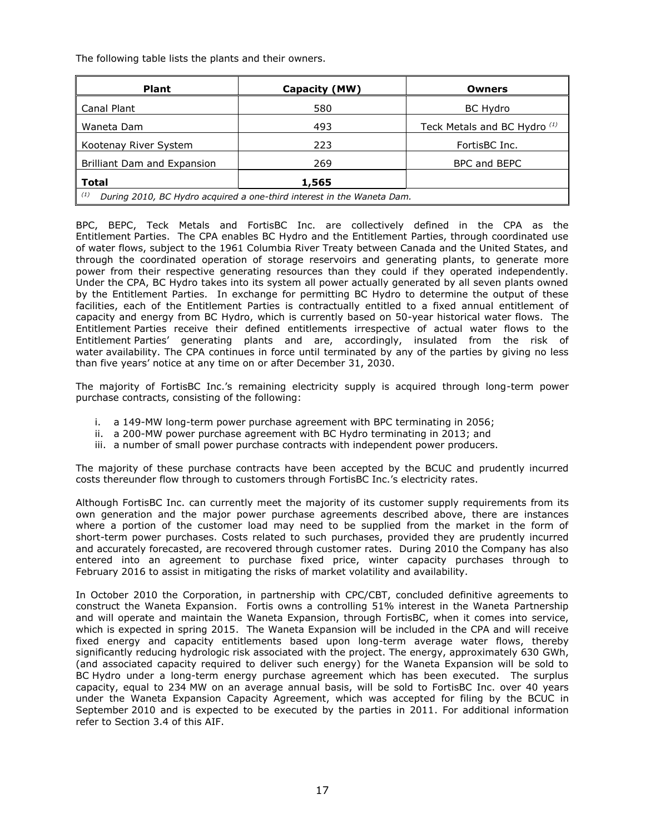The following table lists the plants and their owners.

| <b>Plant</b>                                                                  | Capacity (MW) | <b>Owners</b>                |  |  |
|-------------------------------------------------------------------------------|---------------|------------------------------|--|--|
| Canal Plant                                                                   | 580           | <b>BC Hydro</b>              |  |  |
| Waneta Dam                                                                    | 493           | Teck Metals and BC Hydro (1) |  |  |
| Kootenay River System                                                         | 223           | FortisBC Inc.                |  |  |
| Brilliant Dam and Expansion                                                   | 269           | BPC and BEPC                 |  |  |
| Total<br>1,565                                                                |               |                              |  |  |
| (1)<br>During 2010, BC Hydro acquired a one-third interest in the Waneta Dam. |               |                              |  |  |

BPC, BEPC, Teck Metals and FortisBC Inc. are collectively defined in the CPA as the Entitlement Parties. The CPA enables BC Hydro and the Entitlement Parties, through coordinated use of water flows, subject to the 1961 Columbia River Treaty between Canada and the United States, and through the coordinated operation of storage reservoirs and generating plants, to generate more power from their respective generating resources than they could if they operated independently. Under the CPA, BC Hydro takes into its system all power actually generated by all seven plants owned by the Entitlement Parties. In exchange for permitting BC Hydro to determine the output of these facilities, each of the Entitlement Parties is contractually entitled to a fixed annual entitlement of capacity and energy from BC Hydro, which is currently based on 50-year historical water flows. The Entitlement Parties receive their defined entitlements irrespective of actual water flows to the Entitlement Parties" generating plants and are, accordingly, insulated from the risk of water availability. The CPA continues in force until terminated by any of the parties by giving no less than five years' notice at any time on or after December 31, 2030.

The majority of FortisBC Inc."s remaining electricity supply is acquired through long-term power purchase contracts, consisting of the following:

- i. a 149-MW long-term power purchase agreement with BPC terminating in 2056;
- ii. a 200-MW power purchase agreement with BC Hydro terminating in 2013; and
- iii. a number of small power purchase contracts with independent power producers.

The majority of these purchase contracts have been accepted by the BCUC and prudently incurred costs thereunder flow through to customers through FortisBC Inc."s electricity rates.

Although FortisBC Inc. can currently meet the majority of its customer supply requirements from its own generation and the major power purchase agreements described above, there are instances where a portion of the customer load may need to be supplied from the market in the form of short-term power purchases. Costs related to such purchases, provided they are prudently incurred and accurately forecasted, are recovered through customer rates. During 2010 the Company has also entered into an agreement to purchase fixed price, winter capacity purchases through to February 2016 to assist in mitigating the risks of market volatility and availability.

In October 2010 the Corporation, in partnership with CPC/CBT, concluded definitive agreements to construct the Waneta Expansion. Fortis owns a controlling 51% interest in the Waneta Partnership and will operate and maintain the Waneta Expansion, through FortisBC, when it comes into service, which is expected in spring 2015. The Waneta Expansion will be included in the CPA and will receive fixed energy and capacity entitlements based upon long-term average water flows, thereby significantly reducing hydrologic risk associated with the project. The energy, approximately 630 GWh, (and associated capacity required to deliver such energy) for the Waneta Expansion will be sold to BC Hydro under a long-term energy purchase agreement which has been executed. The surplus capacity, equal to 234 MW on an average annual basis, will be sold to FortisBC Inc. over 40 years under the Waneta Expansion Capacity Agreement, which was accepted for filing by the BCUC in September 2010 and is expected to be executed by the parties in 2011. For additional information refer to Section 3.4 of this AIF.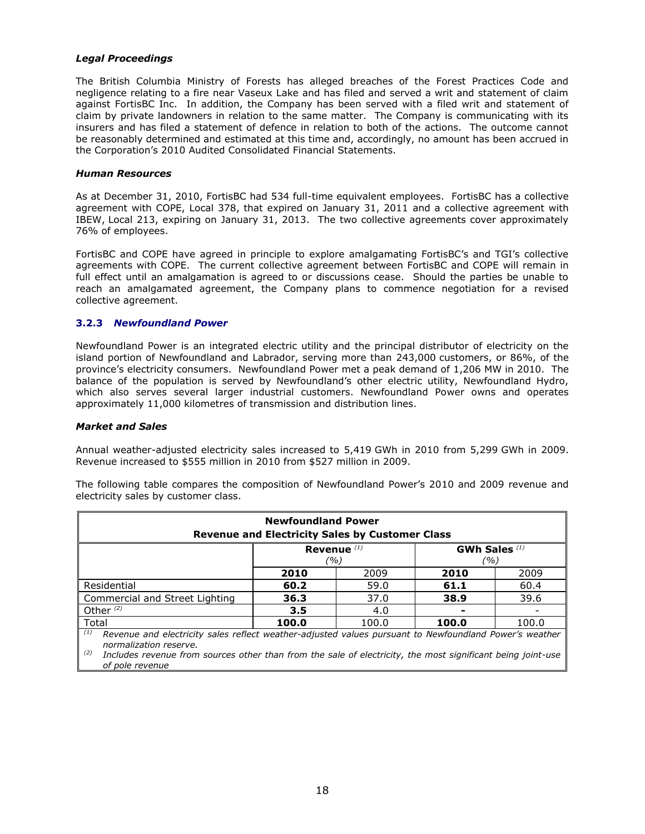### *Legal Proceedings*

The British Columbia Ministry of Forests has alleged breaches of the Forest Practices Code and negligence relating to a fire near Vaseux Lake and has filed and served a writ and statement of claim against FortisBC Inc. In addition, the Company has been served with a filed writ and statement of claim by private landowners in relation to the same matter. The Company is communicating with its insurers and has filed a statement of defence in relation to both of the actions. The outcome cannot be reasonably determined and estimated at this time and, accordingly, no amount has been accrued in the Corporation"s 2010 Audited Consolidated Financial Statements.

#### *Human Resources*

As at December 31, 2010, FortisBC had 534 full-time equivalent employees. FortisBC has a collective agreement with COPE, Local 378, that expired on January 31, 2011 and a collective agreement with IBEW, Local 213, expiring on January 31, 2013. The two collective agreements cover approximately 76% of employees.

FortisBC and COPE have agreed in principle to explore amalgamating FortisBC"s and TGI"s collective agreements with COPE. The current collective agreement between FortisBC and COPE will remain in full effect until an amalgamation is agreed to or discussions cease. Should the parties be unable to reach an amalgamated agreement, the Company plans to commence negotiation for a revised collective agreement.

### **3.2.3** *Newfoundland Power*

Newfoundland Power is an integrated electric utility and the principal distributor of electricity on the island portion of Newfoundland and Labrador, serving more than 243,000 customers, or 86%, of the province"s electricity consumers. Newfoundland Power met a peak demand of 1,206 MW in 2010. The balance of the population is served by Newfoundland"s other electric utility, Newfoundland Hydro, which also serves several larger industrial customers. Newfoundland Power owns and operates approximately 11,000 kilometres of transmission and distribution lines.

#### *Market and Sales*

Annual weather-adjusted electricity sales increased to 5,419 GWh in 2010 from 5,299 GWh in 2009. Revenue increased to \$555 million in 2010 from \$527 million in 2009.

| <b>Newfoundland Power</b><br><b>Revenue and Electricity Sales by Customer Class</b>                           |      |      |      |      |  |  |
|---------------------------------------------------------------------------------------------------------------|------|------|------|------|--|--|
|                                                                                                               |      |      |      |      |  |  |
| GWh Sales <sup>(1)</sup><br>Revenue <sup>(1)</sup><br>(%)<br>(%)                                              |      |      |      |      |  |  |
|                                                                                                               | 2010 | 2009 | 2010 | 2009 |  |  |
| Residential                                                                                                   | 60.2 | 59.0 | 61.1 | 60.4 |  |  |
| Commercial and Street Lighting                                                                                | 36.3 | 37.0 | 38.9 | 39.6 |  |  |
| Other $(2)$                                                                                                   | 3.5  | 4.0  |      |      |  |  |
| Total<br>100.0<br>100.0<br>100.0<br>100.0                                                                     |      |      |      |      |  |  |
| (1)<br>Revenue and electricity sales reflect weather-adjusted values pursuant to Newfoundland Power's weather |      |      |      |      |  |  |

The following table compares the composition of Newfoundland Power"s 2010 and 2009 revenue and electricity sales by customer class.

*normalization reserve.* 

*(2) Includes revenue from sources other than from the sale of electricity, the most significant being joint-use of pole revenue*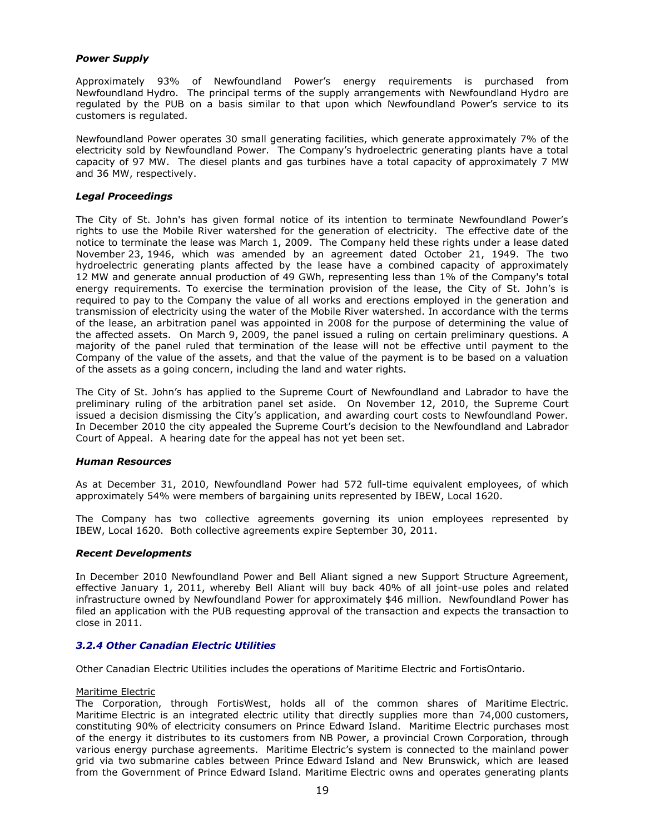# *Power Supply*

Approximately 93% of Newfoundland Power"s energy requirements is purchased from Newfoundland Hydro. The principal terms of the supply arrangements with Newfoundland Hydro are regulated by the PUB on a basis similar to that upon which Newfoundland Power"s service to its customers is regulated.

Newfoundland Power operates 30 small generating facilities, which generate approximately 7% of the electricity sold by Newfoundland Power. The Company's hydroelectric generating plants have a total capacity of 97 MW. The diesel plants and gas turbines have a total capacity of approximately 7 MW and 36 MW, respectively.

### *Legal Proceedings*

The City of St. John's has given formal notice of its intention to terminate Newfoundland Power"s rights to use the Mobile River watershed for the generation of electricity. The effective date of the notice to terminate the lease was March 1, 2009. The Company held these rights under a lease dated November 23, 1946, which was amended by an agreement dated October 21, 1949. The two hydroelectric generating plants affected by the lease have a combined capacity of approximately 12 MW and generate annual production of 49 GWh, representing less than 1% of the Company's total energy requirements. To exercise the termination provision of the lease, the City of St. John"s is required to pay to the Company the value of all works and erections employed in the generation and transmission of electricity using the water of the Mobile River watershed. In accordance with the terms of the lease, an arbitration panel was appointed in 2008 for the purpose of determining the value of the affected assets. On March 9, 2009, the panel issued a ruling on certain preliminary questions. A majority of the panel ruled that termination of the lease will not be effective until payment to the Company of the value of the assets, and that the value of the payment is to be based on a valuation of the assets as a going concern, including the land and water rights.

The City of St. John"s has applied to the Supreme Court of Newfoundland and Labrador to have the preliminary ruling of the arbitration panel set aside. On November 12, 2010, the Supreme Court issued a decision dismissing the City"s application, and awarding court costs to Newfoundland Power. In December 2010 the city appealed the Supreme Court's decision to the Newfoundland and Labrador Court of Appeal. A hearing date for the appeal has not yet been set.

#### *Human Resources*

As at December 31, 2010, Newfoundland Power had 572 full-time equivalent employees, of which approximately 54% were members of bargaining units represented by IBEW, Local 1620.

The Company has two collective agreements governing its union employees represented by IBEW, Local 1620. Both collective agreements expire September 30, 2011.

# *Recent Developments*

In December 2010 Newfoundland Power and Bell Aliant signed a new Support Structure Agreement, effective January 1, 2011, whereby Bell Aliant will buy back 40% of all joint-use poles and related infrastructure owned by Newfoundland Power for approximately \$46 million. Newfoundland Power has filed an application with the PUB requesting approval of the transaction and expects the transaction to close in 2011.

# *3.2.4 Other Canadian Electric Utilities*

Other Canadian Electric Utilities includes the operations of Maritime Electric and FortisOntario.

#### Maritime Electric

The Corporation, through FortisWest, holds all of the common shares of Maritime Electric. Maritime Electric is an integrated electric utility that directly supplies more than 74,000 customers, constituting 90% of electricity consumers on Prince Edward Island. Maritime Electric purchases most of the energy it distributes to its customers from NB Power, a provincial Crown Corporation, through various energy purchase agreements. Maritime Electric"s system is connected to the mainland power grid via two submarine cables between Prince Edward Island and New Brunswick, which are leased from the Government of Prince Edward Island. Maritime Electric owns and operates generating plants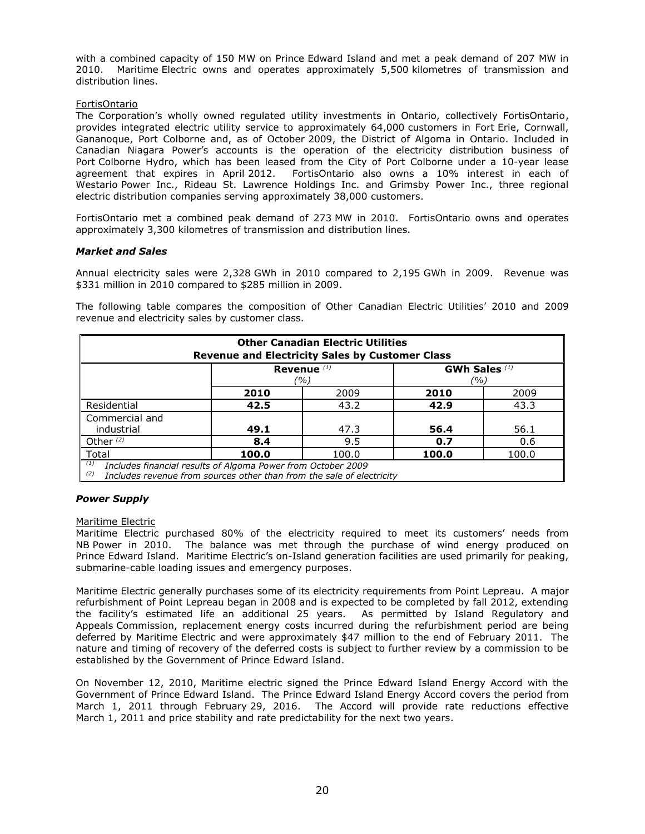with a combined capacity of 150 MW on Prince Edward Island and met a peak demand of 207 MW in 2010. Maritime Electric owns and operates approximately 5,500 kilometres of transmission and distribution lines.

### FortisOntario

The Corporation's wholly owned regulated utility investments in Ontario, collectively FortisOntario, provides integrated electric utility service to approximately 64,000 customers in Fort Erie, Cornwall, Gananoque, Port Colborne and, as of October 2009, the District of Algoma in Ontario. Included in Canadian Niagara Power"s accounts is the operation of the electricity distribution business of Port Colborne Hydro, which has been leased from the City of Port Colborne under a 10-year lease agreement that expires in April 2012. FortisOntario also owns a 10% interest in each of Westario Power Inc., Rideau St. Lawrence Holdings Inc. and Grimsby Power Inc., three regional electric distribution companies serving approximately 38,000 customers.

FortisOntario met a combined peak demand of 273 MW in 2010. FortisOntario owns and operates approximately 3,300 kilometres of transmission and distribution lines.

### *Market and Sales*

Annual electricity sales were 2,328 GWh in 2010 compared to 2,195 GWh in 2009. Revenue was \$331 million in 2010 compared to \$285 million in 2009.

The following table compares the composition of Other Canadian Electric Utilities" 2010 and 2009 revenue and electricity sales by customer class.

| <b>Other Canadian Electric Utilities</b><br><b>Revenue and Electricity Sales by Customer Class</b>                                                  |                              |      |      |      |  |  |
|-----------------------------------------------------------------------------------------------------------------------------------------------------|------------------------------|------|------|------|--|--|
| Revenue $(1)$<br>GWh Sales $(1)$<br>(%)<br>(%)                                                                                                      |                              |      |      |      |  |  |
| 2010<br>2009<br>2010                                                                                                                                |                              |      | 2009 |      |  |  |
| Residential                                                                                                                                         | 43.2<br>43.3<br>42.5<br>42.9 |      |      |      |  |  |
| Commercial and                                                                                                                                      |                              |      |      |      |  |  |
| industrial                                                                                                                                          | 49.1                         | 47.3 | 56.4 | 56.1 |  |  |
| Other $(2)$<br>8.4<br>9.5<br>0.7<br>0.6                                                                                                             |                              |      |      |      |  |  |
| Total<br>100.0<br>100.0<br>100.0<br>100.0                                                                                                           |                              |      |      |      |  |  |
| (1)<br>Includes financial results of Algoma Power from October 2009<br>(2)<br>Includes revenue from sources other than from the sale of electricity |                              |      |      |      |  |  |

#### *Power Supply*

#### Maritime Electric

Maritime Electric purchased 80% of the electricity required to meet its customers' needs from NB Power in 2010. The balance was met through the purchase of wind energy produced on Prince Edward Island. Maritime Electric's on-Island generation facilities are used primarily for peaking, submarine-cable loading issues and emergency purposes.

Maritime Electric generally purchases some of its electricity requirements from Point Lepreau. A major refurbishment of Point Lepreau began in 2008 and is expected to be completed by fall 2012, extending the facility"s estimated life an additional 25 years. As permitted by Island Regulatory and Appeals Commission, replacement energy costs incurred during the refurbishment period are being deferred by Maritime Electric and were approximately \$47 million to the end of February 2011. The nature and timing of recovery of the deferred costs is subject to further review by a commission to be established by the Government of Prince Edward Island.

On November 12, 2010, Maritime electric signed the Prince Edward Island Energy Accord with the Government of Prince Edward Island. The Prince Edward Island Energy Accord covers the period from March 1, 2011 through February 29, 2016. The Accord will provide rate reductions effective March 1, 2011 and price stability and rate predictability for the next two years.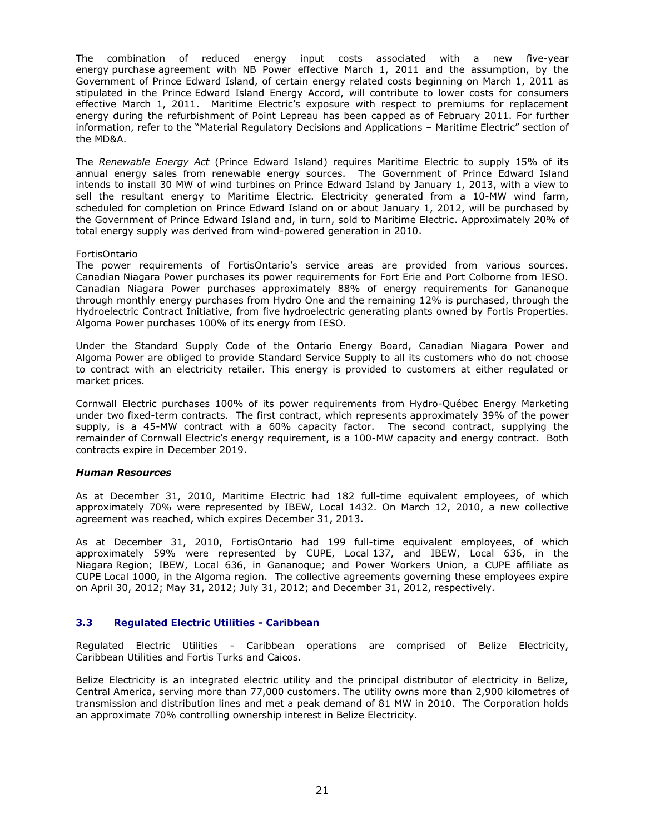The combination of reduced energy input costs associated with a new five-year energy purchase agreement with NB Power effective March 1, 2011 and the assumption, by the Government of Prince Edward Island, of certain energy related costs beginning on March 1, 2011 as stipulated in the Prince Edward Island Energy Accord, will contribute to lower costs for consumers effective March 1, 2011. Maritime Electric's exposure with respect to premiums for replacement energy during the refurbishment of Point Lepreau has been capped as of February 2011. For further information, refer to the "Material Regulatory Decisions and Applications – Maritime Electric" section of the MD&A.

The *Renewable Energy Act* (Prince Edward Island) requires Maritime Electric to supply 15% of its annual energy sales from renewable energy sources. The Government of Prince Edward Island intends to install 30 MW of wind turbines on Prince Edward Island by January 1, 2013, with a view to sell the resultant energy to Maritime Electric. Electricity generated from a 10-MW wind farm, scheduled for completion on Prince Edward Island on or about January 1, 2012, will be purchased by the Government of Prince Edward Island and, in turn, sold to Maritime Electric. Approximately 20% of total energy supply was derived from wind-powered generation in 2010.

### FortisOntario

The power requirements of FortisOntario"s service areas are provided from various sources. Canadian Niagara Power purchases its power requirements for Fort Erie and Port Colborne from IESO. Canadian Niagara Power purchases approximately 88% of energy requirements for Gananoque through monthly energy purchases from Hydro One and the remaining 12% is purchased, through the Hydroelectric Contract Initiative, from five hydroelectric generating plants owned by Fortis Properties. Algoma Power purchases 100% of its energy from IESO.

Under the Standard Supply Code of the Ontario Energy Board, Canadian Niagara Power and Algoma Power are obliged to provide Standard Service Supply to all its customers who do not choose to contract with an electricity retailer. This energy is provided to customers at either regulated or market prices.

Cornwall Electric purchases 100% of its power requirements from Hydro-Québec Energy Marketing under two fixed-term contracts. The first contract, which represents approximately 39% of the power supply, is a 45-MW contract with a 60% capacity factor. The second contract, supplying the remainder of Cornwall Electric's energy requirement, is a 100-MW capacity and energy contract. Both contracts expire in December 2019.

# *Human Resources*

As at December 31, 2010, Maritime Electric had 182 full-time equivalent employees, of which approximately 70% were represented by IBEW, Local 1432. On March 12, 2010, a new collective agreement was reached, which expires December 31, 2013.

As at December 31, 2010, FortisOntario had 199 full-time equivalent employees, of which approximately 59% were represented by CUPE, Local 137, and IBEW, Local 636, in the Niagara Region; IBEW, Local 636, in Gananoque; and Power Workers Union, a CUPE affiliate as CUPE Local 1000, in the Algoma region. The collective agreements governing these employees expire on April 30, 2012; May 31, 2012; July 31, 2012; and December 31, 2012, respectively.

# **3.3 Regulated Electric Utilities - Caribbean**

Regulated Electric Utilities - Caribbean operations are comprised of Belize Electricity, Caribbean Utilities and Fortis Turks and Caicos.

Belize Electricity is an integrated electric utility and the principal distributor of electricity in Belize, Central America, serving more than 77,000 customers. The utility owns more than 2,900 kilometres of transmission and distribution lines and met a peak demand of 81 MW in 2010. The Corporation holds an approximate 70% controlling ownership interest in Belize Electricity.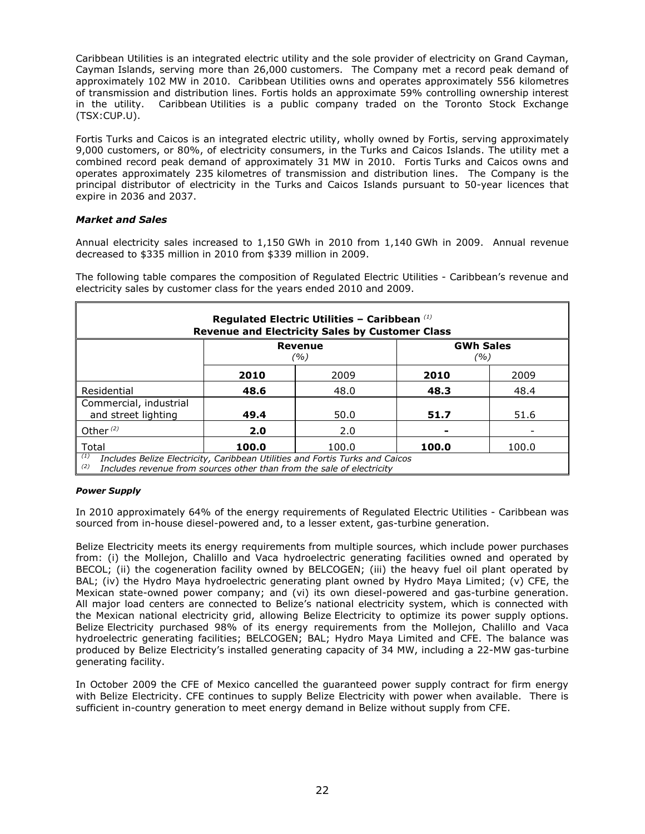Caribbean Utilities is an integrated electric utility and the sole provider of electricity on Grand Cayman, Cayman Islands, serving more than 26,000 customers. The Company met a record peak demand of approximately 102 MW in 2010. Caribbean Utilities owns and operates approximately 556 kilometres of transmission and distribution lines. Fortis holds an approximate 59% controlling ownership interest in the utility. Caribbean Utilities is a public company traded on the Toronto Stock Exchange (TSX:CUP.U).

Fortis Turks and Caicos is an integrated electric utility, wholly owned by Fortis, serving approximately 9,000 customers, or 80%, of electricity consumers, in the Turks and Caicos Islands. The utility met a combined record peak demand of approximately 31 MW in 2010. Fortis Turks and Caicos owns and operates approximately 235 kilometres of transmission and distribution lines. The Company is the principal distributor of electricity in the Turks and Caicos Islands pursuant to 50-year licences that expire in 2036 and 2037.

# *Market and Sales*

Annual electricity sales increased to 1,150 GWh in 2010 from 1,140 GWh in 2009. Annual revenue decreased to \$335 million in 2010 from \$339 million in 2009.

The following table compares the composition of Regulated Electric Utilities - Caribbean's revenue and electricity sales by customer class for the years ended 2010 and 2009.

| Regulated Electric Utilities - Caribbean $^{(1)}$<br><b>Revenue and Electricity Sales by Customer Class</b> |                                           |       |       |       |  |  |  |
|-------------------------------------------------------------------------------------------------------------|-------------------------------------------|-------|-------|-------|--|--|--|
|                                                                                                             | <b>GWh Sales</b><br>Revenue<br>(%)<br>(%) |       |       |       |  |  |  |
|                                                                                                             | 2010                                      | 2009  | 2010  | 2009  |  |  |  |
| Residential                                                                                                 | 48.6                                      | 48.0  | 48.3  | 48.4  |  |  |  |
| Commercial, industrial<br>and street lighting                                                               | 49.4                                      | 50.0  | 51.7  | 51.6  |  |  |  |
| Other $(2)$                                                                                                 | 2.0                                       | 2.0   |       |       |  |  |  |
| Total                                                                                                       | 100.0                                     | 100.0 | 100.0 | 100.0 |  |  |  |

*(2) Includes revenue from sources other than from the sale of electricity*

# *Power Supply*

In 2010 approximately 64% of the energy requirements of Regulated Electric Utilities - Caribbean was sourced from in-house diesel-powered and, to a lesser extent, gas-turbine generation.

Belize Electricity meets its energy requirements from multiple sources, which include power purchases from: (i) the Mollejon, Chalillo and Vaca hydroelectric generating facilities owned and operated by BECOL; (ii) the cogeneration facility owned by BELCOGEN; (iii) the heavy fuel oil plant operated by BAL; (iv) the Hydro Maya hydroelectric generating plant owned by Hydro Maya Limited; (v) CFE, the Mexican state-owned power company; and (vi) its own diesel-powered and gas-turbine generation. All major load centers are connected to Belize"s national electricity system, which is connected with the Mexican national electricity grid, allowing Belize Electricity to optimize its power supply options. Belize Electricity purchased 98% of its energy requirements from the Mollejon, Chalillo and Vaca hydroelectric generating facilities; BELCOGEN; BAL; Hydro Maya Limited and CFE. The balance was produced by Belize Electricity"s installed generating capacity of 34 MW, including a 22-MW gas-turbine generating facility.

In October 2009 the CFE of Mexico cancelled the guaranteed power supply contract for firm energy with Belize Electricity. CFE continues to supply Belize Electricity with power when available. There is sufficient in-country generation to meet energy demand in Belize without supply from CFE.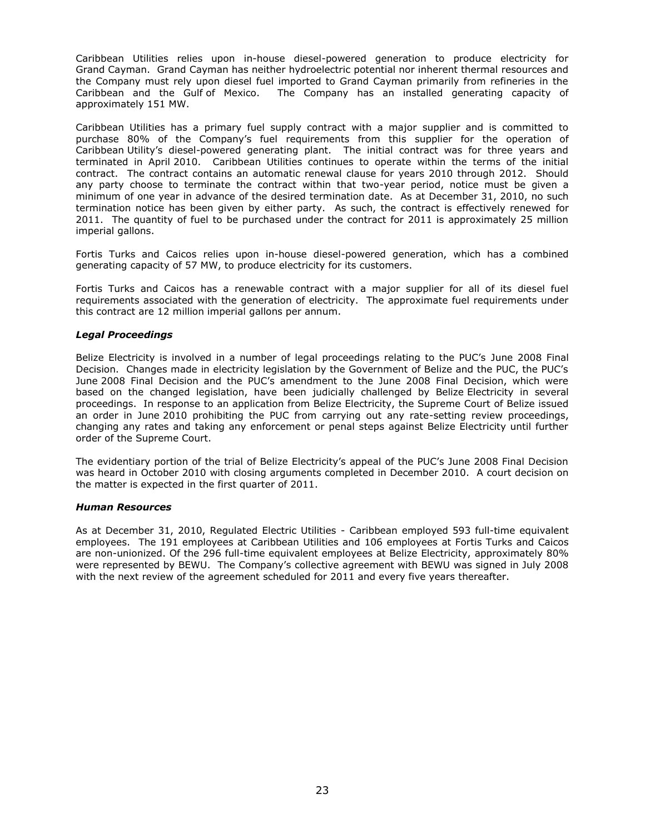Caribbean Utilities relies upon in-house diesel-powered generation to produce electricity for Grand Cayman. Grand Cayman has neither hydroelectric potential nor inherent thermal resources and the Company must rely upon diesel fuel imported to Grand Cayman primarily from refineries in the Caribbean and the Gulf of Mexico. The Company has an installed generating capacity of approximately 151 MW.

Caribbean Utilities has a primary fuel supply contract with a major supplier and is committed to purchase 80% of the Company's fuel requirements from this supplier for the operation of Caribbean Utility"s diesel-powered generating plant. The initial contract was for three years and terminated in April 2010. Caribbean Utilities continues to operate within the terms of the initial contract. The contract contains an automatic renewal clause for years 2010 through 2012. Should any party choose to terminate the contract within that two-year period, notice must be given a minimum of one year in advance of the desired termination date. As at December 31, 2010, no such termination notice has been given by either party. As such, the contract is effectively renewed for 2011. The quantity of fuel to be purchased under the contract for 2011 is approximately 25 million imperial gallons.

Fortis Turks and Caicos relies upon in-house diesel-powered generation, which has a combined generating capacity of 57 MW, to produce electricity for its customers.

Fortis Turks and Caicos has a renewable contract with a major supplier for all of its diesel fuel requirements associated with the generation of electricity. The approximate fuel requirements under this contract are 12 million imperial gallons per annum.

### *Legal Proceedings*

Belize Electricity is involved in a number of legal proceedings relating to the PUC"s June 2008 Final Decision. Changes made in electricity legislation by the Government of Belize and the PUC, the PUC"s June 2008 Final Decision and the PUC"s amendment to the June 2008 Final Decision, which were based on the changed legislation, have been judicially challenged by Belize Electricity in several proceedings. In response to an application from Belize Electricity, the Supreme Court of Belize issued an order in June 2010 prohibiting the PUC from carrying out any rate-setting review proceedings, changing any rates and taking any enforcement or penal steps against Belize Electricity until further order of the Supreme Court.

The evidentiary portion of the trial of Belize Electricity"s appeal of the PUC"s June 2008 Final Decision was heard in October 2010 with closing arguments completed in December 2010. A court decision on the matter is expected in the first quarter of 2011.

#### *Human Resources*

As at December 31, 2010, Regulated Electric Utilities - Caribbean employed 593 full-time equivalent employees. The 191 employees at Caribbean Utilities and 106 employees at Fortis Turks and Caicos are non-unionized. Of the 296 full-time equivalent employees at Belize Electricity, approximately 80% were represented by BEWU. The Company"s collective agreement with BEWU was signed in July 2008 with the next review of the agreement scheduled for 2011 and every five years thereafter.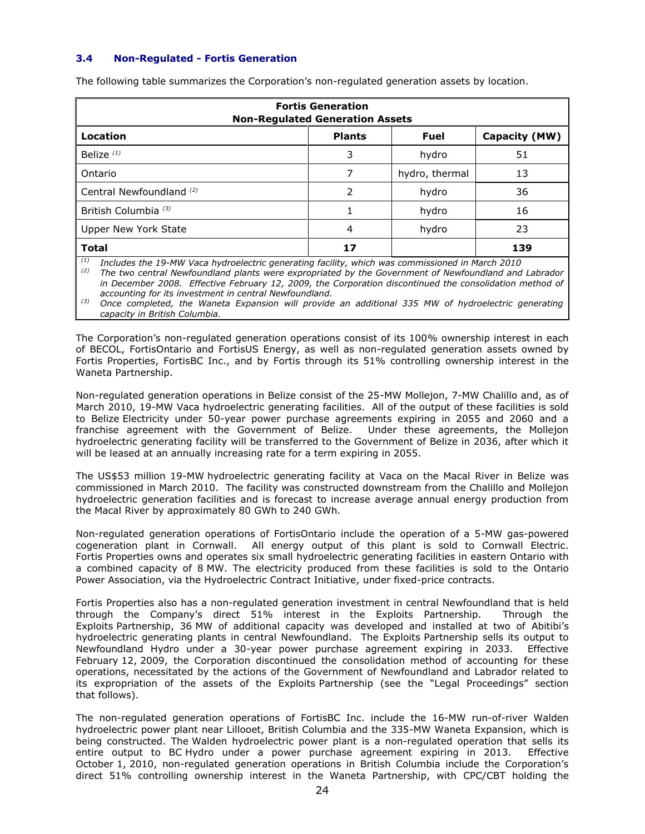# **3.4 Non-Regulated - Fortis Generation**

| <b>Fortis Generation</b><br><b>Non-Regulated Generation Assets</b> |                |                |     |  |  |
|--------------------------------------------------------------------|----------------|----------------|-----|--|--|
| Location<br><b>Fuel</b><br><b>Plants</b><br>Capacity (MW)          |                |                |     |  |  |
| Belize <sup>(1)</sup>                                              | 3              | hydro          | 51  |  |  |
| Ontario                                                            | 7              | hydro, thermal | 13  |  |  |
| Central Newfoundland <sup>(2)</sup>                                | 2              | hydro          | 36  |  |  |
| British Columbia <sup>(3)</sup>                                    |                | hydro          | 16  |  |  |
| Upper New York State                                               | $\overline{4}$ | hydro          | 23  |  |  |
| <b>Total</b>                                                       | 17             |                | 139 |  |  |

The following table summarizes the Corporation's non-regulated generation assets by location.

*(1) Includes the 19-MW Vaca hydroelectric generating facility, which was commissioned in March 2010*

*(2) The two central Newfoundland plants were expropriated by the Government of Newfoundland and Labrador in December 2008. Effective February 12, 2009, the Corporation discontinued the consolidation method of accounting for its investment in central Newfoundland.*

*(3) Once completed, the Waneta Expansion will provide an additional 335 MW of hydroelectric generating capacity in British Columbia.*

The Corporation"s non-regulated generation operations consist of its 100% ownership interest in each of BECOL, FortisOntario and FortisUS Energy, as well as non-regulated generation assets owned by Fortis Properties, FortisBC Inc., and by Fortis through its 51% controlling ownership interest in the Waneta Partnership.

Non-regulated generation operations in Belize consist of the 25-MW Mollejon, 7-MW Chalillo and, as of March 2010, 19-MW Vaca hydroelectric generating facilities. All of the output of these facilities is sold to Belize Electricity under 50-year power purchase agreements expiring in 2055 and 2060 and a franchise agreement with the Government of Belize. Under these agreements, the Mollejon hydroelectric generating facility will be transferred to the Government of Belize in 2036, after which it will be leased at an annually increasing rate for a term expiring in 2055.

The US\$53 million 19-MW hydroelectric generating facility at Vaca on the Macal River in Belize was commissioned in March 2010. The facility was constructed downstream from the Chalillo and Mollejon hydroelectric generation facilities and is forecast to increase average annual energy production from the Macal River by approximately 80 GWh to 240 GWh.

Non-regulated generation operations of FortisOntario include the operation of a 5-MW gas-powered cogeneration plant in Cornwall. All energy output of this plant is sold to Cornwall Electric. Fortis Properties owns and operates six small hydroelectric generating facilities in eastern Ontario with a combined capacity of 8 MW. The electricity produced from these facilities is sold to the Ontario Power Association, via the Hydroelectric Contract Initiative, under fixed-price contracts.

Fortis Properties also has a non-regulated generation investment in central Newfoundland that is held through the Company"s direct 51% interest in the Exploits Partnership. Through the Exploits Partnership, 36 MW of additional capacity was developed and installed at two of Abitibi"s hydroelectric generating plants in central Newfoundland. The Exploits Partnership sells its output to Newfoundland Hydro under a 30-year power purchase agreement expiring in 2033. Effective February 12, 2009, the Corporation discontinued the consolidation method of accounting for these operations, necessitated by the actions of the Government of Newfoundland and Labrador related to its expropriation of the assets of the Exploits Partnership (see the "Legal Proceedings" section that follows).

The non-regulated generation operations of FortisBC Inc. include the 16-MW run-of-river Walden hydroelectric power plant near Lillooet, British Columbia and the 335-MW Waneta Expansion, which is being constructed. The Walden hydroelectric power plant is a non-regulated operation that sells its entire output to BC Hydro under a power purchase agreement expiring in 2013. Effective October 1, 2010, non-regulated generation operations in British Columbia include the Corporation"s direct 51% controlling ownership interest in the Waneta Partnership, with CPC/CBT holding the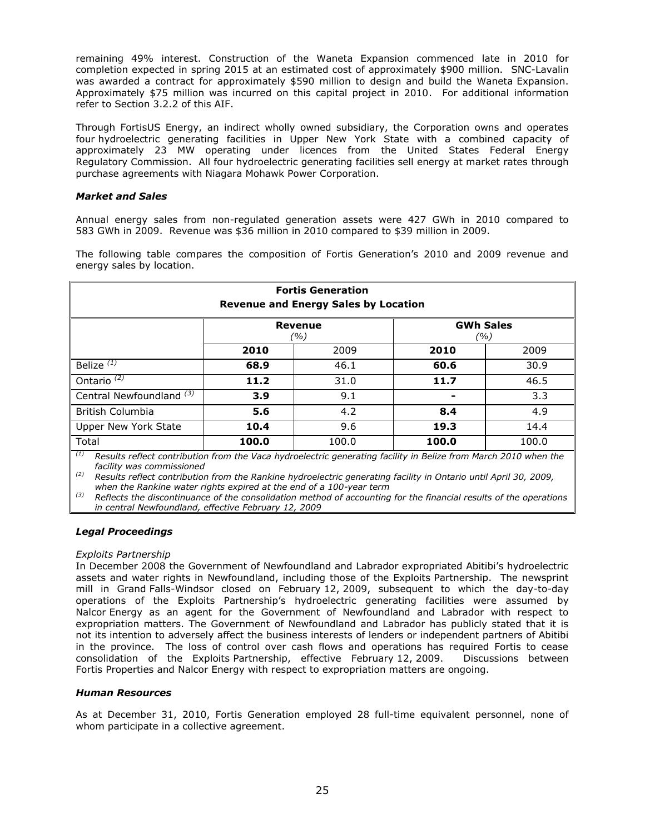remaining 49% interest. Construction of the Waneta Expansion commenced late in 2010 for completion expected in spring 2015 at an estimated cost of approximately \$900 million. SNC-Lavalin was awarded a contract for approximately \$590 million to design and build the Waneta Expansion. Approximately \$75 million was incurred on this capital project in 2010. For additional information refer to Section 3.2.2 of this AIF.

Through FortisUS Energy, an indirect wholly owned subsidiary, the Corporation owns and operates four hydroelectric generating facilities in Upper New York State with a combined capacity of approximately 23 MW operating under licences from the United States Federal Energy Regulatory Commission. All four hydroelectric generating facilities sell energy at market rates through purchase agreements with Niagara Mohawk Power Corporation.

### *Market and Sales*

Annual energy sales from non-regulated generation assets were 427 GWh in 2010 compared to 583 GWh in 2009. Revenue was \$36 million in 2010 compared to \$39 million in 2009.

The following table compares the composition of Fortis Generation's 2010 and 2009 revenue and energy sales by location.

| <b>Fortis Generation</b><br><b>Revenue and Energy Sales by Location</b>                                       |                                                                                                                                                                                                                                            |                               |                                                    |                                                         |
|---------------------------------------------------------------------------------------------------------------|--------------------------------------------------------------------------------------------------------------------------------------------------------------------------------------------------------------------------------------------|-------------------------------|----------------------------------------------------|---------------------------------------------------------|
|                                                                                                               |                                                                                                                                                                                                                                            | Revenue<br>(%)                |                                                    | <b>GWh Sales</b><br>(%)                                 |
|                                                                                                               | 2010                                                                                                                                                                                                                                       | 2009                          | 2010                                               | 2009                                                    |
| Belize $(\overline{1)}$                                                                                       | 68.9                                                                                                                                                                                                                                       | 46.1                          | 60.6                                               | 30.9                                                    |
| Ontario $\overline{^{(2)}}$                                                                                   | 11.2                                                                                                                                                                                                                                       | 31.0                          | 11.7                                               | 46.5                                                    |
| Central Newfoundland <sup>(3)</sup>                                                                           | 3.9                                                                                                                                                                                                                                        | 9.1                           |                                                    | 3.3                                                     |
| British Columbia                                                                                              | 5.6                                                                                                                                                                                                                                        | 4.2                           | 8.4                                                | 4.9                                                     |
| Upper New York State                                                                                          | 10.4                                                                                                                                                                                                                                       | 9.6                           | 19.3                                               | 14.4                                                    |
| Total<br>$\mathcal{L}(1)$ and $\mathcal{L}(2)$ and $\mathcal{L}(3)$ and $\mathcal{L}(4)$ and $\mathcal{L}(3)$ | 100.0<br>$\mathbf{r}$ , and a set of the set of the set of the set of the set of the set of the set of the set of the set of the set of the set of the set of the set of the set of the set of the set of the set of the set of the set of | 100.0<br>$\sim$ $\sim$ $\sim$ | 100.0<br>$\sim$ $\sim$ $\sim$ $\sim$ $\sim$ $\sim$ | 100.0<br>$\mathbf{r}$ and $\mathbf{r}$ and $\mathbf{r}$ |

*(1) Results reflect contribution from the Vaca hydroelectric generating facility in Belize from March 2010 when the facility was commissioned* 

*(2) Results reflect contribution from the Rankine hydroelectric generating facility in Ontario until April 30, 2009, when the Rankine water rights expired at the end of a 100-year term*

*(3) Reflects the discontinuance of the consolidation method of accounting for the financial results of the operations in central Newfoundland, effective February 12, 2009*

#### *Legal Proceedings*

#### *Exploits Partnership*

In December 2008 the Government of Newfoundland and Labrador expropriated Abitibi"s hydroelectric assets and water rights in Newfoundland, including those of the Exploits Partnership. The newsprint mill in Grand Falls-Windsor closed on February 12, 2009, subsequent to which the day-to-day operations of the Exploits Partnership"s hydroelectric generating facilities were assumed by Nalcor Energy as an agent for the Government of Newfoundland and Labrador with respect to expropriation matters. The Government of Newfoundland and Labrador has publicly stated that it is not its intention to adversely affect the business interests of lenders or independent partners of Abitibi in the province. The loss of control over cash flows and operations has required Fortis to cease consolidation of the Exploits Partnership, effective February 12, 2009. Discussions between Fortis Properties and Nalcor Energy with respect to expropriation matters are ongoing.

#### *Human Resources*

As at December 31, 2010, Fortis Generation employed 28 full-time equivalent personnel, none of whom participate in a collective agreement.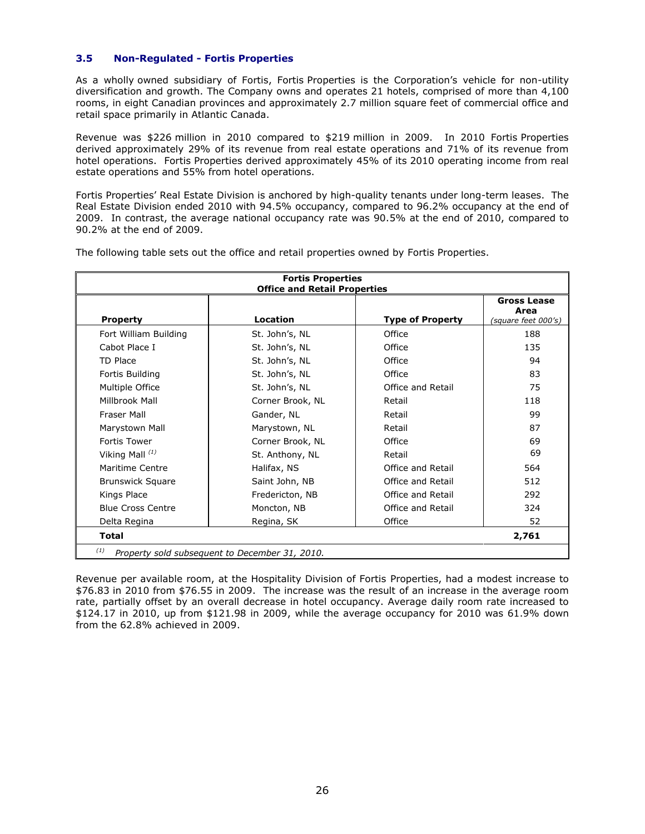# **3.5 Non-Regulated - Fortis Properties**

As a wholly owned subsidiary of Fortis, Fortis Properties is the Corporation"s vehicle for non-utility diversification and growth. The Company owns and operates 21 hotels, comprised of more than 4,100 rooms, in eight Canadian provinces and approximately 2.7 million square feet of commercial office and retail space primarily in Atlantic Canada.

Revenue was \$226 million in 2010 compared to \$219 million in 2009. In 2010 Fortis Properties derived approximately 29% of its revenue from real estate operations and 71% of its revenue from hotel operations. Fortis Properties derived approximately 45% of its 2010 operating income from real estate operations and 55% from hotel operations.

Fortis Properties" Real Estate Division is anchored by high-quality tenants under long-term leases. The Real Estate Division ended 2010 with 94.5% occupancy, compared to 96.2% occupancy at the end of 2009. In contrast, the average national occupancy rate was 90.5% at the end of 2010, compared to 90.2% at the end of 2009.

| <b>Fortis Properties</b><br><b>Office and Retail Properties</b> |                  |                         |                                                   |
|-----------------------------------------------------------------|------------------|-------------------------|---------------------------------------------------|
| <b>Property</b>                                                 | Location         | <b>Type of Property</b> | <b>Gross Lease</b><br>Area<br>(square feet 000's) |
| Fort William Building                                           | St. John's, NL   | Office                  | 188                                               |
| Cabot Place I                                                   | St. John's, NL   | Office                  | 135                                               |
| TD Place                                                        | St. John's, NL   | Office                  | 94                                                |
| Fortis Building                                                 | St. John's, NL   | Office                  | 83                                                |
| Multiple Office                                                 | St. John's, NL   | Office and Retail       | 75                                                |
| Millbrook Mall                                                  | Corner Brook, NL | Retail                  | 118                                               |
| Fraser Mall                                                     | Gander, NL       | Retail                  | 99                                                |
| Marystown Mall                                                  | Marystown, NL    | Retail                  | 87                                                |
| <b>Fortis Tower</b>                                             | Corner Brook, NL | Office                  | 69                                                |
| Viking Mall $(1)$                                               | St. Anthony, NL  | Retail                  | 69                                                |
| Maritime Centre                                                 | Halifax, NS      | Office and Retail       | 564                                               |
| <b>Brunswick Square</b>                                         | Saint John, NB   | Office and Retail       | 512                                               |
| Kings Place                                                     | Fredericton, NB  | Office and Retail       | 292                                               |
| <b>Blue Cross Centre</b>                                        | Moncton, NB      | Office and Retail       | 324                                               |
| Delta Regina                                                    | Regina, SK       | Office                  | 52                                                |
| <b>Total</b><br>2,761                                           |                  |                         |                                                   |
| (1)<br>Property sold subsequent to December 31, 2010.           |                  |                         |                                                   |

The following table sets out the office and retail properties owned by Fortis Properties.

Revenue per available room, at the Hospitality Division of Fortis Properties, had a modest increase to \$76.83 in 2010 from \$76.55 in 2009. The increase was the result of an increase in the average room rate, partially offset by an overall decrease in hotel occupancy. Average daily room rate increased to \$124.17 in 2010, up from \$121.98 in 2009, while the average occupancy for 2010 was 61.9% down from the 62.8% achieved in 2009.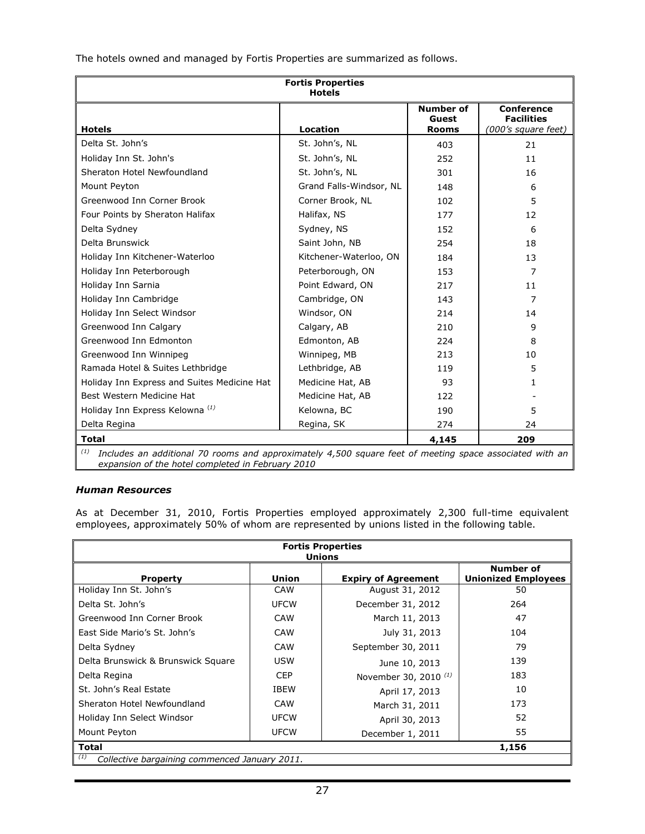The hotels owned and managed by Fortis Properties are summarized as follows.

| <b>Fortis Properties</b><br><b>Hotels</b>                                                                      |                         |                                           |                                                               |  |
|----------------------------------------------------------------------------------------------------------------|-------------------------|-------------------------------------------|---------------------------------------------------------------|--|
| <b>Hotels</b>                                                                                                  | <b>Location</b>         | <b>Number of</b><br>Guest<br><b>Rooms</b> | <b>Conference</b><br><b>Facilities</b><br>(000's square feet) |  |
| Delta St. John's                                                                                               | St. John's, NL          | 403                                       | 21                                                            |  |
| Holiday Inn St. John's                                                                                         | St. John's, NL          | 252                                       | 11                                                            |  |
| Sheraton Hotel Newfoundland                                                                                    | St. John's, NL          | 301                                       | 16                                                            |  |
| Mount Peyton                                                                                                   | Grand Falls-Windsor, NL | 148                                       | 6                                                             |  |
| Greenwood Inn Corner Brook                                                                                     | Corner Brook, NL        | 102                                       | 5                                                             |  |
| Four Points by Sheraton Halifax                                                                                | Halifax, NS             | 177                                       | 12                                                            |  |
| Delta Sydney                                                                                                   | Sydney, NS              | 152                                       | 6                                                             |  |
| Delta Brunswick                                                                                                | Saint John, NB          | 254                                       | 18                                                            |  |
| Holiday Inn Kitchener-Waterloo                                                                                 | Kitchener-Waterloo, ON  | 184                                       | 13                                                            |  |
| Holiday Inn Peterborough                                                                                       | Peterborough, ON        | 153                                       | 7                                                             |  |
| Holiday Inn Sarnia                                                                                             | Point Edward, ON        | 217                                       | 11                                                            |  |
| Holiday Inn Cambridge                                                                                          | Cambridge, ON           | 143                                       | 7                                                             |  |
| Holiday Inn Select Windsor                                                                                     | Windsor, ON             | 214                                       | 14                                                            |  |
| Greenwood Inn Calgary                                                                                          | Calgary, AB             | 210                                       | 9                                                             |  |
| Greenwood Inn Edmonton                                                                                         | Edmonton, AB            | 224                                       | 8                                                             |  |
| Greenwood Inn Winnipeg                                                                                         | Winnipeg, MB            | 213                                       | 10                                                            |  |
| Ramada Hotel & Suites Lethbridge                                                                               | Lethbridge, AB          | 119                                       | 5                                                             |  |
| Holiday Inn Express and Suites Medicine Hat                                                                    | Medicine Hat, AB        | 93                                        | 1                                                             |  |
| Best Western Medicine Hat                                                                                      | Medicine Hat, AB        | 122                                       |                                                               |  |
| Holiday Inn Express Kelowna <sup>(1)</sup>                                                                     | Kelowna, BC             | 190                                       | 5                                                             |  |
| Delta Regina                                                                                                   | Regina, SK              | 274                                       | 24                                                            |  |
| <b>Total</b><br>209<br>4,145                                                                                   |                         |                                           |                                                               |  |
| (1)<br>Includes an additional 70 rooms and approximately 4,500 square feet of meeting space associated with an |                         |                                           |                                                               |  |

*expansion of the hotel completed in February 2010*

# *Human Resources*

As at December 31, 2010, Fortis Properties employed approximately 2,300 full-time equivalent employees, approximately 50% of whom are represented by unions listed in the following table.

| <b>Fortis Properties</b><br><b>Unions</b>            |              |                                  |                                                |  |
|------------------------------------------------------|--------------|----------------------------------|------------------------------------------------|--|
| <b>Property</b>                                      | <b>Union</b> | <b>Expiry of Agreement</b>       | <b>Number of</b><br><b>Unionized Employees</b> |  |
| Holiday Inn St. John's                               | CAW          | August 31, 2012                  | 50                                             |  |
| Delta St. John's                                     | <b>UFCW</b>  | December 31, 2012                | 264                                            |  |
| Greenwood Inn Corner Brook                           | CAW          | March 11, 2013                   | 47                                             |  |
| East Side Mario's St. John's                         | <b>CAW</b>   | July 31, 2013                    | 104                                            |  |
| Delta Sydney                                         | <b>CAW</b>   | September 30, 2011               | 79                                             |  |
| Delta Brunswick & Brunswick Square                   | <b>USW</b>   | June 10, 2013                    | 139                                            |  |
| Delta Regina                                         | <b>CEP</b>   | November 30, 2010 <sup>(1)</sup> | 183                                            |  |
| St. John's Real Estate                               | <b>IBEW</b>  | April 17, 2013                   | 10                                             |  |
| Sheraton Hotel Newfoundland                          | CAW          | March 31, 2011                   | 173                                            |  |
| Holiday Inn Select Windsor                           | <b>UFCW</b>  | April 30, 2013                   | 52                                             |  |
| Mount Peyton                                         | <b>UFCW</b>  | December 1, 2011                 | 55                                             |  |
| <b>Total</b><br>1,156                                |              |                                  |                                                |  |
| (1)<br>Collective bargaining commenced January 2011. |              |                                  |                                                |  |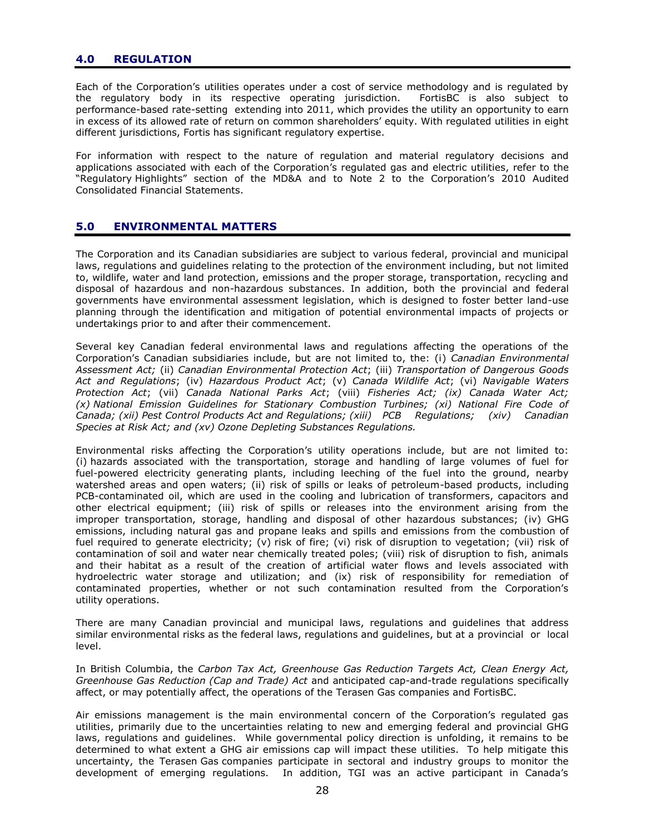# **4.0 REGULATION**

Each of the Corporation"s utilities operates under a cost of service methodology and is regulated by the regulatory body in its respective operating jurisdiction. FortisBC is also subject to performance-based rate-setting extending into 2011, which provides the utility an opportunity to earn in excess of its allowed rate of return on common shareholders" equity. With regulated utilities in eight different jurisdictions, Fortis has significant regulatory expertise.

For information with respect to the nature of regulation and material regulatory decisions and applications associated with each of the Corporation's regulated gas and electric utilities, refer to the "Regulatory Highlights" section of the MD&A and to Note 2 to the Corporation's 2010 Audited Consolidated Financial Statements.

# **5.0 ENVIRONMENTAL MATTERS**

The Corporation and its Canadian subsidiaries are subject to various federal, provincial and municipal laws, regulations and guidelines relating to the protection of the environment including, but not limited to, wildlife, water and land protection, emissions and the proper storage, transportation, recycling and disposal of hazardous and non-hazardous substances. In addition, both the provincial and federal governments have environmental assessment legislation, which is designed to foster better land-use planning through the identification and mitigation of potential environmental impacts of projects or undertakings prior to and after their commencement.

Several key Canadian federal environmental laws and regulations affecting the operations of the Corporation"s Canadian subsidiaries include, but are not limited to, the: (i) *Canadian Environmental Assessment Act;* (ii) *Canadian Environmental Protection Act*; (iii) *Transportation of Dangerous Goods Act and Regulations*; (iv) *Hazardous Product Act*; (v) *Canada Wildlife Act*; (vi) *Navigable Waters Protection Act*; (vii) *Canada National Parks Act*; (viii) *Fisheries Act; (ix) Canada Water Act; (x) National Emission Guidelines for Stationary Combustion Turbines; (xi) National Fire Code of Canada; (xii) Pest Control Products Act and Regulations; (xiii) PCB Regulations; (xiv) Canadian Species at Risk Act; and (xv) Ozone Depleting Substances Regulations.*

Environmental risks affecting the Corporation"s utility operations include, but are not limited to: (i) hazards associated with the transportation, storage and handling of large volumes of fuel for fuel-powered electricity generating plants, including leeching of the fuel into the ground, nearby watershed areas and open waters; (ii) risk of spills or leaks of petroleum-based products, including PCB-contaminated oil, which are used in the cooling and lubrication of transformers, capacitors and other electrical equipment; (iii) risk of spills or releases into the environment arising from the improper transportation, storage, handling and disposal of other hazardous substances; (iv) GHG emissions, including natural gas and propane leaks and spills and emissions from the combustion of fuel required to generate electricity; (v) risk of fire; (vi) risk of disruption to vegetation; (vii) risk of contamination of soil and water near chemically treated poles; (viii) risk of disruption to fish, animals and their habitat as a result of the creation of artificial water flows and levels associated with hydroelectric water storage and utilization; and (ix) risk of responsibility for remediation of contaminated properties, whether or not such contamination resulted from the Corporation"s utility operations.

There are many Canadian provincial and municipal laws, regulations and guidelines that address similar environmental risks as the federal laws, regulations and guidelines, but at a provincial or local level.

In British Columbia, the *Carbon Tax Act, Greenhouse Gas Reduction Targets Act, Clean Energy Act, Greenhouse Gas Reduction (Cap and Trade) Act* and anticipated cap-and-trade regulations specifically affect, or may potentially affect, the operations of the Terasen Gas companies and FortisBC.

Air emissions management is the main environmental concern of the Corporation's regulated gas utilities, primarily due to the uncertainties relating to new and emerging federal and provincial GHG laws, regulations and guidelines. While governmental policy direction is unfolding, it remains to be determined to what extent a GHG air emissions cap will impact these utilities. To help mitigate this uncertainty, the Terasen Gas companies participate in sectoral and industry groups to monitor the development of emerging regulations. In addition, TGI was an active participant in Canada"s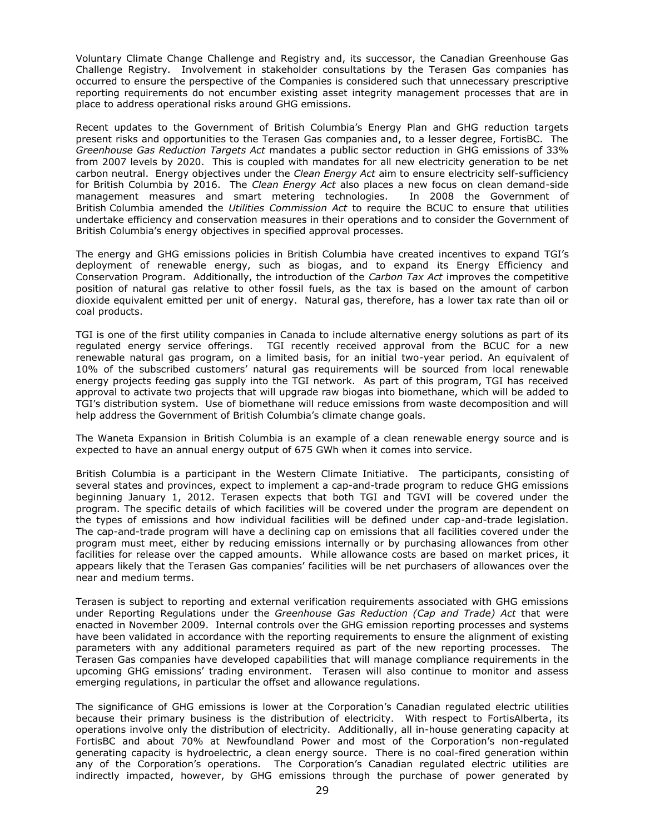Voluntary Climate Change Challenge and Registry and, its successor, the Canadian Greenhouse Gas Challenge Registry. Involvement in stakeholder consultations by the Terasen Gas companies has occurred to ensure the perspective of the Companies is considered such that unnecessary prescriptive reporting requirements do not encumber existing asset integrity management processes that are in place to address operational risks around GHG emissions.

Recent updates to the Government of British Columbia"s Energy Plan and GHG reduction targets present risks and opportunities to the Terasen Gas companies and, to a lesser degree, FortisBC. The *Greenhouse Gas Reduction Targets Act* mandates a public sector reduction in GHG emissions of 33% from 2007 levels by 2020. This is coupled with mandates for all new electricity generation to be net carbon neutral. Energy objectives under the *Clean Energy Act* aim to ensure electricity self-sufficiency for British Columbia by 2016. The *Clean Energy Act* also places a new focus on clean demand-side management measures and smart metering technologies. In 2008 the Government of British Columbia amended the *Utilities Commission Act* to require the BCUC to ensure that utilities undertake efficiency and conservation measures in their operations and to consider the Government of British Columbia's energy objectives in specified approval processes.

The energy and GHG emissions policies in British Columbia have created incentives to expand TGI"s deployment of renewable energy, such as biogas, and to expand its Energy Efficiency and Conservation Program. Additionally, the introduction of the *Carbon Tax Act* improves the competitive position of natural gas relative to other fossil fuels, as the tax is based on the amount of carbon dioxide equivalent emitted per unit of energy. Natural gas, therefore, has a lower tax rate than oil or coal products.

TGI is one of the first utility companies in Canada to include alternative energy solutions as part of its regulated energy service offerings. TGI recently received approval from the BCUC for a new renewable natural gas program, on a limited basis, for an initial two-year period. An equivalent of 10% of the subscribed customers" natural gas requirements will be sourced from local renewable energy projects feeding gas supply into the TGI network. As part of this program, TGI has received approval to activate two projects that will upgrade raw biogas into biomethane, which will be added to TGI"s distribution system. Use of biomethane will reduce emissions from waste decomposition and will help address the Government of British Columbia's climate change goals.

The Waneta Expansion in British Columbia is an example of a clean renewable energy source and is expected to have an annual energy output of 675 GWh when it comes into service.

British Columbia is a participant in the Western Climate Initiative. The participants, consisting of several states and provinces, expect to implement a cap-and-trade program to reduce GHG emissions beginning January 1, 2012. Terasen expects that both TGI and TGVI will be covered under the program. The specific details of which facilities will be covered under the program are dependent on the types of emissions and how individual facilities will be defined under cap-and-trade legislation. The cap-and-trade program will have a declining cap on emissions that all facilities covered under the program must meet, either by reducing emissions internally or by purchasing allowances from other facilities for release over the capped amounts. While allowance costs are based on market prices, it appears likely that the Terasen Gas companies" facilities will be net purchasers of allowances over the near and medium terms.

Terasen is subject to reporting and external verification requirements associated with GHG emissions under Reporting Regulations under the *Greenhouse Gas Reduction (Cap and Trade) Act* that were enacted in November 2009. Internal controls over the GHG emission reporting processes and systems have been validated in accordance with the reporting requirements to ensure the alignment of existing parameters with any additional parameters required as part of the new reporting processes. The Terasen Gas companies have developed capabilities that will manage compliance requirements in the upcoming GHG emissions" trading environment. Terasen will also continue to monitor and assess emerging regulations, in particular the offset and allowance regulations.

The significance of GHG emissions is lower at the Corporation"s Canadian regulated electric utilities because their primary business is the distribution of electricity. With respect to FortisAlberta, its operations involve only the distribution of electricity. Additionally, all in-house generating capacity at FortisBC and about 70% at Newfoundland Power and most of the Corporation's non-regulated generating capacity is hydroelectric, a clean energy source. There is no coal-fired generation within any of the Corporation's operations. The Corporation's Canadian regulated electric utilities are indirectly impacted, however, by GHG emissions through the purchase of power generated by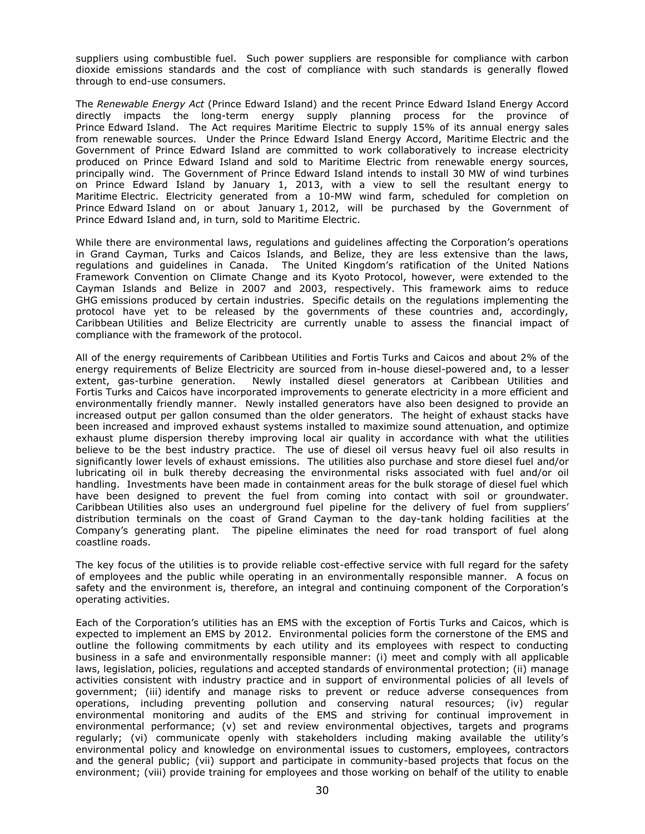suppliers using combustible fuel. Such power suppliers are responsible for compliance with carbon dioxide emissions standards and the cost of compliance with such standards is generally flowed through to end-use consumers.

The *Renewable Energy Act* (Prince Edward Island) and the recent Prince Edward Island Energy Accord directly impacts the long-term energy supply planning process for the province of Prince Edward Island. The Act requires Maritime Electric to supply 15% of its annual energy sales from renewable sources. Under the Prince Edward Island Energy Accord, Maritime Electric and the Government of Prince Edward Island are committed to work collaboratively to increase electricity produced on Prince Edward Island and sold to Maritime Electric from renewable energy sources, principally wind. The Government of Prince Edward Island intends to install 30 MW of wind turbines on Prince Edward Island by January 1, 2013, with a view to sell the resultant energy to Maritime Electric. Electricity generated from a 10-MW wind farm, scheduled for completion on Prince Edward Island on or about January 1, 2012, will be purchased by the Government of Prince Edward Island and, in turn, sold to Maritime Electric.

While there are environmental laws, regulations and guidelines affecting the Corporation's operations in Grand Cayman, Turks and Caicos Islands, and Belize, they are less extensive than the laws, regulations and guidelines in Canada. The United Kingdom"s ratification of the United Nations Framework Convention on Climate Change and its Kyoto Protocol, however, were extended to the Cayman Islands and Belize in 2007 and 2003, respectively. This framework aims to reduce GHG emissions produced by certain industries. Specific details on the regulations implementing the protocol have yet to be released by the governments of these countries and, accordingly, Caribbean Utilities and Belize Electricity are currently unable to assess the financial impact of compliance with the framework of the protocol.

All of the energy requirements of Caribbean Utilities and Fortis Turks and Caicos and about 2% of the energy requirements of Belize Electricity are sourced from in-house diesel-powered and, to a lesser extent, gas-turbine generation. Newly installed diesel generators at Caribbean Utilities and Fortis Turks and Caicos have incorporated improvements to generate electricity in a more efficient and environmentally friendly manner. Newly installed generators have also been designed to provide an increased output per gallon consumed than the older generators. The height of exhaust stacks have been increased and improved exhaust systems installed to maximize sound attenuation, and optimize exhaust plume dispersion thereby improving local air quality in accordance with what the utilities believe to be the best industry practice. The use of diesel oil versus heavy fuel oil also results in significantly lower levels of exhaust emissions. The utilities also purchase and store diesel fuel and/or lubricating oil in bulk thereby decreasing the environmental risks associated with fuel and/or oil handling. Investments have been made in containment areas for the bulk storage of diesel fuel which have been designed to prevent the fuel from coming into contact with soil or groundwater. Caribbean Utilities also uses an underground fuel pipeline for the delivery of fuel from suppliers" distribution terminals on the coast of Grand Cayman to the day-tank holding facilities at the Company"s generating plant. The pipeline eliminates the need for road transport of fuel along coastline roads.

The key focus of the utilities is to provide reliable cost-effective service with full regard for the safety of employees and the public while operating in an environmentally responsible manner. A focus on safety and the environment is, therefore, an integral and continuing component of the Corporation's operating activities.

Each of the Corporation"s utilities has an EMS with the exception of Fortis Turks and Caicos, which is expected to implement an EMS by 2012. Environmental policies form the cornerstone of the EMS and outline the following commitments by each utility and its employees with respect to conducting business in a safe and environmentally responsible manner: (i) meet and comply with all applicable laws, legislation, policies, regulations and accepted standards of environmental protection; (ii) manage activities consistent with industry practice and in support of environmental policies of all levels of government; (iii) identify and manage risks to prevent or reduce adverse consequences from operations, including preventing pollution and conserving natural resources; (iv) regular environmental monitoring and audits of the EMS and striving for continual improvement in environmental performance; (v) set and review environmental objectives, targets and programs regularly; (vi) communicate openly with stakeholders including making available the utility"s environmental policy and knowledge on environmental issues to customers, employees, contractors and the general public; (vii) support and participate in community-based projects that focus on the environment; (viii) provide training for employees and those working on behalf of the utility to enable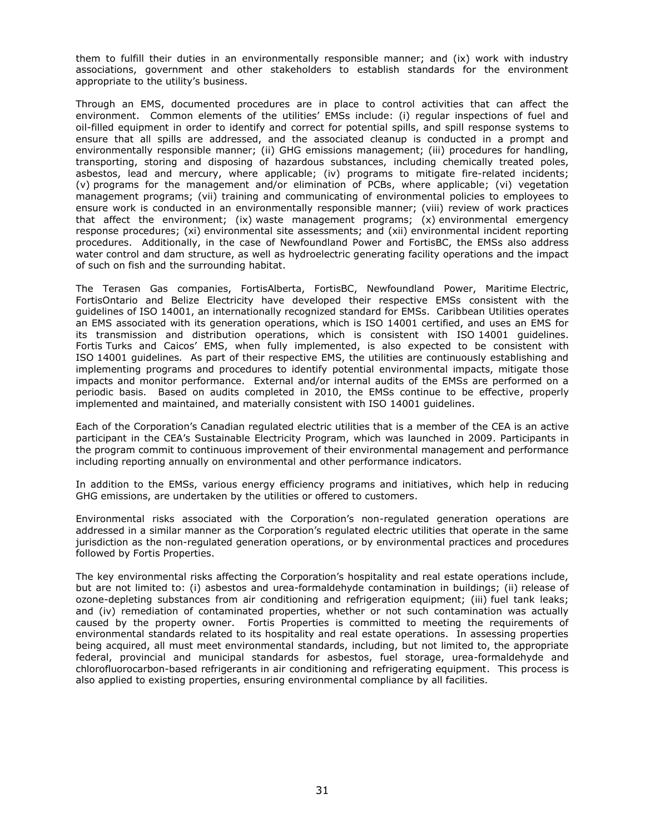them to fulfill their duties in an environmentally responsible manner; and (ix) work with industry associations, government and other stakeholders to establish standards for the environment appropriate to the utility"s business.

Through an EMS, documented procedures are in place to control activities that can affect the environment. Common elements of the utilities' EMSs include: (i) regular inspections of fuel and oil-filled equipment in order to identify and correct for potential spills, and spill response systems to ensure that all spills are addressed, and the associated cleanup is conducted in a prompt and environmentally responsible manner; (ii) GHG emissions management; (iii) procedures for handling, transporting, storing and disposing of hazardous substances, including chemically treated poles, asbestos, lead and mercury, where applicable; (iv) programs to mitigate fire-related incidents; (v) programs for the management and/or elimination of PCBs, where applicable; (vi) vegetation management programs; (vii) training and communicating of environmental policies to employees to ensure work is conducted in an environmentally responsible manner; (viii) review of work practices that affect the environment; (ix) waste management programs; (x) environmental emergency response procedures; (xi) environmental site assessments; and (xii) environmental incident reporting procedures. Additionally, in the case of Newfoundland Power and FortisBC, the EMSs also address water control and dam structure, as well as hydroelectric generating facility operations and the impact of such on fish and the surrounding habitat.

The Terasen Gas companies, FortisAlberta, FortisBC, Newfoundland Power, Maritime Electric, FortisOntario and Belize Electricity have developed their respective EMSs consistent with the guidelines of ISO 14001, an internationally recognized standard for EMSs. Caribbean Utilities operates an EMS associated with its generation operations, which is ISO 14001 certified, and uses an EMS for its transmission and distribution operations, which is consistent with ISO 14001 guidelines. Fortis Turks and Caicos' EMS, when fully implemented, is also expected to be consistent with ISO 14001 guidelines*.* As part of their respective EMS, the utilities are continuously establishing and implementing programs and procedures to identify potential environmental impacts, mitigate those impacts and monitor performance. External and/or internal audits of the EMSs are performed on a periodic basis. Based on audits completed in 2010, the EMSs continue to be effective, properly implemented and maintained, and materially consistent with ISO 14001 guidelines.

Each of the Corporation"s Canadian regulated electric utilities that is a member of the CEA is an active participant in the CEA"s Sustainable Electricity Program, which was launched in 2009. Participants in the program commit to continuous improvement of their environmental management and performance including reporting annually on environmental and other performance indicators.

In addition to the EMSs, various energy efficiency programs and initiatives, which help in reducing GHG emissions, are undertaken by the utilities or offered to customers.

Environmental risks associated with the Corporation"s non-regulated generation operations are addressed in a similar manner as the Corporation"s regulated electric utilities that operate in the same jurisdiction as the non-regulated generation operations, or by environmental practices and procedures followed by Fortis Properties.

The key environmental risks affecting the Corporation"s hospitality and real estate operations include, but are not limited to: (i) asbestos and urea-formaldehyde contamination in buildings; (ii) release of ozone-depleting substances from air conditioning and refrigeration equipment; (iii) fuel tank leaks; and (iv) remediation of contaminated properties, whether or not such contamination was actually caused by the property owner. Fortis Properties is committed to meeting the requirements of environmental standards related to its hospitality and real estate operations. In assessing properties being acquired, all must meet environmental standards, including, but not limited to, the appropriate federal, provincial and municipal standards for asbestos, fuel storage, urea-formaldehyde and chlorofluorocarbon-based refrigerants in air conditioning and refrigerating equipment. This process is also applied to existing properties, ensuring environmental compliance by all facilities.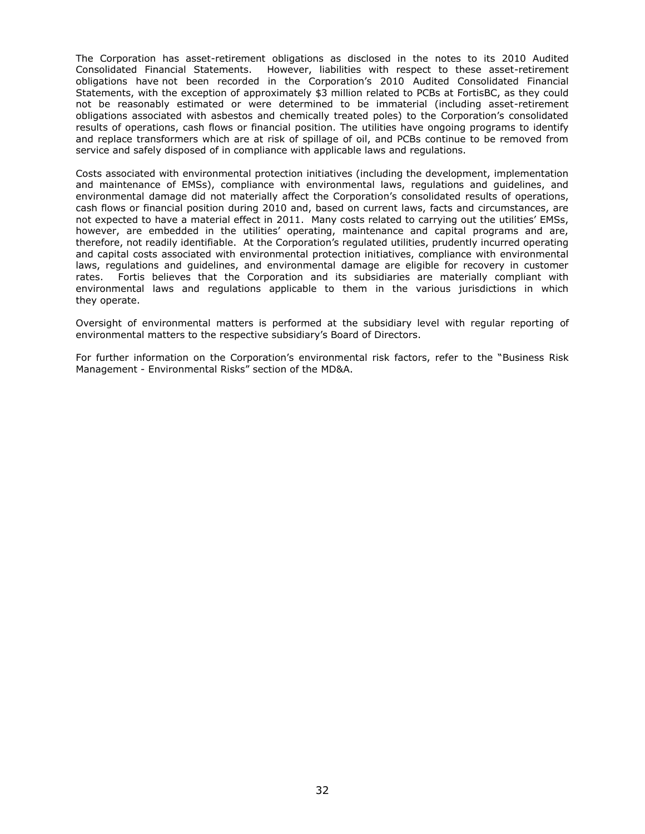The Corporation has asset-retirement obligations as disclosed in the notes to its 2010 Audited Consolidated Financial Statements. However, liabilities with respect to these asset-retirement obligations have not been recorded in the Corporation"s 2010 Audited Consolidated Financial Statements, with the exception of approximately \$3 million related to PCBs at FortisBC, as they could not be reasonably estimated or were determined to be immaterial (including asset-retirement obligations associated with asbestos and chemically treated poles) to the Corporation's consolidated results of operations, cash flows or financial position. The utilities have ongoing programs to identify and replace transformers which are at risk of spillage of oil, and PCBs continue to be removed from service and safely disposed of in compliance with applicable laws and regulations.

Costs associated with environmental protection initiatives (including the development, implementation and maintenance of EMSs), compliance with environmental laws, regulations and guidelines, and environmental damage did not materially affect the Corporation's consolidated results of operations, cash flows or financial position during 2010 and, based on current laws, facts and circumstances, are not expected to have a material effect in 2011. Many costs related to carrying out the utilities" EMSs, however, are embedded in the utilities' operating, maintenance and capital programs and are, therefore, not readily identifiable. At the Corporation"s regulated utilities, prudently incurred operating and capital costs associated with environmental protection initiatives, compliance with environmental laws, regulations and guidelines, and environmental damage are eligible for recovery in customer rates. Fortis believes that the Corporation and its subsidiaries are materially compliant with environmental laws and regulations applicable to them in the various jurisdictions in which they operate.

Oversight of environmental matters is performed at the subsidiary level with regular reporting of environmental matters to the respective subsidiary"s Board of Directors.

For further information on the Corporation"s environmental risk factors, refer to the "Business Risk Management - Environmental Risks" section of the MD&A.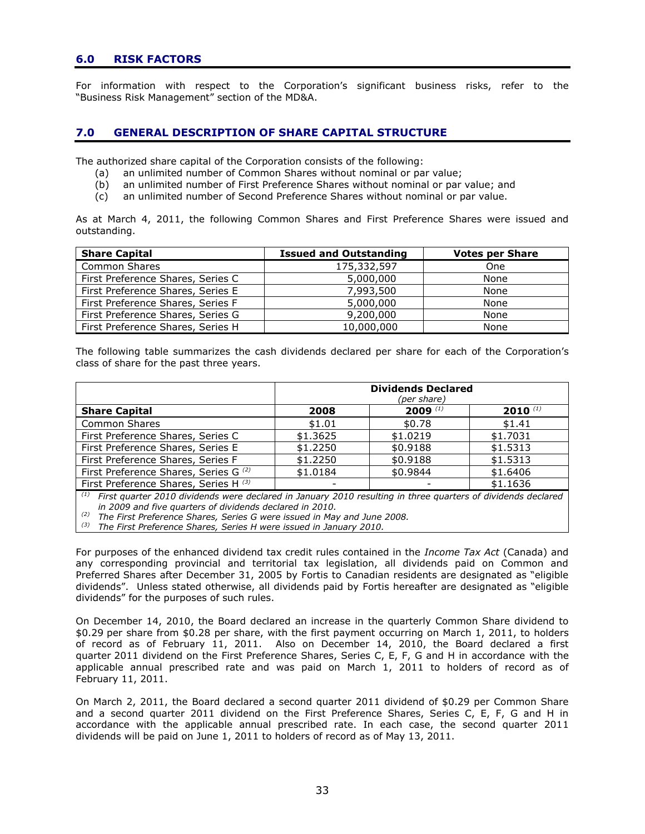# **6.0 RISK FACTORS**

For information with respect to the Corporation"s significant business risks, refer to the "Business Risk Management" section of the MD&A.

# **7.0 GENERAL DESCRIPTION OF SHARE CAPITAL STRUCTURE**

The authorized share capital of the Corporation consists of the following:

- (a) an unlimited number of Common Shares without nominal or par value;
- (b) an unlimited number of First Preference Shares without nominal or par value; and
- (c) an unlimited number of Second Preference Shares without nominal or par value.

As at March 4, 2011, the following Common Shares and First Preference Shares were issued and outstanding.

| <b>Share Capital</b>              | <b>Issued and Outstanding</b> | <b>Votes per Share</b> |
|-----------------------------------|-------------------------------|------------------------|
| Common Shares                     | 175,332,597                   | <b>One</b>             |
| First Preference Shares, Series C | 5,000,000                     | None                   |
| First Preference Shares, Series E | 7,993,500                     | None                   |
| First Preference Shares, Series F | 5,000,000                     | None                   |
| First Preference Shares, Series G | 9,200,000                     | None                   |
| First Preference Shares, Series H | 10,000,000                    | None                   |

The following table summarizes the cash dividends declared per share for each of the Corporation"s class of share for the past three years.

|                                       | <b>Dividends Declared</b><br>(per share) |            |              |
|---------------------------------------|------------------------------------------|------------|--------------|
| <b>Share Capital</b>                  | 2008                                     | 2009 $(1)$ | $2010^{(1)}$ |
| <b>Common Shares</b>                  | \$1.01                                   | \$0.78     | \$1.41       |
| First Preference Shares, Series C     | \$1,3625                                 | \$1.0219   | \$1.7031     |
| First Preference Shares, Series E     | \$1.2250                                 | \$0.9188   | \$1.5313     |
| First Preference Shares, Series F     | \$1.2250                                 | \$0.9188   | \$1.5313     |
| First Preference Shares, Series G (2) | \$1.0184                                 | \$0.9844   | \$1,6406     |
| First Preference Shares, Series H (3) |                                          |            | \$1.1636     |

*(1) First quarter 2010 dividends were declared in January 2010 resulting in three quarters of dividends declared in 2009 and five quarters of dividends declared in 2010.*

*(2) The First Preference Shares, Series G were issued in May and June 2008.*

*(3) The First Preference Shares, Series H were issued in January 2010.*

For purposes of the enhanced dividend tax credit rules contained in the *Income Tax Act* (Canada) and any corresponding provincial and territorial tax legislation, all dividends paid on Common and Preferred Shares after December 31, 2005 by Fortis to Canadian residents are designated as "eligible dividends". Unless stated otherwise, all dividends paid by Fortis hereafter are designated as "eligible dividends" for the purposes of such rules.

On December 14, 2010, the Board declared an increase in the quarterly Common Share dividend to \$0.29 per share from \$0.28 per share, with the first payment occurring on March 1, 2011, to holders of record as of February 11, 2011. Also on December 14, 2010, the Board declared a first quarter 2011 dividend on the First Preference Shares, Series C, E, F, G and H in accordance with the applicable annual prescribed rate and was paid on March 1, 2011 to holders of record as of February 11, 2011.

On March 2, 2011, the Board declared a second quarter 2011 dividend of \$0.29 per Common Share and a second quarter 2011 dividend on the First Preference Shares, Series C, E, F, G and H in accordance with the applicable annual prescribed rate. In each case, the second quarter 2011 dividends will be paid on June 1, 2011 to holders of record as of May 13, 2011.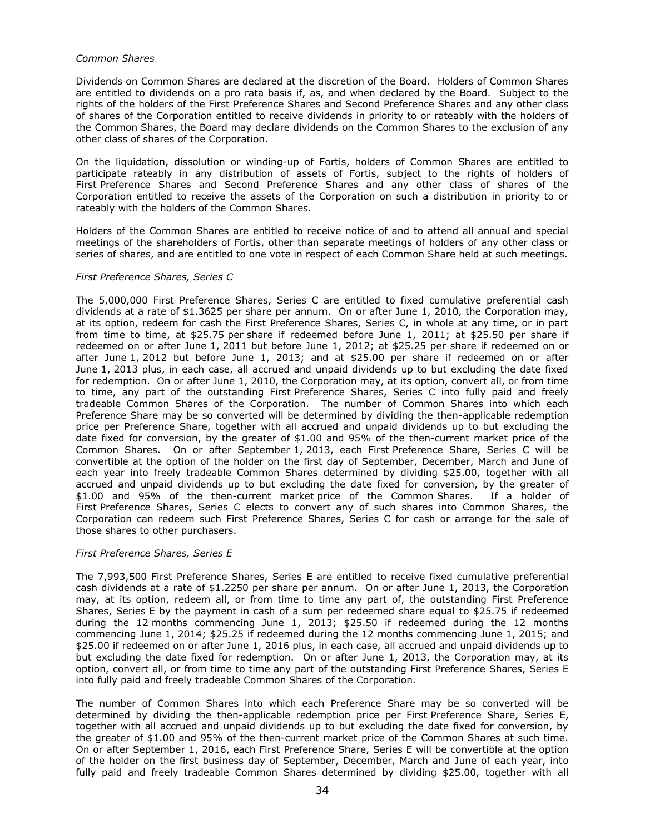#### *Common Shares*

Dividends on Common Shares are declared at the discretion of the Board. Holders of Common Shares are entitled to dividends on a pro rata basis if, as, and when declared by the Board. Subject to the rights of the holders of the First Preference Shares and Second Preference Shares and any other class of shares of the Corporation entitled to receive dividends in priority to or rateably with the holders of the Common Shares, the Board may declare dividends on the Common Shares to the exclusion of any other class of shares of the Corporation.

On the liquidation, dissolution or winding-up of Fortis, holders of Common Shares are entitled to participate rateably in any distribution of assets of Fortis, subject to the rights of holders of First Preference Shares and Second Preference Shares and any other class of shares of the Corporation entitled to receive the assets of the Corporation on such a distribution in priority to or rateably with the holders of the Common Shares.

Holders of the Common Shares are entitled to receive notice of and to attend all annual and special meetings of the shareholders of Fortis, other than separate meetings of holders of any other class or series of shares, and are entitled to one vote in respect of each Common Share held at such meetings.

### *First Preference Shares, Series C*

The 5,000,000 First Preference Shares, Series C are entitled to fixed cumulative preferential cash dividends at a rate of \$1.3625 per share per annum. On or after June 1, 2010, the Corporation may, at its option, redeem for cash the First Preference Shares, Series C, in whole at any time, or in part from time to time, at \$25.75 per share if redeemed before June 1, 2011; at \$25.50 per share if redeemed on or after June 1, 2011 but before June 1, 2012; at \$25.25 per share if redeemed on or after June 1, 2012 but before June 1, 2013; and at \$25.00 per share if redeemed on or after June 1, 2013 plus, in each case, all accrued and unpaid dividends up to but excluding the date fixed for redemption. On or after June 1, 2010, the Corporation may, at its option, convert all, or from time to time, any part of the outstanding First Preference Shares, Series C into fully paid and freely tradeable Common Shares of the Corporation. The number of Common Shares into which each Preference Share may be so converted will be determined by dividing the then-applicable redemption price per Preference Share, together with all accrued and unpaid dividends up to but excluding the date fixed for conversion, by the greater of \$1.00 and 95% of the then-current market price of the Common Shares. On or after September 1, 2013, each First Preference Share, Series C will be convertible at the option of the holder on the first day of September, December, March and June of each year into freely tradeable Common Shares determined by dividing \$25.00, together with all accrued and unpaid dividends up to but excluding the date fixed for conversion, by the greater of \$1.00 and 95% of the then-current market price of the Common Shares. If a holder of First Preference Shares, Series C elects to convert any of such shares into Common Shares, the Corporation can redeem such First Preference Shares, Series C for cash or arrange for the sale of those shares to other purchasers.

# *First Preference Shares, Series E*

The 7,993,500 First Preference Shares, Series E are entitled to receive fixed cumulative preferential cash dividends at a rate of \$1.2250 per share per annum. On or after June 1, 2013, the Corporation may, at its option, redeem all, or from time to time any part of, the outstanding First Preference Shares, Series E by the payment in cash of a sum per redeemed share equal to \$25.75 if redeemed during the 12 months commencing June 1, 2013; \$25.50 if redeemed during the 12 months commencing June 1, 2014; \$25.25 if redeemed during the 12 months commencing June 1, 2015; and \$25.00 if redeemed on or after June 1, 2016 plus, in each case, all accrued and unpaid dividends up to but excluding the date fixed for redemption. On or after June 1, 2013, the Corporation may, at its option, convert all, or from time to time any part of the outstanding First Preference Shares, Series E into fully paid and freely tradeable Common Shares of the Corporation.

The number of Common Shares into which each Preference Share may be so converted will be determined by dividing the then-applicable redemption price per First Preference Share, Series E, together with all accrued and unpaid dividends up to but excluding the date fixed for conversion, by the greater of \$1.00 and 95% of the then-current market price of the Common Shares at such time. On or after September 1, 2016, each First Preference Share, Series E will be convertible at the option of the holder on the first business day of September, December, March and June of each year, into fully paid and freely tradeable Common Shares determined by dividing \$25.00, together with all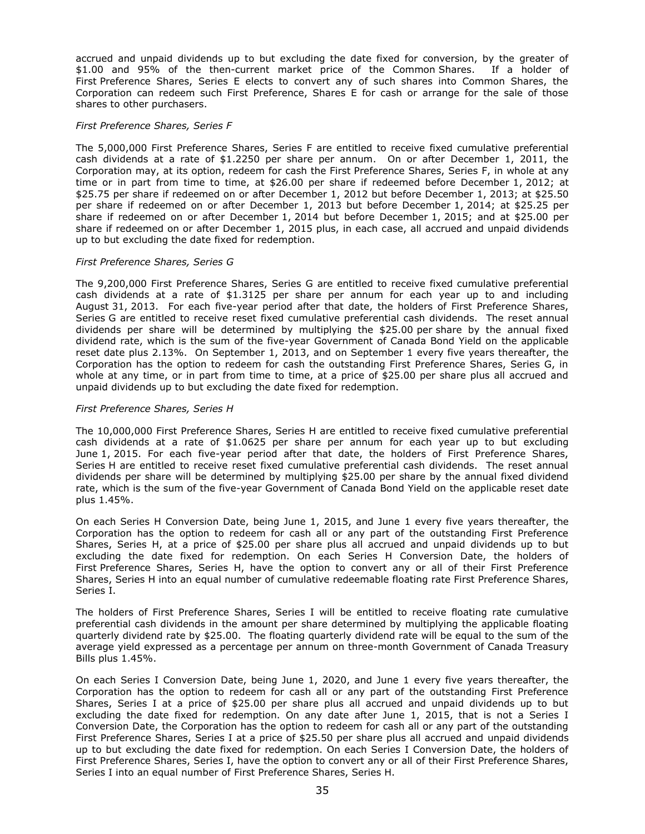accrued and unpaid dividends up to but excluding the date fixed for conversion, by the greater of \$1.00 and 95% of the then-current market price of the Common Shares. If a holder of First Preference Shares, Series E elects to convert any of such shares into Common Shares, the Corporation can redeem such First Preference, Shares E for cash or arrange for the sale of those shares to other purchasers.

#### *First Preference Shares, Series F*

The 5,000,000 First Preference Shares, Series F are entitled to receive fixed cumulative preferential cash dividends at a rate of \$1.2250 per share per annum. On or after December 1, 2011, the Corporation may, at its option, redeem for cash the First Preference Shares, Series F, in whole at any time or in part from time to time, at \$26.00 per share if redeemed before December 1, 2012; at \$25.75 per share if redeemed on or after December 1, 2012 but before December 1, 2013; at \$25.50 per share if redeemed on or after December 1, 2013 but before December 1, 2014; at \$25.25 per share if redeemed on or after December 1, 2014 but before December 1, 2015; and at \$25.00 per share if redeemed on or after December 1, 2015 plus, in each case, all accrued and unpaid dividends up to but excluding the date fixed for redemption.

### *First Preference Shares, Series G*

The 9,200,000 First Preference Shares, Series G are entitled to receive fixed cumulative preferential cash dividends at a rate of \$1.3125 per share per annum for each year up to and including August 31, 2013. For each five-year period after that date, the holders of First Preference Shares, Series G are entitled to receive reset fixed cumulative preferential cash dividends. The reset annual dividends per share will be determined by multiplying the \$25.00 per share by the annual fixed dividend rate, which is the sum of the five-year Government of Canada Bond Yield on the applicable reset date plus 2.13%. On September 1, 2013, and on September 1 every five years thereafter, the Corporation has the option to redeem for cash the outstanding First Preference Shares, Series G, in whole at any time, or in part from time to time, at a price of \$25.00 per share plus all accrued and unpaid dividends up to but excluding the date fixed for redemption.

### *First Preference Shares, Series H*

The 10,000,000 First Preference Shares, Series H are entitled to receive fixed cumulative preferential cash dividends at a rate of \$1.0625 per share per annum for each year up to but excluding June 1, 2015. For each five-year period after that date, the holders of First Preference Shares, Series H are entitled to receive reset fixed cumulative preferential cash dividends. The reset annual dividends per share will be determined by multiplying \$25.00 per share by the annual fixed dividend rate, which is the sum of the five-year Government of Canada Bond Yield on the applicable reset date plus 1.45%.

On each Series H Conversion Date, being June 1, 2015, and June 1 every five years thereafter, the Corporation has the option to redeem for cash all or any part of the outstanding First Preference Shares, Series H, at a price of \$25.00 per share plus all accrued and unpaid dividends up to but excluding the date fixed for redemption. On each Series H Conversion Date, the holders of First Preference Shares, Series H, have the option to convert any or all of their First Preference Shares, Series H into an equal number of cumulative redeemable floating rate First Preference Shares, Series I.

The holders of First Preference Shares, Series I will be entitled to receive floating rate cumulative preferential cash dividends in the amount per share determined by multiplying the applicable floating quarterly dividend rate by \$25.00. The floating quarterly dividend rate will be equal to the sum of the average yield expressed as a percentage per annum on three-month Government of Canada Treasury Bills plus 1.45%.

On each Series I Conversion Date, being June 1, 2020, and June 1 every five years thereafter, the Corporation has the option to redeem for cash all or any part of the outstanding First Preference Shares, Series I at a price of \$25.00 per share plus all accrued and unpaid dividends up to but excluding the date fixed for redemption. On any date after June 1, 2015, that is not a Series I Conversion Date, the Corporation has the option to redeem for cash all or any part of the outstanding First Preference Shares, Series I at a price of \$25.50 per share plus all accrued and unpaid dividends up to but excluding the date fixed for redemption. On each Series I Conversion Date, the holders of First Preference Shares, Series I, have the option to convert any or all of their First Preference Shares, Series I into an equal number of First Preference Shares, Series H.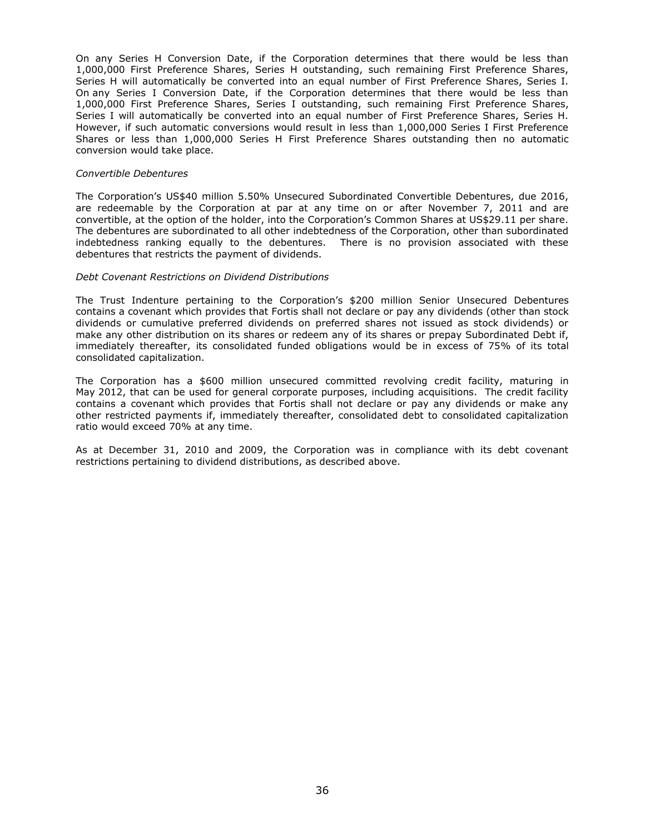On any Series H Conversion Date, if the Corporation determines that there would be less than 1,000,000 First Preference Shares, Series H outstanding, such remaining First Preference Shares, Series H will automatically be converted into an equal number of First Preference Shares, Series I. On any Series I Conversion Date, if the Corporation determines that there would be less than 1,000,000 First Preference Shares, Series I outstanding, such remaining First Preference Shares, Series I will automatically be converted into an equal number of First Preference Shares, Series H. However, if such automatic conversions would result in less than 1,000,000 Series I First Preference Shares or less than 1,000,000 Series H First Preference Shares outstanding then no automatic conversion would take place.

#### *Convertible Debentures*

The Corporation"s US\$40 million 5.50% Unsecured Subordinated Convertible Debentures, due 2016, are redeemable by the Corporation at par at any time on or after November 7, 2011 and are convertible, at the option of the holder, into the Corporation"s Common Shares at US\$29.11 per share. The debentures are subordinated to all other indebtedness of the Corporation, other than subordinated indebtedness ranking equally to the debentures. There is no provision associated with these debentures that restricts the payment of dividends.

#### *Debt Covenant Restrictions on Dividend Distributions*

The Trust Indenture pertaining to the Corporation"s \$200 million Senior Unsecured Debentures contains a covenant which provides that Fortis shall not declare or pay any dividends (other than stock dividends or cumulative preferred dividends on preferred shares not issued as stock dividends) or make any other distribution on its shares or redeem any of its shares or prepay Subordinated Debt if, immediately thereafter, its consolidated funded obligations would be in excess of 75% of its total consolidated capitalization.

The Corporation has a \$600 million unsecured committed revolving credit facility, maturing in May 2012, that can be used for general corporate purposes, including acquisitions. The credit facility contains a covenant which provides that Fortis shall not declare or pay any dividends or make any other restricted payments if, immediately thereafter, consolidated debt to consolidated capitalization ratio would exceed 70% at any time.

As at December 31, 2010 and 2009, the Corporation was in compliance with its debt covenant restrictions pertaining to dividend distributions, as described above.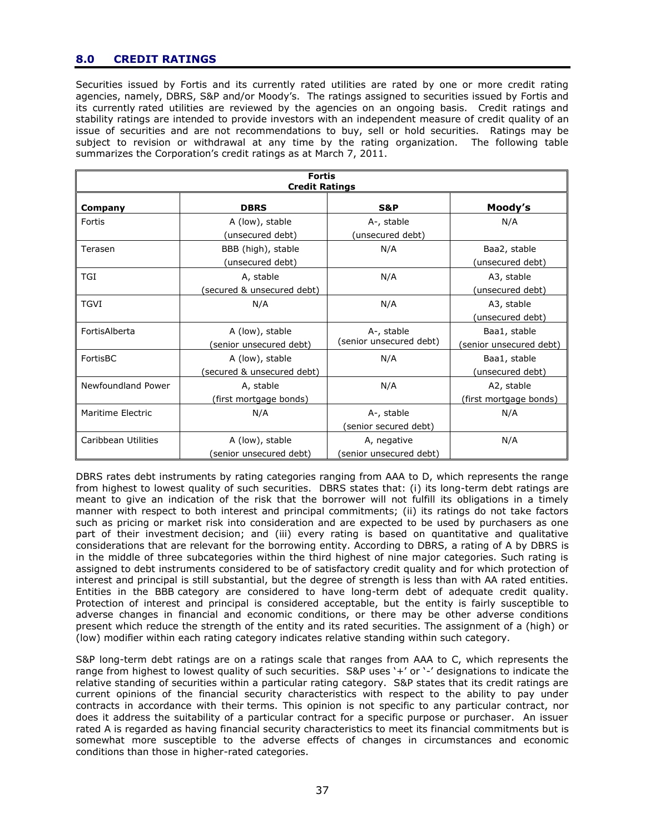# **8.0 CREDIT RATINGS**

Securities issued by Fortis and its currently rated utilities are rated by one or more credit rating agencies, namely, DBRS, S&P and/or Moody's. The ratings assigned to securities issued by Fortis and its currently rated utilities are reviewed by the agencies on an ongoing basis. Credit ratings and stability ratings are intended to provide investors with an independent measure of credit quality of an issue of securities and are not recommendations to buy, sell or hold securities. Ratings may be subject to revision or withdrawal at any time by the rating organization. The following table summarizes the Corporation's credit ratings as at March 7, 2011.

| <b>Fortis</b><br><b>Credit Ratings</b> |                                               |                                       |                                         |
|----------------------------------------|-----------------------------------------------|---------------------------------------|-----------------------------------------|
| Company                                | <b>DBRS</b>                                   | <b>S&amp;P</b>                        | Moody's                                 |
| Fortis                                 | A (low), stable<br>unsecured debt)            | A-, stable<br>(unsecured debt)        | N/A                                     |
| Terasen                                | BBB (high), stable<br>(unsecured debt)        | N/A                                   | Baa2, stable<br>(unsecured debt)        |
| <b>TGI</b>                             | A, stable<br>(secured & unsecured debt)       | N/A                                   | A3, stable<br>(unsecured debt)          |
| <b>TGVI</b>                            | N/A                                           | N/A                                   | A3, stable<br>(unsecured debt)          |
| FortisAlberta                          | A (low), stable<br>(senior unsecured debt)    | A-, stable<br>(senior unsecured debt) | Baa1, stable<br>(senior unsecured debt) |
| FortisBC                               | A (low), stable<br>(secured & unsecured debt) | N/A                                   | Baa1, stable<br>(unsecured debt)        |
| Newfoundland Power                     | A, stable<br>(first mortgage bonds)           | N/A                                   | A2, stable<br>(first mortgage bonds)    |
| Maritime Electric                      | N/A                                           | A-, stable<br>(senior secured debt)   | N/A                                     |
| Caribbean Utilities                    | A (low), stable<br>(senior unsecured debt)    | A, negative<br>senior unsecured debt) | N/A                                     |

DBRS rates debt instruments by rating categories ranging from AAA to D, which represents the range from highest to lowest quality of such securities. DBRS states that: (i) its long-term debt ratings are meant to give an indication of the risk that the borrower will not fulfill its obligations in a timely manner with respect to both interest and principal commitments; (ii) its ratings do not take factors such as pricing or market risk into consideration and are expected to be used by purchasers as one part of their investment decision; and (iii) every rating is based on quantitative and qualitative considerations that are relevant for the borrowing entity. According to DBRS, a rating of A by DBRS is in the middle of three subcategories within the third highest of nine major categories. Such rating is assigned to debt instruments considered to be of satisfactory credit quality and for which protection of interest and principal is still substantial, but the degree of strength is less than with AA rated entities. Entities in the BBB category are considered to have long-term debt of adequate credit quality. Protection of interest and principal is considered acceptable, but the entity is fairly susceptible to adverse changes in financial and economic conditions, or there may be other adverse conditions present which reduce the strength of the entity and its rated securities. The assignment of a (high) or (low) modifier within each rating category indicates relative standing within such category.

S&P long-term debt ratings are on a ratings scale that ranges from AAA to C, which represents the range from highest to lowest quality of such securities. S&P uses '+' or '-' designations to indicate the relative standing of securities within a particular rating category. S&P states that its credit ratings are current opinions of the financial security characteristics with respect to the ability to pay under contracts in accordance with their terms. This opinion is not specific to any particular contract, nor does it address the suitability of a particular contract for a specific purpose or purchaser. An issuer rated A is regarded as having financial security characteristics to meet its financial commitments but is somewhat more susceptible to the adverse effects of changes in circumstances and economic conditions than those in higher-rated categories.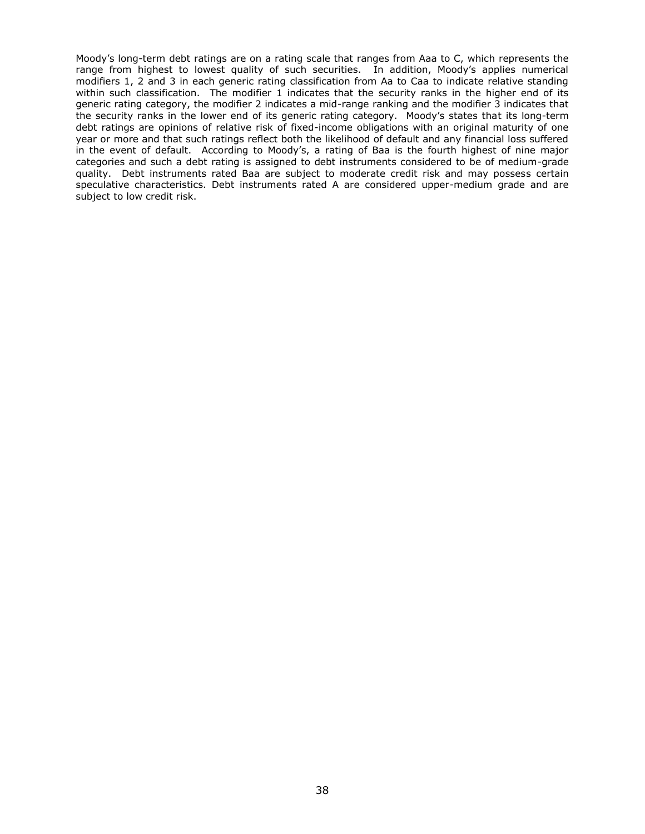Moody"s long-term debt ratings are on a rating scale that ranges from Aaa to C, which represents the range from highest to lowest quality of such securities. In addition, Moody's applies numerical modifiers 1, 2 and 3 in each generic rating classification from Aa to Caa to indicate relative standing within such classification. The modifier 1 indicates that the security ranks in the higher end of its generic rating category, the modifier 2 indicates a mid-range ranking and the modifier 3 indicates that the security ranks in the lower end of its generic rating category. Moody"s states that its long-term debt ratings are opinions of relative risk of fixed-income obligations with an original maturity of one year or more and that such ratings reflect both the likelihood of default and any financial loss suffered in the event of default. According to Moody's, a rating of Baa is the fourth highest of nine major categories and such a debt rating is assigned to debt instruments considered to be of medium-grade quality. Debt instruments rated Baa are subject to moderate credit risk and may possess certain speculative characteristics. Debt instruments rated A are considered upper-medium grade and are subject to low credit risk.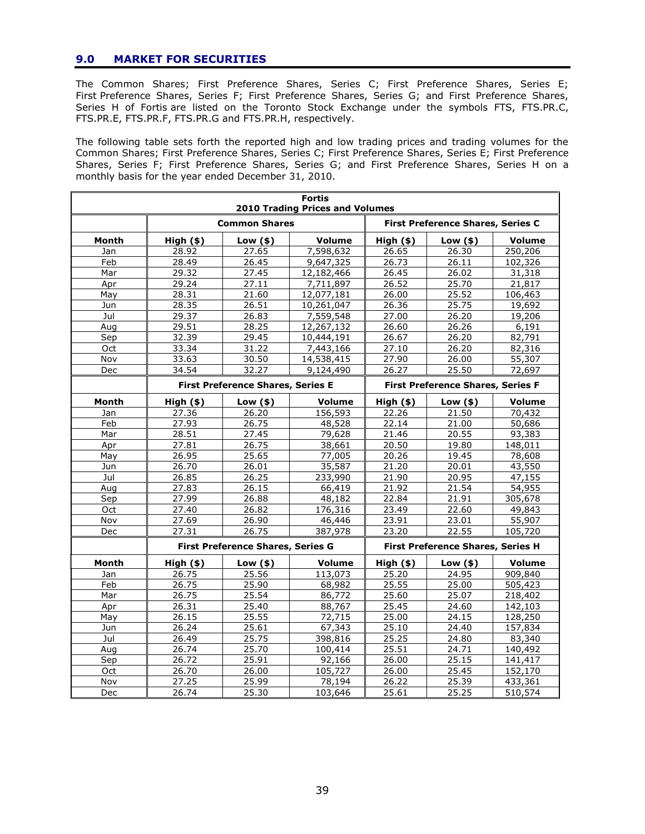# **9.0 MARKET FOR SECURITIES**

The Common Shares; First Preference Shares, Series C; First Preference Shares, Series E; First Preference Shares, Series F; First Preference Shares, Series G; and First Preference Shares, Series H of Fortis are listed on the Toronto Stock Exchange under the symbols FTS, FTS.PR.C, FTS.PR.E, FTS.PR.F, FTS.PR.G and FTS.PR.H, respectively.

The following table sets forth the reported high and low trading prices and trading volumes for the Common Shares; First Preference Shares, Series C; First Preference Shares, Series E; First Preference Shares, Series F; First Preference Shares, Series G; and First Preference Shares, Series H on a monthly basis for the year ended December 31, 2010.

| <b>Fortis</b><br><b>2010 Trading Prices and Volumes</b> |                                          |                                          |               |             |                                          |               |
|---------------------------------------------------------|------------------------------------------|------------------------------------------|---------------|-------------|------------------------------------------|---------------|
|                                                         | <b>Common Shares</b>                     |                                          |               |             | <b>First Preference Shares, Series C</b> |               |
| Month                                                   | $High($ \$)                              | $Low($ \$)                               | <b>Volume</b> | $High($ \$) | $Low($ \$)                               | <b>Volume</b> |
| Jan                                                     | 28.92                                    | 27.65                                    | 7,598,632     | 26.65       | 26.30                                    | 250,206       |
| Feb                                                     | 28.49                                    | 26.45                                    | 9,647,325     | 26.73       | 26.11                                    | 102,326       |
| Mar                                                     | 29.32                                    | 27.45                                    | 12,182,466    | 26.45       | 26.02                                    | 31,318        |
| Apr                                                     | 29.24                                    | 27.11                                    | 7,711,897     | 26.52       | 25.70                                    | 21,817        |
| May                                                     | 28.31                                    | 21.60                                    | 12,077,181    | 26.00       | 25.52                                    | 106,463       |
| Jun                                                     | 28.35                                    | 26.51                                    | 10,261,047    | 26.36       | 25.75                                    | 19,692        |
| Jul                                                     | 29.37                                    | 26.83                                    | 7,559,548     | 27.00       | 26.20                                    | 19,206        |
| Aug                                                     | 29.51                                    | 28.25                                    | 12,267,132    | 26.60       | 26.26                                    | 6,191         |
| Sep                                                     | 32.39                                    | 29.45                                    | 10,444,191    | 26.67       | 26.20                                    | 82,791        |
| Oct                                                     | 33.34                                    | 31.22                                    | 7,443,166     | 27.10       | 26.20                                    | 82,316        |
| Nov                                                     | 33.63                                    | 30.50                                    | 14,538,415    | 27.90       | 26.00                                    | 55,307        |
| Dec                                                     | 34.54                                    | 32.27                                    | 9,124,490     | 26.27       | 25.50                                    | 72,697        |
|                                                         | <b>First Preference Shares, Series E</b> |                                          |               |             | <b>First Preference Shares, Series F</b> |               |
| Month                                                   | $High($ \$)                              | Low $($ \$ $)$                           | <b>Volume</b> | $High($ \$) | Low $(s)$                                | <b>Volume</b> |
| Jan                                                     | 27.36                                    | 26.20                                    | 156,593       | 22.26       | 21.50                                    | 70,432        |
| Feb                                                     | 27.93                                    | 26.75                                    | 48,528        | 22.14       | 21.00                                    | 50,686        |
| Mar                                                     | 28.51                                    | 27.45                                    | 79,628        | 21.46       | 20.55                                    | 93,383        |
| Apr                                                     | 27.81                                    | 26.75                                    | 38,661        | 20.50       | 19.80                                    | 148,011       |
| May                                                     | 26.95                                    | 25.65                                    | 77,005        | 20.26       | 19.45                                    | 78,608        |
| Jun                                                     | 26.70                                    | 26.01                                    | 35,587        | 21.20       | 20.01                                    | 43,550        |
| Jul                                                     | 26.85                                    | 26.25                                    | 233,990       | 21.90       | 20.95                                    | 47,155        |
| Aug                                                     | 27.83                                    | 26.15                                    | 66,419        | 21.92       | 21.54                                    | 54,955        |
| Sep                                                     | 27.99                                    | 26.88                                    | 48,182        | 22.84       | 21.91                                    | 305,678       |
| Oct                                                     | 27.40                                    | 26.82                                    | 176,316       | 23.49       | 22.60                                    | 49,843        |
| Nov                                                     | 27.69                                    | 26.90                                    | 46,446        | 23.91       | 23.01                                    | 55,907        |
| Dec                                                     | 27.31                                    | 26.75                                    | 387,978       | 23.20       | 22.55                                    | 105,720       |
|                                                         |                                          | <b>First Preference Shares, Series G</b> |               |             | <b>First Preference Shares, Series H</b> |               |
| Month                                                   | $High($ \$)                              | Low $($ \$ $)$                           | <b>Volume</b> | $High($ \$) | Low $(s)$                                | <b>Volume</b> |
| Jan                                                     | 26.75                                    | 25.56                                    | 113,073       | 25.20       | 24.95                                    | 909,840       |
| Feb                                                     | 26.75                                    | 25.90                                    | 68,982        | 25.55       | 25.00                                    | 505,423       |
| Mar                                                     | 26.75                                    | 25.54                                    | 86,772        | 25.60       | 25.07                                    | 218,402       |
| Apr                                                     | 26.31                                    | 25.40                                    | 88,767        | 25.45       | 24.60                                    | 142,103       |
| May                                                     | 26.15                                    | 25.55                                    | 72,715        | 25.00       | 24.15                                    | 128,250       |
| Jun                                                     | 26.24                                    | 25.61                                    | 67,343        | 25.10       | 24.40                                    | 157,834       |
| Jul                                                     | 26.49                                    | 25.75                                    | 398,816       | 25.25       | 24.80                                    | 83,340        |
| Aug                                                     | 26.74                                    | 25.70                                    | 100,414       | 25.51       | 24.71                                    | 140,492       |
| Sep                                                     | 26.72                                    | 25.91                                    | 92,166        | 26.00       | 25.15                                    | 141,417       |
| Oct                                                     | 26.70                                    | 26.00                                    | 105,727       | 26.00       | 25.45                                    | 152,170       |
| Nov                                                     | 27.25                                    | 25.99                                    | 78,194        | 26.22       | 25.39                                    | 433,361       |
| Dec                                                     | 26.74                                    | 25.30                                    | 103,646       | 25.61       | 25.25                                    | 510,574       |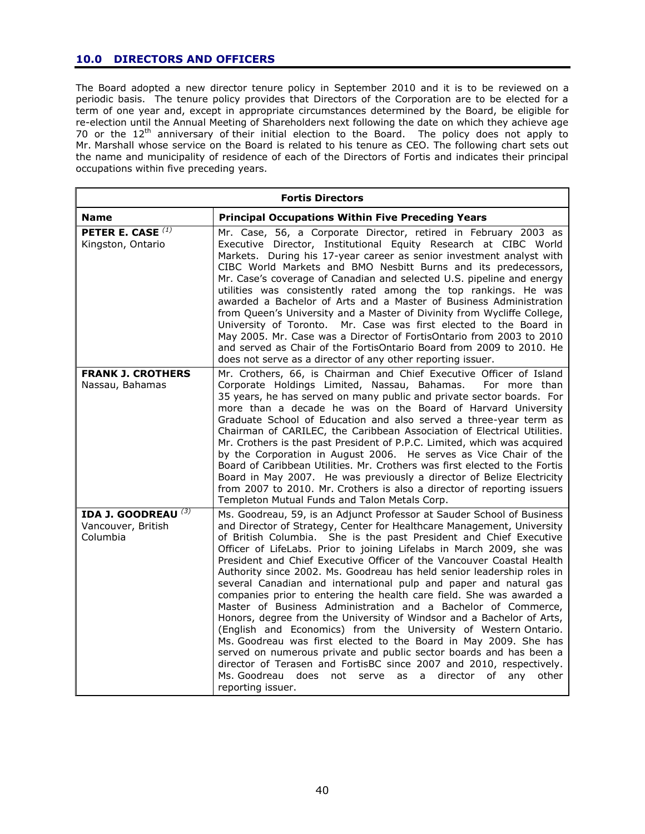# **10.0 DIRECTORS AND OFFICERS**

The Board adopted a new director tenure policy in September 2010 and it is to be reviewed on a periodic basis. The tenure policy provides that Directors of the Corporation are to be elected for a term of one year and, except in appropriate circumstances determined by the Board, be eligible for re-election until the Annual Meeting of Shareholders next following the date on which they achieve age 70 or the 12<sup>th</sup> anniversary of their initial election to the Board. The policy does not apply to Mr. Marshall whose service on the Board is related to his tenure as CEO. The following chart sets out the name and municipality of residence of each of the Directors of Fortis and indicates their principal occupations within five preceding years.

| <b>Fortis Directors</b>                                          |                                                                                                                                                                                                                                                                                                                                                                                                                                                                                                                                                                                                                                                                                                                                                                                                                                                                                                                                                                                                                                                                                                                                              |  |  |
|------------------------------------------------------------------|----------------------------------------------------------------------------------------------------------------------------------------------------------------------------------------------------------------------------------------------------------------------------------------------------------------------------------------------------------------------------------------------------------------------------------------------------------------------------------------------------------------------------------------------------------------------------------------------------------------------------------------------------------------------------------------------------------------------------------------------------------------------------------------------------------------------------------------------------------------------------------------------------------------------------------------------------------------------------------------------------------------------------------------------------------------------------------------------------------------------------------------------|--|--|
| <b>Name</b>                                                      | <b>Principal Occupations Within Five Preceding Years</b>                                                                                                                                                                                                                                                                                                                                                                                                                                                                                                                                                                                                                                                                                                                                                                                                                                                                                                                                                                                                                                                                                     |  |  |
| PETER E. CASE $^{(1)}$<br>Kingston, Ontario                      | Mr. Case, 56, a Corporate Director, retired in February 2003 as<br>Executive Director, Institutional Equity Research at CIBC World<br>Markets. During his 17-year career as senior investment analyst with<br>CIBC World Markets and BMO Nesbitt Burns and its predecessors,<br>Mr. Case's coverage of Canadian and selected U.S. pipeline and energy<br>utilities was consistently rated among the top rankings. He was<br>awarded a Bachelor of Arts and a Master of Business Administration<br>from Queen's University and a Master of Divinity from Wycliffe College,<br>University of Toronto. Mr. Case was first elected to the Board in<br>May 2005. Mr. Case was a Director of FortisOntario from 2003 to 2010<br>and served as Chair of the FortisOntario Board from 2009 to 2010. He<br>does not serve as a director of any other reporting issuer.                                                                                                                                                                                                                                                                                |  |  |
| <b>FRANK J. CROTHERS</b><br>Nassau, Bahamas                      | Mr. Crothers, 66, is Chairman and Chief Executive Officer of Island<br>Corporate Holdings Limited, Nassau, Bahamas.<br>For more than<br>35 years, he has served on many public and private sector boards. For<br>more than a decade he was on the Board of Harvard University<br>Graduate School of Education and also served a three-year term as<br>Chairman of CARILEC, the Caribbean Association of Electrical Utilities.<br>Mr. Crothers is the past President of P.P.C. Limited, which was acquired<br>by the Corporation in August 2006. He serves as Vice Chair of the<br>Board of Caribbean Utilities. Mr. Crothers was first elected to the Fortis<br>Board in May 2007. He was previously a director of Belize Electricity<br>from 2007 to 2010. Mr. Crothers is also a director of reporting issuers<br>Templeton Mutual Funds and Talon Metals Corp.                                                                                                                                                                                                                                                                            |  |  |
| IDA J. GOODREAU <sup>(3)</sup><br>Vancouver, British<br>Columbia | Ms. Goodreau, 59, is an Adjunct Professor at Sauder School of Business<br>and Director of Strategy, Center for Healthcare Management, University<br>of British Columbia. She is the past President and Chief Executive<br>Officer of LifeLabs. Prior to joining Lifelabs in March 2009, she was<br>President and Chief Executive Officer of the Vancouver Coastal Health<br>Authority since 2002. Ms. Goodreau has held senior leadership roles in<br>several Canadian and international pulp and paper and natural gas<br>companies prior to entering the health care field. She was awarded a<br>Master of Business Administration and a Bachelor of Commerce,<br>Honors, degree from the University of Windsor and a Bachelor of Arts,<br>(English and Economics) from the University of Western Ontario.<br>Ms. Goodreau was first elected to the Board in May 2009. She has<br>served on numerous private and public sector boards and has been a<br>director of Terasen and FortisBC since 2007 and 2010, respectively.<br>Ms. Goodreau does<br>director<br>not serve<br>as<br>$\mathsf{a}$<br>of<br>any<br>other<br>reporting issuer. |  |  |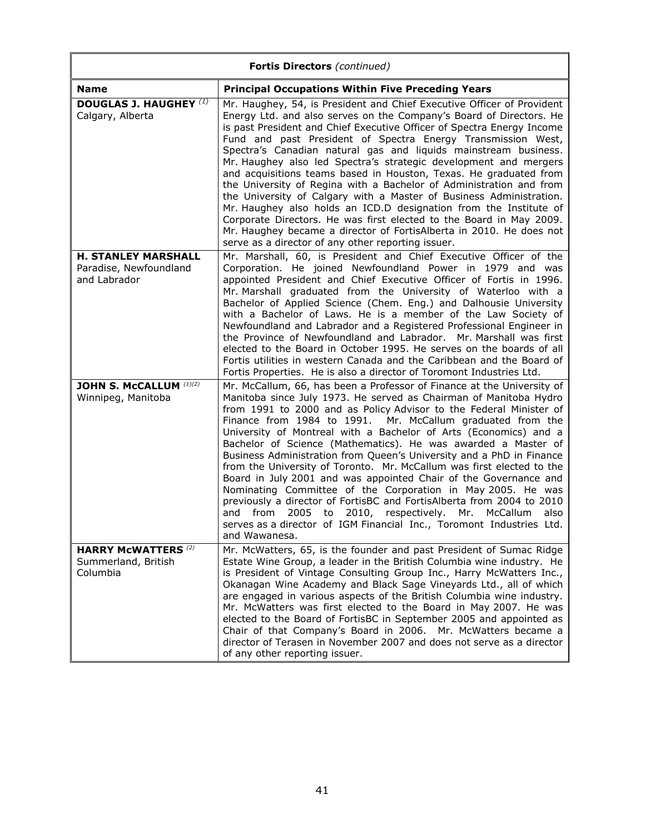| <b>Fortis Directors</b> (continued)                                  |                                                                                                                                                                                                                                                                                                                                                                                                                                                                                                                                                                                                                                                                                                                                                                                                                                                                                                                                               |  |
|----------------------------------------------------------------------|-----------------------------------------------------------------------------------------------------------------------------------------------------------------------------------------------------------------------------------------------------------------------------------------------------------------------------------------------------------------------------------------------------------------------------------------------------------------------------------------------------------------------------------------------------------------------------------------------------------------------------------------------------------------------------------------------------------------------------------------------------------------------------------------------------------------------------------------------------------------------------------------------------------------------------------------------|--|
| <b>Name</b>                                                          | <b>Principal Occupations Within Five Preceding Years</b>                                                                                                                                                                                                                                                                                                                                                                                                                                                                                                                                                                                                                                                                                                                                                                                                                                                                                      |  |
| <b>DOUGLAS J. HAUGHEY (1)</b><br>Calgary, Alberta                    | Mr. Haughey, 54, is President and Chief Executive Officer of Provident<br>Energy Ltd. and also serves on the Company's Board of Directors. He<br>is past President and Chief Executive Officer of Spectra Energy Income<br>Fund and past President of Spectra Energy Transmission West,<br>Spectra's Canadian natural gas and liquids mainstream business.<br>Mr. Haughey also led Spectra's strategic development and mergers<br>and acquisitions teams based in Houston, Texas. He graduated from<br>the University of Regina with a Bachelor of Administration and from<br>the University of Calgary with a Master of Business Administration.<br>Mr. Haughey also holds an ICD.D designation from the Institute of<br>Corporate Directors. He was first elected to the Board in May 2009.<br>Mr. Haughey became a director of FortisAlberta in 2010. He does not<br>serve as a director of any other reporting issuer.                    |  |
| <b>H. STANLEY MARSHALL</b><br>Paradise, Newfoundland<br>and Labrador | Mr. Marshall, 60, is President and Chief Executive Officer of the<br>Corporation. He joined Newfoundland Power in 1979 and was<br>appointed President and Chief Executive Officer of Fortis in 1996.<br>Mr. Marshall graduated from the University of Waterloo with a<br>Bachelor of Applied Science (Chem. Eng.) and Dalhousie University<br>with a Bachelor of Laws. He is a member of the Law Society of<br>Newfoundland and Labrador and a Registered Professional Engineer in<br>the Province of Newfoundland and Labrador. Mr. Marshall was first<br>elected to the Board in October 1995. He serves on the boards of all<br>Fortis utilities in western Canada and the Caribbean and the Board of<br>Fortis Properties. He is also a director of Toromont Industries Ltd.                                                                                                                                                              |  |
| JOHN S. McCALLUM (1)(2)<br>Winnipeg, Manitoba                        | Mr. McCallum, 66, has been a Professor of Finance at the University of<br>Manitoba since July 1973. He served as Chairman of Manitoba Hydro<br>from 1991 to 2000 and as Policy Advisor to the Federal Minister of<br>Finance from 1984 to 1991. Mr. McCallum graduated from the<br>University of Montreal with a Bachelor of Arts (Economics) and a<br>Bachelor of Science (Mathematics). He was awarded a Master of<br>Business Administration from Queen's University and a PhD in Finance<br>from the University of Toronto. Mr. McCallum was first elected to the<br>Board in July 2001 and was appointed Chair of the Governance and<br>Nominating Committee of the Corporation in May 2005. He was<br>previously a director of FortisBC and FortisAlberta from 2004 to 2010<br>2010, respectively. Mr. McCallum<br>from 2005 to<br>and<br>also<br>serves as a director of IGM Financial Inc., Toromont Industries Ltd.<br>and Wawanesa. |  |
| <b>HARRY McWATTERS (2)</b><br>Summerland, British<br>Columbia        | Mr. McWatters, 65, is the founder and past President of Sumac Ridge<br>Estate Wine Group, a leader in the British Columbia wine industry. He<br>is President of Vintage Consulting Group Inc., Harry McWatters Inc.,<br>Okanagan Wine Academy and Black Sage Vineyards Ltd., all of which<br>are engaged in various aspects of the British Columbia wine industry.<br>Mr. McWatters was first elected to the Board in May 2007. He was<br>elected to the Board of FortisBC in September 2005 and appointed as<br>Chair of that Company's Board in 2006. Mr. McWatters became a<br>director of Terasen in November 2007 and does not serve as a director<br>of any other reporting issuer.                                                                                                                                                                                                                                                     |  |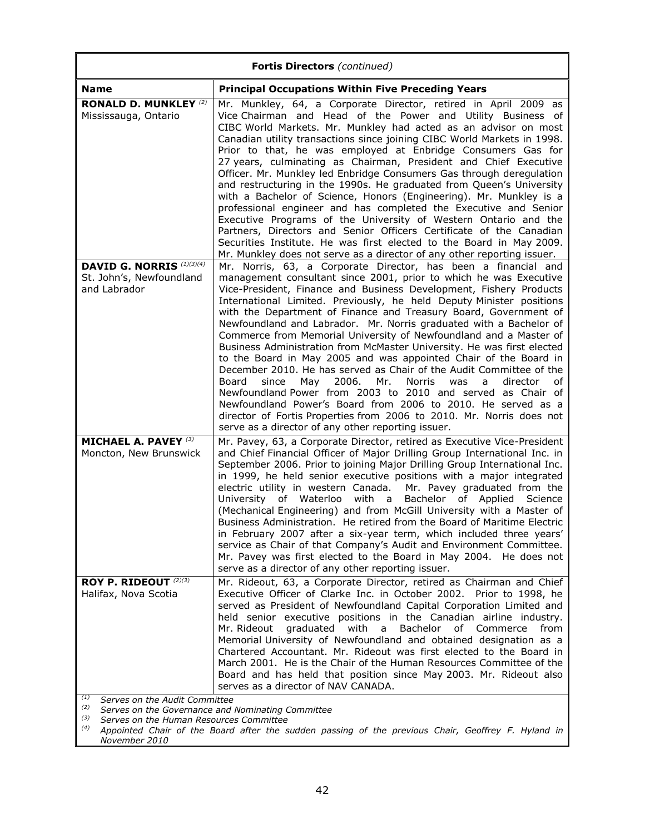| Fortis Directors (continued)                                                   |                                                                                                                                                                                                                                                                                                                                                                                                                                                                                                                                                                                                                                                                                                                                                                                                                                                                                                                                                                                                                                                                     |  |
|--------------------------------------------------------------------------------|---------------------------------------------------------------------------------------------------------------------------------------------------------------------------------------------------------------------------------------------------------------------------------------------------------------------------------------------------------------------------------------------------------------------------------------------------------------------------------------------------------------------------------------------------------------------------------------------------------------------------------------------------------------------------------------------------------------------------------------------------------------------------------------------------------------------------------------------------------------------------------------------------------------------------------------------------------------------------------------------------------------------------------------------------------------------|--|
| <b>Name</b>                                                                    | <b>Principal Occupations Within Five Preceding Years</b>                                                                                                                                                                                                                                                                                                                                                                                                                                                                                                                                                                                                                                                                                                                                                                                                                                                                                                                                                                                                            |  |
| <b>RONALD D. MUNKLEY (2)</b><br>Mississauga, Ontario                           | Mr. Munkley, 64, a Corporate Director, retired in April 2009 as<br>Vice Chairman and Head of the Power and Utility Business of<br>CIBC World Markets. Mr. Munkley had acted as an advisor on most<br>Canadian utility transactions since joining CIBC World Markets in 1998.<br>Prior to that, he was employed at Enbridge Consumers Gas for<br>27 years, culminating as Chairman, President and Chief Executive<br>Officer. Mr. Munkley led Enbridge Consumers Gas through deregulation<br>and restructuring in the 1990s. He graduated from Queen's University<br>with a Bachelor of Science, Honors (Engineering). Mr. Munkley is a<br>professional engineer and has completed the Executive and Senior<br>Executive Programs of the University of Western Ontario and the<br>Partners, Directors and Senior Officers Certificate of the Canadian<br>Securities Institute. He was first elected to the Board in May 2009.<br>Mr. Munkley does not serve as a director of any other reporting issuer.                                                             |  |
| <b>DAVID G. NORRIS</b> (1)(3)(4)<br>St. John's, Newfoundland<br>and Labrador   | Mr. Norris, 63, a Corporate Director, has been a financial and<br>management consultant since 2001, prior to which he was Executive<br>Vice-President, Finance and Business Development, Fishery Products<br>International Limited. Previously, he held Deputy Minister positions<br>with the Department of Finance and Treasury Board, Government of<br>Newfoundland and Labrador. Mr. Norris graduated with a Bachelor of<br>Commerce from Memorial University of Newfoundland and a Master of<br>Business Administration from McMaster University. He was first elected<br>to the Board in May 2005 and was appointed Chair of the Board in<br>December 2010. He has served as Chair of the Audit Committee of the<br>May<br>2006.<br>Mr.<br>Norris<br>director<br>Board<br>since<br>was<br>a<br>of<br>Newfoundland Power from 2003 to 2010 and served as Chair of<br>Newfoundland Power's Board from 2006 to 2010. He served as a<br>director of Fortis Properties from 2006 to 2010. Mr. Norris does not<br>serve as a director of any other reporting issuer. |  |
| <b>MICHAEL A. PAVEY (3)</b><br>Moncton, New Brunswick                          | Mr. Pavey, 63, a Corporate Director, retired as Executive Vice-President<br>and Chief Financial Officer of Major Drilling Group International Inc. in<br>September 2006. Prior to joining Major Drilling Group International Inc.<br>in 1999, he held senior executive positions with a major integrated<br>electric utility in western Canada. Mr. Pavey graduated from the<br>Bachelor of Applied Science<br>University<br>of Waterloo<br>with a<br>(Mechanical Engineering) and from McGill University with a Master of<br>Business Administration. He retired from the Board of Maritime Electric<br>in February 2007 after a six-year term, which included three years'<br>service as Chair of that Company's Audit and Environment Committee.<br>Mr. Pavey was first elected to the Board in May 2004. He does not<br>serve as a director of any other reporting issuer.                                                                                                                                                                                      |  |
| ROY P. RIDEOUT (2)(3)<br>Halifax, Nova Scotia<br>Serves on the Audit Committee | Mr. Rideout, 63, a Corporate Director, retired as Chairman and Chief<br>Executive Officer of Clarke Inc. in October 2002. Prior to 1998, he<br>served as President of Newfoundland Capital Corporation Limited and<br>held senior executive positions in the Canadian airline industry.<br>Mr. Rideout<br>graduated<br>with<br><b>Bachelor</b><br>of<br>a<br>Commerce<br>from<br>Memorial University of Newfoundland and obtained designation as a<br>Chartered Accountant. Mr. Rideout was first elected to the Board in<br>March 2001. He is the Chair of the Human Resources Committee of the<br>Board and has held that position since May 2003. Mr. Rideout also<br>serves as a director of NAV CANADA.                                                                                                                                                                                                                                                                                                                                                        |  |

*(2) Serves on the Governance and Nominating Committee*

*(3) Serves on the Human Resources Committee*

*(4) Appointed Chair of the Board after the sudden passing of the previous Chair, Geoffrey F. Hyland in November 2010*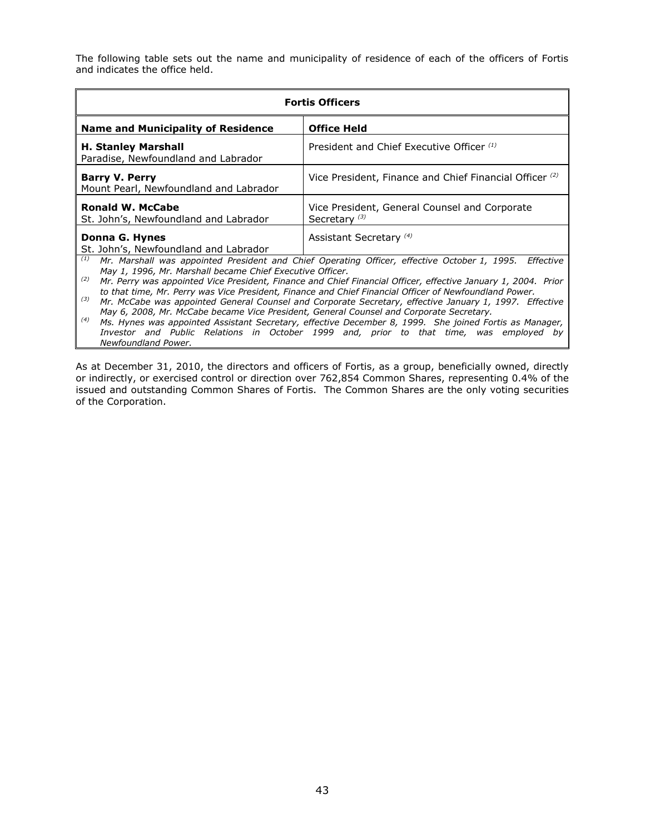The following table sets out the name and municipality of residence of each of the officers of Fortis and indicates the office held.

| <b>Fortis Officers</b>                                                                                                                                                                                                                                                                                                                                                                                                                                                                                                                                                                                                                                                                                                                                                                                                                                        |                                                                           |  |
|---------------------------------------------------------------------------------------------------------------------------------------------------------------------------------------------------------------------------------------------------------------------------------------------------------------------------------------------------------------------------------------------------------------------------------------------------------------------------------------------------------------------------------------------------------------------------------------------------------------------------------------------------------------------------------------------------------------------------------------------------------------------------------------------------------------------------------------------------------------|---------------------------------------------------------------------------|--|
| <b>Name and Municipality of Residence</b>                                                                                                                                                                                                                                                                                                                                                                                                                                                                                                                                                                                                                                                                                                                                                                                                                     | <b>Office Held</b>                                                        |  |
| <b>H. Stanley Marshall</b><br>Paradise, Newfoundland and Labrador                                                                                                                                                                                                                                                                                                                                                                                                                                                                                                                                                                                                                                                                                                                                                                                             | President and Chief Executive Officer (1)                                 |  |
| <b>Barry V. Perry</b><br>Mount Pearl, Newfoundland and Labrador                                                                                                                                                                                                                                                                                                                                                                                                                                                                                                                                                                                                                                                                                                                                                                                               | Vice President, Finance and Chief Financial Officer (2)                   |  |
| <b>Ronald W. McCabe</b><br>St. John's, Newfoundland and Labrador                                                                                                                                                                                                                                                                                                                                                                                                                                                                                                                                                                                                                                                                                                                                                                                              | Vice President, General Counsel and Corporate<br>Secretary <sup>(3)</sup> |  |
| Donna G. Hynes<br>St. John's, Newfoundland and Labrador                                                                                                                                                                                                                                                                                                                                                                                                                                                                                                                                                                                                                                                                                                                                                                                                       | Assistant Secretary <sup>(4)</sup>                                        |  |
| (1)<br>Mr. Marshall was appointed President and Chief Operating Officer, effective October 1, 1995.<br>Effective<br>May 1, 1996, Mr. Marshall became Chief Executive Officer.<br>(2)<br>Mr. Perry was appointed Vice President, Finance and Chief Financial Officer, effective January 1, 2004. Prior<br>to that time, Mr. Perry was Vice President, Finance and Chief Financial Officer of Newfoundland Power.<br>(3)<br>Mr. McCabe was appointed General Counsel and Corporate Secretary, effective January 1, 1997. Effective<br>May 6, 2008, Mr. McCabe became Vice President, General Counsel and Corporate Secretary.<br>(4)<br>Ms. Hynes was appointed Assistant Secretary, effective December 8, 1999. She joined Fortis as Manager,<br>Investor and Public Relations in October 1999 and, prior to that time, was employed by<br>Newfoundland Power. |                                                                           |  |

As at December 31, 2010, the directors and officers of Fortis, as a group, beneficially owned, directly or indirectly, or exercised control or direction over 762,854 Common Shares, representing 0.4% of the issued and outstanding Common Shares of Fortis. The Common Shares are the only voting securities of the Corporation.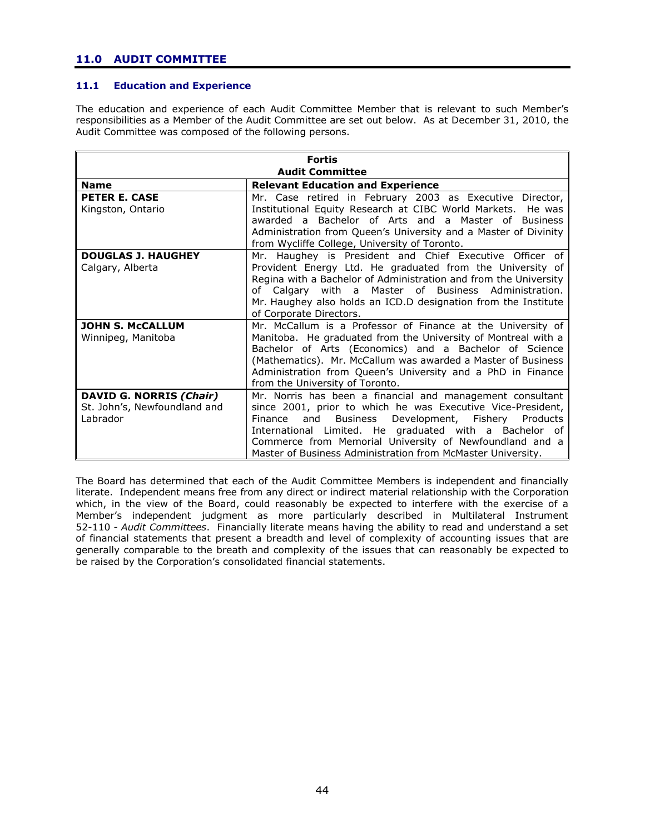# **11.0 AUDIT COMMITTEE**

# **11.1 Education and Experience**

The education and experience of each Audit Committee Member that is relevant to such Member"s responsibilities as a Member of the Audit Committee are set out below. As at December 31, 2010, the Audit Committee was composed of the following persons.

| <b>Fortis</b>                |                                                                                        |  |
|------------------------------|----------------------------------------------------------------------------------------|--|
| <b>Audit Committee</b>       |                                                                                        |  |
| <b>Name</b>                  | <b>Relevant Education and Experience</b>                                               |  |
| <b>PETER E. CASE</b>         | Mr. Case retired in February 2003 as Executive Director,                               |  |
| Kingston, Ontario            | Institutional Equity Research at CIBC World Markets. He was                            |  |
|                              | awarded a Bachelor of Arts and a Master of Business                                    |  |
|                              | Administration from Queen's University and a Master of Divinity                        |  |
|                              | from Wycliffe College, University of Toronto.                                          |  |
| <b>DOUGLAS J. HAUGHEY</b>    | Mr. Haughey is President and Chief Executive Officer of                                |  |
| Calgary, Alberta             | Provident Energy Ltd. He graduated from the University of                              |  |
|                              | Regina with a Bachelor of Administration and from the University                       |  |
|                              | of Calgary with a Master of Business Administration.                                   |  |
|                              | Mr. Haughey also holds an ICD.D designation from the Institute                         |  |
| <b>JOHN S. MCCALLUM</b>      | of Corporate Directors.<br>Mr. McCallum is a Professor of Finance at the University of |  |
| Winnipeg, Manitoba           | Manitoba. He graduated from the University of Montreal with a                          |  |
|                              | Bachelor of Arts (Economics) and a Bachelor of Science                                 |  |
|                              | (Mathematics). Mr. McCallum was awarded a Master of Business                           |  |
|                              | Administration from Queen's University and a PhD in Finance                            |  |
|                              | from the University of Toronto.                                                        |  |
| DAVID G. NORRIS (Chair)      | Mr. Norris has been a financial and management consultant                              |  |
| St. John's, Newfoundland and | since 2001, prior to which he was Executive Vice-President,                            |  |
| Labrador                     | Business<br>Development, Fishery<br>and<br>Products<br>Finance                         |  |
|                              | International Limited. He graduated with a Bachelor of                                 |  |
|                              | Commerce from Memorial University of Newfoundland and a                                |  |
|                              | Master of Business Administration from McMaster University.                            |  |

The Board has determined that each of the Audit Committee Members is independent and financially literate. Independent means free from any direct or indirect material relationship with the Corporation which, in the view of the Board, could reasonably be expected to interfere with the exercise of a Member"s independent judgment as more particularly described in Multilateral Instrument 52-110 - *Audit Committees*. Financially literate means having the ability to read and understand a set of financial statements that present a breadth and level of complexity of accounting issues that are generally comparable to the breath and complexity of the issues that can reasonably be expected to be raised by the Corporation"s consolidated financial statements.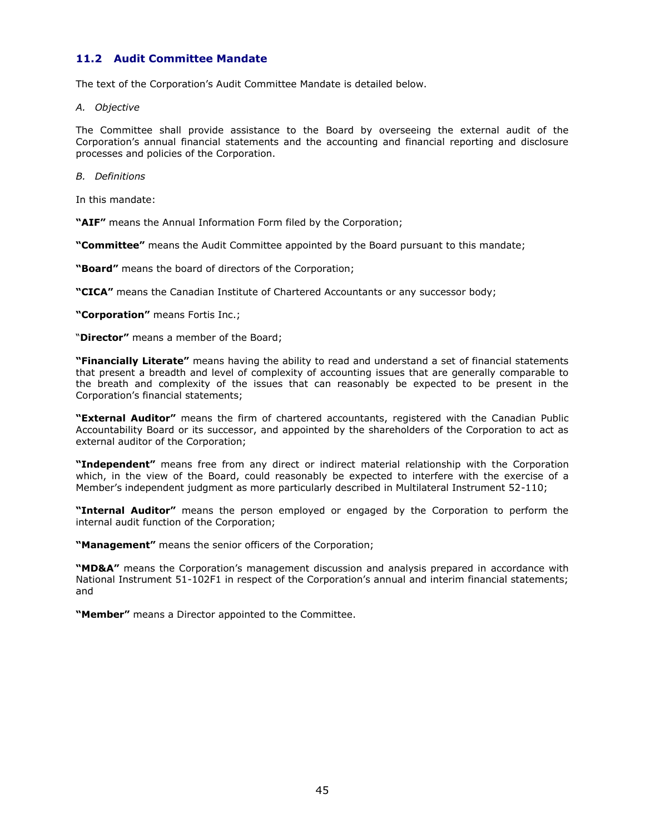# **11.2 Audit Committee Mandate**

The text of the Corporation"s Audit Committee Mandate is detailed below.

*A. Objective*

The Committee shall provide assistance to the Board by overseeing the external audit of the Corporation"s annual financial statements and the accounting and financial reporting and disclosure processes and policies of the Corporation.

*B. Definitions*

In this mandate:

**"AIF"** means the Annual Information Form filed by the Corporation;

**"Committee"** means the Audit Committee appointed by the Board pursuant to this mandate;

**"Board"** means the board of directors of the Corporation;

**"CICA"** means the Canadian Institute of Chartered Accountants or any successor body;

**"Corporation"** means Fortis Inc.;

"**Director"** means a member of the Board;

**"Financially Literate"** means having the ability to read and understand a set of financial statements that present a breadth and level of complexity of accounting issues that are generally comparable to the breath and complexity of the issues that can reasonably be expected to be present in the Corporation"s financial statements;

**"External Auditor"** means the firm of chartered accountants, registered with the Canadian Public Accountability Board or its successor, and appointed by the shareholders of the Corporation to act as external auditor of the Corporation;

**"Independent"** means free from any direct or indirect material relationship with the Corporation which, in the view of the Board, could reasonably be expected to interfere with the exercise of a Member"s independent judgment as more particularly described in Multilateral Instrument 52-110;

**"Internal Auditor"** means the person employed or engaged by the Corporation to perform the internal audit function of the Corporation;

**"Management"** means the senior officers of the Corporation;

**"MD&A"** means the Corporation"s management discussion and analysis prepared in accordance with National Instrument 51-102F1 in respect of the Corporation's annual and interim financial statements; and

**"Member"** means a Director appointed to the Committee.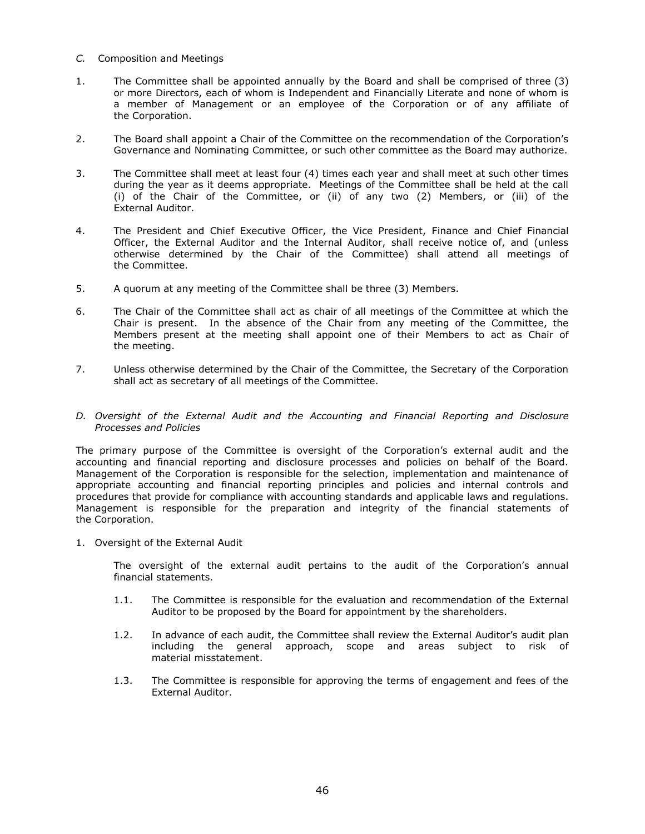- *C.* Composition and Meetings
- 1. The Committee shall be appointed annually by the Board and shall be comprised of three (3) or more Directors, each of whom is Independent and Financially Literate and none of whom is a member of Management or an employee of the Corporation or of any affiliate of the Corporation.
- 2. The Board shall appoint a Chair of the Committee on the recommendation of the Corporation"s Governance and Nominating Committee, or such other committee as the Board may authorize.
- 3. The Committee shall meet at least four (4) times each year and shall meet at such other times during the year as it deems appropriate. Meetings of the Committee shall be held at the call (i) of the Chair of the Committee, or (ii) of any two (2) Members, or (iii) of the External Auditor.
- 4. The President and Chief Executive Officer, the Vice President, Finance and Chief Financial Officer, the External Auditor and the Internal Auditor, shall receive notice of, and (unless otherwise determined by the Chair of the Committee) shall attend all meetings of the Committee.
- 5. A quorum at any meeting of the Committee shall be three (3) Members.
- 6. The Chair of the Committee shall act as chair of all meetings of the Committee at which the Chair is present. In the absence of the Chair from any meeting of the Committee, the Members present at the meeting shall appoint one of their Members to act as Chair of the meeting.
- 7. Unless otherwise determined by the Chair of the Committee, the Secretary of the Corporation shall act as secretary of all meetings of the Committee.
- *D. Oversight of the External Audit and the Accounting and Financial Reporting and Disclosure Processes and Policies*

The primary purpose of the Committee is oversight of the Corporation"s external audit and the accounting and financial reporting and disclosure processes and policies on behalf of the Board. Management of the Corporation is responsible for the selection, implementation and maintenance of appropriate accounting and financial reporting principles and policies and internal controls and procedures that provide for compliance with accounting standards and applicable laws and regulations. Management is responsible for the preparation and integrity of the financial statements of the Corporation.

1. Oversight of the External Audit

The oversight of the external audit pertains to the audit of the Corporation"s annual financial statements.

- 1.1. The Committee is responsible for the evaluation and recommendation of the External Auditor to be proposed by the Board for appointment by the shareholders.
- 1.2. In advance of each audit, the Committee shall review the External Auditor's audit plan including the general approach, scope and areas subject to risk of material misstatement.
- 1.3. The Committee is responsible for approving the terms of engagement and fees of the External Auditor.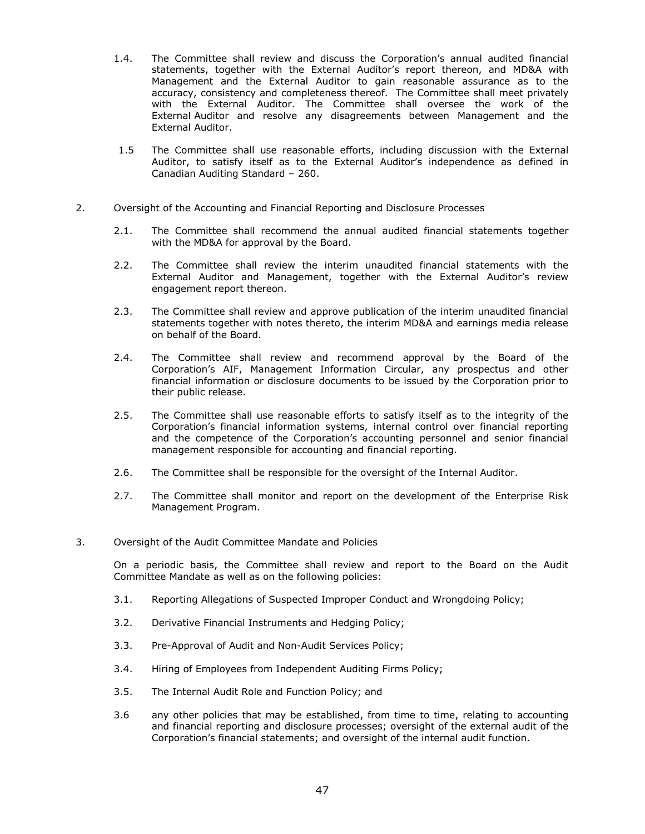- 1.4. The Committee shall review and discuss the Corporation"s annual audited financial statements, together with the External Auditor"s report thereon, and MD&A with Management and the External Auditor to gain reasonable assurance as to the accuracy, consistency and completeness thereof. The Committee shall meet privately with the External Auditor. The Committee shall oversee the work of the External Auditor and resolve any disagreements between Management and the External Auditor.
- 1.5 The Committee shall use reasonable efforts, including discussion with the External Auditor, to satisfy itself as to the External Auditor"s independence as defined in Canadian Auditing Standard – 260.
- 2. Oversight of the Accounting and Financial Reporting and Disclosure Processes
	- 2.1. The Committee shall recommend the annual audited financial statements together with the MD&A for approval by the Board.
	- 2.2. The Committee shall review the interim unaudited financial statements with the External Auditor and Management, together with the External Auditor's review engagement report thereon.
	- 2.3. The Committee shall review and approve publication of the interim unaudited financial statements together with notes thereto, the interim MD&A and earnings media release on behalf of the Board.
	- 2.4. The Committee shall review and recommend approval by the Board of the Corporation"s AIF, Management Information Circular, any prospectus and other financial information or disclosure documents to be issued by the Corporation prior to their public release.
	- 2.5. The Committee shall use reasonable efforts to satisfy itself as to the integrity of the Corporation"s financial information systems, internal control over financial reporting and the competence of the Corporation's accounting personnel and senior financial management responsible for accounting and financial reporting.
	- 2.6. The Committee shall be responsible for the oversight of the Internal Auditor.
	- 2.7. The Committee shall monitor and report on the development of the Enterprise Risk Management Program.
- 3. Oversight of the Audit Committee Mandate and Policies

On a periodic basis, the Committee shall review and report to the Board on the Audit Committee Mandate as well as on the following policies:

- 3.1. Reporting Allegations of Suspected Improper Conduct and Wrongdoing Policy;
- 3.2. Derivative Financial Instruments and Hedging Policy;
- 3.3. Pre-Approval of Audit and Non-Audit Services Policy;
- 3.4. Hiring of Employees from Independent Auditing Firms Policy;
- 3.5. The Internal Audit Role and Function Policy; and
- 3.6 any other policies that may be established, from time to time, relating to accounting and financial reporting and disclosure processes; oversight of the external audit of the Corporation"s financial statements; and oversight of the internal audit function.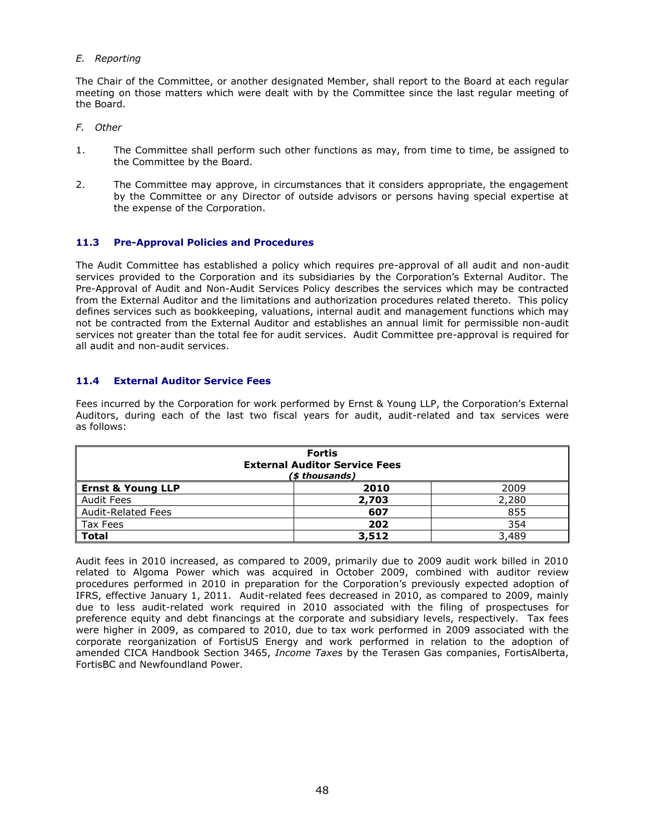# *E. Reporting*

The Chair of the Committee, or another designated Member, shall report to the Board at each regular meeting on those matters which were dealt with by the Committee since the last regular meeting of the Board.

- *F. Other*
- 1. The Committee shall perform such other functions as may, from time to time, be assigned to the Committee by the Board.
- 2. The Committee may approve, in circumstances that it considers appropriate, the engagement by the Committee or any Director of outside advisors or persons having special expertise at the expense of the Corporation.

# **11.3 Pre-Approval Policies and Procedures**

The Audit Committee has established a policy which requires pre-approval of all audit and non-audit services provided to the Corporation and its subsidiaries by the Corporation's External Auditor. The Pre-Approval of Audit and Non-Audit Services Policy describes the services which may be contracted from the External Auditor and the limitations and authorization procedures related thereto. This policy defines services such as bookkeeping, valuations, internal audit and management functions which may not be contracted from the External Auditor and establishes an annual limit for permissible non-audit services not greater than the total fee for audit services. Audit Committee pre-approval is required for all audit and non-audit services.

# **11.4 External Auditor Service Fees**

Fees incurred by the Corporation for work performed by Ernst & Young LLP, the Corporation's External Auditors, during each of the last two fiscal years for audit, audit-related and tax services were as follows:

| <b>Fortis</b><br><b>External Auditor Service Fees</b><br>(\$ thousands) |       |       |  |
|-------------------------------------------------------------------------|-------|-------|--|
| <b>Ernst &amp; Young LLP</b>                                            | 2010  | 2009  |  |
| Audit Fees                                                              | 2,703 | 2,280 |  |
| <b>Audit-Related Fees</b>                                               | 607   | 855   |  |
| Tax Fees                                                                | 202   | 354   |  |
| <b>Total</b>                                                            | 3,512 | 3,489 |  |

Audit fees in 2010 increased, as compared to 2009, primarily due to 2009 audit work billed in 2010 related to Algoma Power which was acquired in October 2009, combined with auditor review procedures performed in 2010 in preparation for the Corporation"s previously expected adoption of IFRS, effective January 1, 2011. Audit-related fees decreased in 2010, as compared to 2009, mainly due to less audit-related work required in 2010 associated with the filing of prospectuses for preference equity and debt financings at the corporate and subsidiary levels, respectively. Tax fees were higher in 2009, as compared to 2010, due to tax work performed in 2009 associated with the corporate reorganization of FortisUS Energy and work performed in relation to the adoption of amended CICA Handbook Section 3465, *Income Taxes* by the Terasen Gas companies, FortisAlberta, FortisBC and Newfoundland Power.